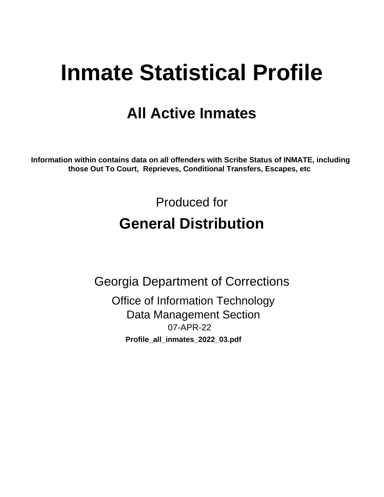# **Inmate Statistical Profile**

# **All Active Inmates**

Information within contains data on all offenders with Scribe Status of INMATE, including those Out To Court, Reprieves, Conditional Transfers, Escapes, etc

> Produced for **General Distribution**

**Georgia Department of Corrections Office of Information Technology Data Management Section** 07-APR-22 Profile\_all\_inmates\_2022\_03.pdf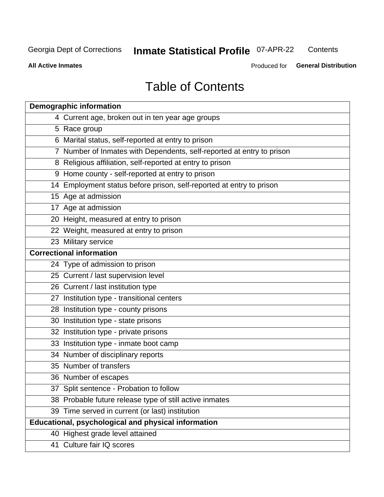# **Inmate Statistical Profile 07-APR-22**

Contents

**All Active Inmates** 

Produced for General Distribution

# **Table of Contents**

| <b>Demographic information</b>                                        |
|-----------------------------------------------------------------------|
| 4 Current age, broken out in ten year age groups                      |
| 5 Race group                                                          |
| 6 Marital status, self-reported at entry to prison                    |
| 7 Number of Inmates with Dependents, self-reported at entry to prison |
| 8 Religious affiliation, self-reported at entry to prison             |
| 9 Home county - self-reported at entry to prison                      |
| 14 Employment status before prison, self-reported at entry to prison  |
| 15 Age at admission                                                   |
| 17 Age at admission                                                   |
| 20 Height, measured at entry to prison                                |
| 22 Weight, measured at entry to prison                                |
| 23 Military service                                                   |
| <b>Correctional information</b>                                       |
| 24 Type of admission to prison                                        |
| 25 Current / last supervision level                                   |
| 26 Current / last institution type                                    |
| 27 Institution type - transitional centers                            |
| 28 Institution type - county prisons                                  |
| 30 Institution type - state prisons                                   |
| 32 Institution type - private prisons                                 |
| 33 Institution type - inmate boot camp                                |
| 34 Number of disciplinary reports                                     |
| 35 Number of transfers                                                |
| 36 Number of escapes                                                  |
| 37 Split sentence - Probation to follow                               |
| 38 Probable future release type of still active inmates               |
| 39 Time served in current (or last) institution                       |
| Educational, psychological and physical information                   |
| 40 Highest grade level attained                                       |
| 41 Culture fair IQ scores                                             |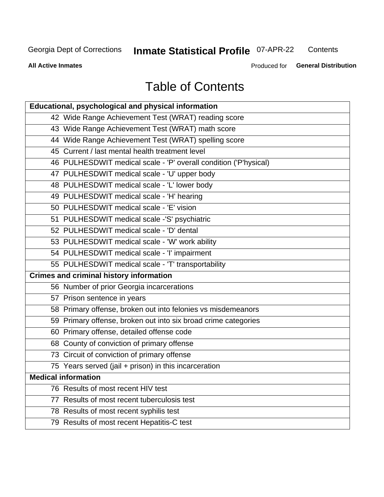# Inmate Statistical Profile 07-APR-22

Contents

**All Active Inmates** 

Produced for General Distribution

# **Table of Contents**

| Educational, psychological and physical information              |
|------------------------------------------------------------------|
| 42 Wide Range Achievement Test (WRAT) reading score              |
| 43 Wide Range Achievement Test (WRAT) math score                 |
| 44 Wide Range Achievement Test (WRAT) spelling score             |
| 45 Current / last mental health treatment level                  |
| 46 PULHESDWIT medical scale - 'P' overall condition ('P'hysical) |
| 47 PULHESDWIT medical scale - 'U' upper body                     |
| 48 PULHESDWIT medical scale - 'L' lower body                     |
| 49 PULHESDWIT medical scale - 'H' hearing                        |
| 50 PULHESDWIT medical scale - 'E' vision                         |
| 51 PULHESDWIT medical scale -'S' psychiatric                     |
| 52 PULHESDWIT medical scale - 'D' dental                         |
| 53 PULHESDWIT medical scale - 'W' work ability                   |
| 54 PULHESDWIT medical scale - 'I' impairment                     |
| 55 PULHESDWIT medical scale - 'T' transportability               |
| <b>Crimes and criminal history information</b>                   |
| 56 Number of prior Georgia incarcerations                        |
| 57 Prison sentence in years                                      |
| 58 Primary offense, broken out into felonies vs misdemeanors     |
| 59 Primary offense, broken out into six broad crime categories   |
| 60 Primary offense, detailed offense code                        |
| 68 County of conviction of primary offense                       |
| 73 Circuit of conviction of primary offense                      |
| 75 Years served (jail + prison) in this incarceration            |
| <b>Medical information</b>                                       |
| 76 Results of most recent HIV test                               |
| 77 Results of most recent tuberculosis test                      |
| 78 Results of most recent syphilis test                          |
| 79 Results of most recent Hepatitis-C test                       |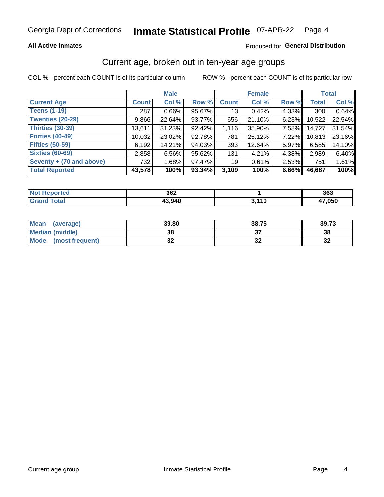#### **Inmate Statistical Profile 07-APR-22** Page 4

#### **All Active Inmates**

#### Produced for General Distribution

### Current age, broken out in ten-year age groups

COL % - percent each COUNT is of its particular column

|                          |              | <b>Male</b> |        |                 | <b>Female</b> |          |              | <b>Total</b> |
|--------------------------|--------------|-------------|--------|-----------------|---------------|----------|--------------|--------------|
| <b>Current Age</b>       | <b>Count</b> | Col %       | Row %  | <b>Count</b>    | Col %         | Row %    | <b>Total</b> | Col %        |
| <b>Teens (1-19)</b>      | 287          | $0.66\%$    | 95.67% | 13              | 0.42%         | 4.33%    | 300          | 0.64%        |
| <b>Twenties (20-29)</b>  | 9,866        | 22.64%      | 93.77% | 656             | 21.10%        | 6.23%    | 10,522       | 22.54%       |
| Thirties (30-39)         | 13,611       | 31.23%      | 92.42% | 1,116           | 35.90%        | $7.58\%$ | 14,727       | 31.54%       |
| <b>Forties (40-49)</b>   | 10,032       | 23.02%      | 92.78% | 781             | 25.12%        | 7.22%    | 10,813       | 23.16%       |
| <b>Fifties (50-59)</b>   | 6,192        | 14.21%      | 94.03% | 393             | 12.64%        | 5.97%    | 6,585        | 14.10%       |
| <b>Sixties (60-69)</b>   | 2,858        | 6.56%       | 95.62% | 131             | 4.21%         | 4.38%    | 2,989        | 6.40%        |
| Seventy + (70 and above) | 732          | 1.68%       | 97.47% | 19 <sup>1</sup> | 0.61%         | 2.53%    | 751          | 1.61%        |
| <b>Total Reported</b>    | 43,578       | 100%        | 93.34% | 3,109           | 100%          | 6.66%    | 46,687       | 100%         |

| <b>Not Repo</b><br><b>Enorted</b> | つなつ<br>JUZ |      | 363    |
|-----------------------------------|------------|------|--------|
| Total                             | 43.940     | 110, | 17,050 |

| <b>Mean</b><br>(average) | 39.80    | 38.75 | 39.73    |
|--------------------------|----------|-------|----------|
| Median (middle)          | 38       |       | 38       |
| Mode<br>(most frequent)  | n,<br>◡▴ | ◡▵    | 50<br>⊾ت |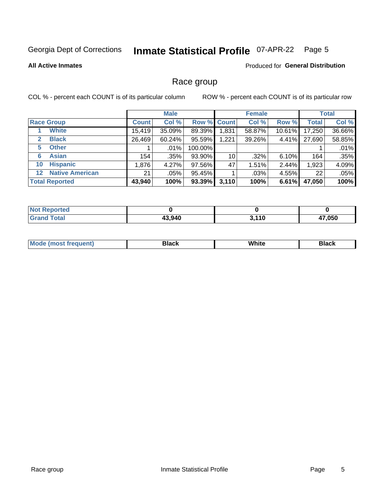#### **Inmate Statistical Profile 07-APR-22** Page 5

**All Active Inmates** 

Produced for General Distribution

#### Race group

COL % - percent each COUNT is of its particular column

|                                   |  | <b>Male</b>  |         |                    | <b>Female</b> |        |        | <b>Total</b> |        |
|-----------------------------------|--|--------------|---------|--------------------|---------------|--------|--------|--------------|--------|
| <b>Race Group</b>                 |  | <b>Count</b> | Col %   | <b>Row % Count</b> |               | Col %  | Row %  | <b>Total</b> | Col %  |
| <b>White</b>                      |  | 15,419       | 35.09%  | 89.39%             | .831          | 58.87% | 10.61% | 17,250       | 36.66% |
| <b>Black</b><br>2                 |  | 26,469       | 60.24%  | 95.59%             | 1,221         | 39.26% | 4.41%  | 27,690       | 58.85% |
| <b>Other</b><br>5.                |  |              | $.01\%$ | 100.00%            |               |        |        |              | .01%   |
| <b>Asian</b><br>6                 |  | 154          | .35%    | 93.90%             | 10            | .32%   | 6.10%  | 164          | .35%   |
| <b>Hispanic</b><br>10             |  | 1,876        | 4.27%   | 97.56%             | 47            | 1.51%  | 2.44%  | 1,923        | 4.09%  |
| <b>Native American</b><br>$12 \,$ |  | 21           | $.05\%$ | 95.45%             |               | .03%   | 4.55%  | 22           | .05%   |
| <b>Total Reported</b>             |  | 43,940       | 100%    | 93.39%             | 3,110         | 100%   | 6.61%  | 47,050       | 100%   |

| <b>Not</b><br>Reported |        |       |              |
|------------------------|--------|-------|--------------|
| <b>Total</b><br>'Grano | 43,940 | 3,110 | 47,050<br>4. |

|  |  | Mo | <b>Black</b> | (8/16i+<br><b>AAIIIG</b> | <b>Black</b> |
|--|--|----|--------------|--------------------------|--------------|
|--|--|----|--------------|--------------------------|--------------|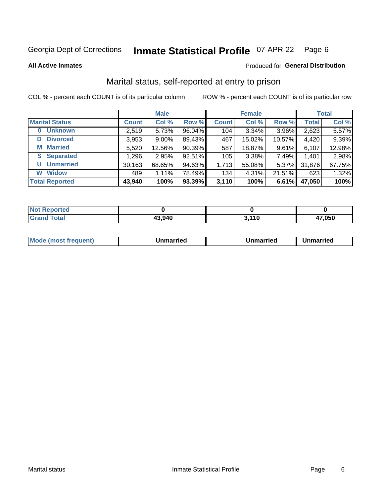#### **Inmate Statistical Profile 07-APR-22** Page 6

**All Active Inmates** 

#### Produced for General Distribution

### Marital status, self-reported at entry to prison

COL % - percent each COUNT is of its particular column

|                            |              | <b>Male</b> |        |              | <b>Female</b> |          |              | <b>Total</b> |
|----------------------------|--------------|-------------|--------|--------------|---------------|----------|--------------|--------------|
| <b>Marital Status</b>      | <b>Count</b> | Col %       | Row %  | <b>Count</b> | Col %         | Row %    | <b>Total</b> | Col %        |
| <b>Unknown</b><br>$\bf{0}$ | 2,519        | 5.73%       | 96.04% | 104          | 3.34%         | 3.96%    | 2,623        | 5.57%        |
| <b>Divorced</b><br>D       | 3,953        | $9.00\%$    | 89.43% | 467          | 15.02%        | 10.57%   | 4,420        | 9.39%        |
| <b>Married</b><br>М        | 5,520        | 12.56%      | 90.39% | 587          | 18.87%        | 9.61%    | 6,107        | 12.98%       |
| <b>S</b> Separated         | 1,296        | 2.95%       | 92.51% | 105          | $3.38\%$      | 7.49%    | 1,401        | 2.98%        |
| <b>Unmarried</b><br>U      | 30,163       | 68.65%      | 94.63% | 1,713        | 55.08%        | $5.37\%$ | 31,876       | 67.75%       |
| <b>Widow</b><br>W          | 489          | 1.11%       | 78.49% | 134          | 4.31%         | 21.51%   | 623          | 1.32%        |
| <b>Total Reported</b>      | 43,940       | 100%        | 93.39% | 3,110        | 100%          | 6.61%    | 47,050       | 100%         |

| <b>Not Reported</b> |       |                    |        |
|---------------------|-------|--------------------|--------|
| Total               | 3.940 | $-44C$<br>J. I I V | 17.050 |

|--|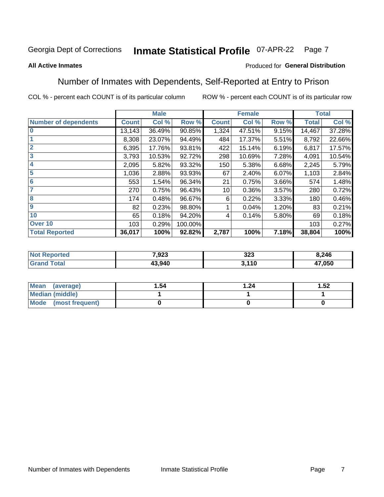#### **Inmate Statistical Profile 07-APR-22** Page 7

#### **All Active Inmates**

#### Produced for General Distribution

### Number of Inmates with Dependents, Self-Reported at Entry to Prison

COL % - percent each COUNT is of its particular column

|                             |              | <b>Male</b> |         |              | <b>Female</b> |       |              | <b>Total</b> |
|-----------------------------|--------------|-------------|---------|--------------|---------------|-------|--------------|--------------|
| <b>Number of dependents</b> | <b>Count</b> | Col %       | Row %   | <b>Count</b> | Col %         | Row % | <b>Total</b> | Col %        |
| l 0                         | 13,143       | 36.49%      | 90.85%  | 1,324        | 47.51%        | 9.15% | 14,467       | 37.28%       |
|                             | 8,308        | 23.07%      | 94.49%  | 484          | 17.37%        | 5.51% | 8,792        | 22.66%       |
| $\overline{2}$              | 6,395        | 17.76%      | 93.81%  | 422          | 15.14%        | 6.19% | 6,817        | 17.57%       |
| $\overline{3}$              | 3,793        | 10.53%      | 92.72%  | 298          | 10.69%        | 7.28% | 4,091        | 10.54%       |
| 4                           | 2,095        | 5.82%       | 93.32%  | 150          | 5.38%         | 6.68% | 2,245        | 5.79%        |
| 5                           | 1,036        | 2.88%       | 93.93%  | 67           | 2.40%         | 6.07% | 1,103        | 2.84%        |
| 6                           | 553          | 1.54%       | 96.34%  | 21           | 0.75%         | 3.66% | 574          | 1.48%        |
| 7                           | 270          | 0.75%       | 96.43%  | 10           | 0.36%         | 3.57% | 280          | 0.72%        |
| 8                           | 174          | 0.48%       | 96.67%  | 6            | 0.22%         | 3.33% | 180          | 0.46%        |
| 9                           | 82           | 0.23%       | 98.80%  |              | 0.04%         | 1.20% | 83           | 0.21%        |
| 10                          | 65           | 0.18%       | 94.20%  | 4            | 0.14%         | 5.80% | 69           | 0.18%        |
| Over 10                     | 103          | 0.29%       | 100.00% |              |               |       | 103          | 0.27%        |
| <b>Total Reported</b>       | 36,017       | 100%        | 92.82%  | 2,787        | 100%          | 7.18% | 38,804       | 100%         |

| 7,923  | 323  | 8,246  |
|--------|------|--------|
| 13.940 | .110 | 17,050 |

| Mean (average)       | 1.54 | .24 | 1.52 |
|----------------------|------|-----|------|
| Median (middle)      |      |     |      |
| Mode (most frequent) |      |     |      |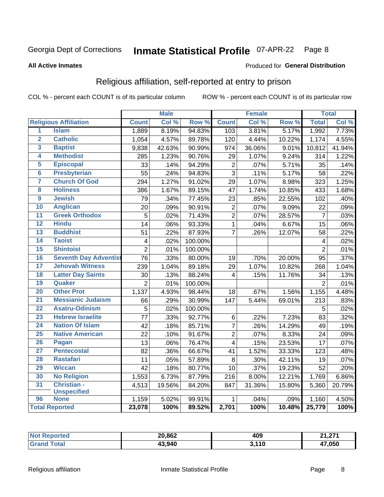#### **Inmate Statistical Profile 07-APR-22** Page 8

#### **All Active Inmates**

#### Produced for General Distribution

### Religious affiliation, self-reported at entry to prison

COL % - percent each COUNT is of its particular column

|                         |                              |                 | <b>Male</b> |         |                  | <b>Female</b> |                  |                 | <b>Total</b> |
|-------------------------|------------------------------|-----------------|-------------|---------|------------------|---------------|------------------|-----------------|--------------|
|                         | <b>Religious Affiliation</b> | <b>Count</b>    | Col %       | Row %   | <b>Count</b>     | Col %         | Row <sup>%</sup> | <b>Total</b>    | Col %        |
| 1                       | <b>Islam</b>                 | 1,889           | 8.19%       | 94.83%  | 103              | 3.81%         | 5.17%            | 1,992           | 7.73%        |
| $\overline{\mathbf{2}}$ | <b>Catholic</b>              | 1,054           | 4.57%       | 89.78%  | 120              | 4.44%         | 10.22%           | 1,174           | 4.55%        |
| 3                       | <b>Baptist</b>               | 9,838           | 42.63%      | 90.99%  | 974              | 36.06%        | 9.01%            | 10,812          | 41.94%       |
| 4                       | <b>Methodist</b>             | 285             | 1.23%       | 90.76%  | 29               | 1.07%         | 9.24%            | 314             | 1.22%        |
| 5                       | <b>Episcopal</b>             | 33              | .14%        | 94.29%  | $\boldsymbol{2}$ | .07%          | 5.71%            | 35              | .14%         |
| $\overline{6}$          | <b>Presbyterian</b>          | 55              | .24%        | 94.83%  | $\overline{3}$   | .11%          | 5.17%            | 58              | .22%         |
| 7                       | <b>Church Of God</b>         | 294             | 1.27%       | 91.02%  | 29               | 1.07%         | 8.98%            | 323             | 1.25%        |
| 8                       | <b>Holiness</b>              | 386             | 1.67%       | 89.15%  | 47               | 1.74%         | 10.85%           | 433             | 1.68%        |
| $\overline{9}$          | <b>Jewish</b>                | 79              | .34%        | 77.45%  | 23               | .85%          | 22.55%           | 102             | .40%         |
| 10                      | <b>Anglican</b>              | 20              | .09%        | 90.91%  | $\mathbf 2$      | .07%          | 9.09%            | 22              | .09%         |
| 11                      | <b>Greek Orthodox</b>        | $\overline{5}$  | .02%        | 71.43%  | $\overline{2}$   | .07%          | 28.57%           | $\overline{7}$  | .03%         |
| 12                      | <b>Hindu</b>                 | 14              | .06%        | 93.33%  | $\mathbf{1}$     | .04%          | 6.67%            | 15              | .06%         |
| 13                      | <b>Buddhist</b>              | 51              | .22%        | 87.93%  | $\overline{7}$   | .26%          | 12.07%           | 58              | .22%         |
| $\overline{14}$         | <b>Taoist</b>                | $\overline{4}$  | .02%        | 100.00% |                  |               |                  | 4               | .02%         |
| 15                      | <b>Shintoist</b>             | $\overline{2}$  | .01%        | 100.00% |                  |               |                  | $\overline{2}$  | .01%         |
| 16                      | <b>Seventh Day Adventist</b> | 76              | .33%        | 80.00%  | 19               | .70%          | 20.00%           | $\overline{95}$ | .37%         |
| 17                      | <b>Jehovah Witness</b>       | 239             | 1.04%       | 89.18%  | 29               | 1.07%         | 10.82%           | 268             | 1.04%        |
| 18                      | <b>Latter Day Saints</b>     | 30              | .13%        | 88.24%  | 4                | .15%          | 11.76%           | 34              | .13%         |
| 19                      | Quaker                       | $\overline{2}$  | .01%        | 100.00% |                  |               |                  | $\overline{2}$  | .01%         |
| 20                      | <b>Other Prot</b>            | 1,137           | 4.93%       | 98.44%  | 18               | .67%          | 1.56%            | 1,155           | 4.48%        |
| 21                      | <b>Messianic Judaism</b>     | 66              | .29%        | 30.99%  | 147              | 5.44%         | 69.01%           | 213             | .83%         |
| 22                      | <b>Asatru-Odinism</b>        | $\overline{5}$  | .02%        | 100.00% |                  |               |                  | 5               | .02%         |
| 23                      | <b>Hebrew Israelite</b>      | $\overline{77}$ | .33%        | 92.77%  | 6                | .22%          | 7.23%            | 83              | .32%         |
| 24                      | <b>Nation Of Islam</b>       | 42              | .18%        | 85.71%  | $\overline{7}$   | .26%          | 14.29%           | 49              | .19%         |
| 25                      | <b>Native American</b>       | 22              | .10%        | 91.67%  | $\overline{c}$   | .07%          | 8.33%            | 24              | .09%         |
| 26                      | Pagan                        | 13              | .06%        | 76.47%  | 4                | .15%          | 23.53%           | 17              | .07%         |
| 27                      | <b>Pentecostal</b>           | 82              | .36%        | 66.67%  | 41               | 1.52%         | 33.33%           | 123             | .48%         |
| 28                      | <b>Rastafari</b>             | 11              | .05%        | 57.89%  | 8                | .30%          | 42.11%           | 19              | .07%         |
| 29                      | <b>Wiccan</b>                | $\overline{42}$ | .18%        | 80.77%  | 10               | .37%          | 19.23%           | $\overline{52}$ | .20%         |
| 30                      | <b>No Religion</b>           | 1,553           | 6.73%       | 87.79%  | $\overline{2}16$ | 8.00%         | 12.21%           | 1,769           | 6.86%        |
| 31                      | Christian -                  | 4,513           | 19.56%      | 84.20%  | 847              | 31.36%        | 15.80%           | 5,360           | 20.79%       |
|                         | <b>Unspecified</b>           |                 |             |         |                  |               |                  |                 |              |
| 96                      | <b>None</b>                  | 1,159           | 5.02%       | 99.91%  | 1                | .04%          | .09%             | 1,160           | 4.50%        |
|                         | <b>Total Reported</b>        | 23,078          | 100%        | 89.52%  | 2,701            | 100%          | 10.48%           | 25,779          | 100%         |

| 'rrer. | 20,862 | 409                   | <b>24.274</b>          |
|--------|--------|-----------------------|------------------------|
|        | 43,940 | <b>2440</b><br><br>J. | 47.050<br>$\mathbf{r}$ |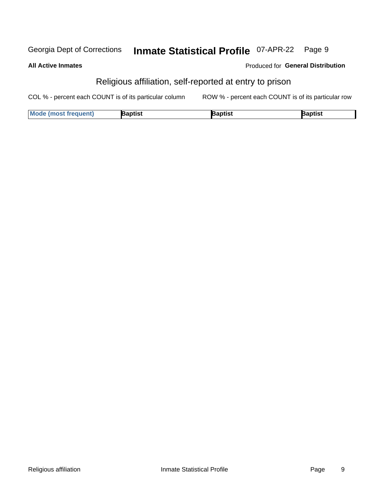#### **Inmate Statistical Profile 07-APR-22** Georgia Dept of Corrections Page 9

#### **All Active Inmates**

#### Produced for General Distribution

### Religious affiliation, self-reported at entry to prison

COL % - percent each COUNT is of its particular column ROW % - percent each COUNT is of its particular row

| <b>Mode (most frequent)</b> | Baptist | aptist | Baptist |
|-----------------------------|---------|--------|---------|
|-----------------------------|---------|--------|---------|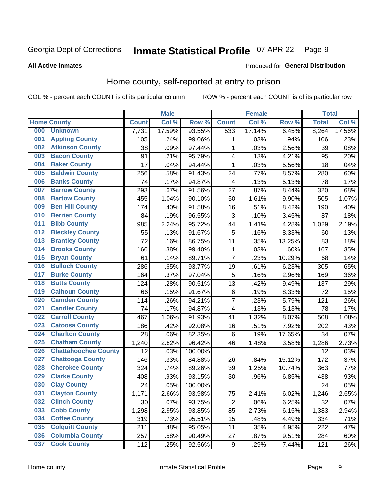#### **Inmate Statistical Profile 07-APR-22** Page 9

#### **All Active Inmates**

#### Produced for General Distribution

### Home county, self-reported at entry to prison

COL % - percent each COUNT is of its particular column

|     |                             |              | <b>Male</b> |         |                  | <b>Female</b> |        | <b>Total</b> |        |
|-----|-----------------------------|--------------|-------------|---------|------------------|---------------|--------|--------------|--------|
|     | <b>Home County</b>          | <b>Count</b> | Col %       | Row %   | <b>Count</b>     | Col %         | Row %  | <b>Total</b> | Col %  |
| 000 | <b>Unknown</b>              | 7,731        | 17.59%      | 93.55%  | 533              | 17.14%        | 6.45%  | 8,264        | 17.56% |
| 001 | <b>Appling County</b>       | 105          | .24%        | 99.06%  | 1                | .03%          | .94%   | 106          | .23%   |
| 002 | <b>Atkinson County</b>      | 38           | .09%        | 97.44%  | 1                | .03%          | 2.56%  | 39           | .08%   |
| 003 | <b>Bacon County</b>         | 91           | .21%        | 95.79%  | 4                | .13%          | 4.21%  | 95           | .20%   |
| 004 | <b>Baker County</b>         | 17           | .04%        | 94.44%  | 1                | .03%          | 5.56%  | 18           | .04%   |
| 005 | <b>Baldwin County</b>       | 256          | .58%        | 91.43%  | 24               | .77%          | 8.57%  | 280          | .60%   |
| 006 | <b>Banks County</b>         | 74           | .17%        | 94.87%  | 4                | .13%          | 5.13%  | 78           | .17%   |
| 007 | <b>Barrow County</b>        | 293          | .67%        | 91.56%  | 27               | .87%          | 8.44%  | 320          | .68%   |
| 008 | <b>Bartow County</b>        | 455          | 1.04%       | 90.10%  | 50               | 1.61%         | 9.90%  | 505          | 1.07%  |
| 009 | <b>Ben Hill County</b>      | 174          | .40%        | 91.58%  | 16               | .51%          | 8.42%  | 190          | .40%   |
| 010 | <b>Berrien County</b>       | 84           | .19%        | 96.55%  | 3                | .10%          | 3.45%  | 87           | .18%   |
| 011 | <b>Bibb County</b>          | 985          | 2.24%       | 95.72%  | 44               | 1.41%         | 4.28%  | 1,029        | 2.19%  |
| 012 | <b>Bleckley County</b>      | 55           | .13%        | 91.67%  | 5                | .16%          | 8.33%  | 60           | .13%   |
| 013 | <b>Brantley County</b>      | 72           | .16%        | 86.75%  | 11               | .35%          | 13.25% | 83           | .18%   |
| 014 | <b>Brooks County</b>        | 166          | .38%        | 99.40%  | 1                | .03%          | .60%   | 167          | .35%   |
| 015 | <b>Bryan County</b>         | 61           | .14%        | 89.71%  | $\overline{7}$   | .23%          | 10.29% | 68           | .14%   |
| 016 | <b>Bulloch County</b>       | 286          | .65%        | 93.77%  | 19               | .61%          | 6.23%  | 305          | .65%   |
| 017 | <b>Burke County</b>         | 164          | .37%        | 97.04%  | 5                | .16%          | 2.96%  | 169          | .36%   |
| 018 | <b>Butts County</b>         | 124          | .28%        | 90.51%  | 13               | .42%          | 9.49%  | 137          | .29%   |
| 019 | <b>Calhoun County</b>       | 66           | .15%        | 91.67%  | $\,6$            | .19%          | 8.33%  | 72           | .15%   |
| 020 | <b>Camden County</b>        | 114          | .26%        | 94.21%  | 7                | .23%          | 5.79%  | 121          | .26%   |
| 021 | <b>Candler County</b>       | 74           | .17%        | 94.87%  | 4                | .13%          | 5.13%  | 78           | .17%   |
| 022 | <b>Carroll County</b>       | 467          | 1.06%       | 91.93%  | 41               | 1.32%         | 8.07%  | 508          | 1.08%  |
| 023 | <b>Catoosa County</b>       | 186          | .42%        | 92.08%  | 16               | .51%          | 7.92%  | 202          | .43%   |
| 024 | <b>Charlton County</b>      | 28           | .06%        | 82.35%  | 6                | .19%          | 17.65% | 34           | .07%   |
| 025 | <b>Chatham County</b>       | 1,240        | 2.82%       | 96.42%  | 46               | 1.48%         | 3.58%  | 1,286        | 2.73%  |
| 026 | <b>Chattahoochee County</b> | 12           | .03%        | 100.00% |                  |               |        | 12           | .03%   |
| 027 | <b>Chattooga County</b>     | 146          | .33%        | 84.88%  | 26               | .84%          | 15.12% | 172          | .37%   |
| 028 | <b>Cherokee County</b>      | 324          | .74%        | 89.26%  | 39               | 1.25%         | 10.74% | 363          | .77%   |
| 029 | <b>Clarke County</b>        | 408          | .93%        | 93.15%  | 30               | .96%          | 6.85%  | 438          | .93%   |
| 030 | <b>Clay County</b>          | 24           | .05%        | 100.00% |                  |               |        | 24           | .05%   |
| 031 | <b>Clayton County</b>       | 1,171        | 2.66%       | 93.98%  | 75               | 2.41%         | 6.02%  | 1,246        | 2.65%  |
| 032 | <b>Clinch County</b>        | 30           | .07%        | 93.75%  | $\overline{2}$   | .06%          | 6.25%  | 32           | .07%   |
| 033 | <b>Cobb County</b>          | 1,298        | 2.95%       | 93.85%  | 85               | 2.73%         | 6.15%  | 1,383        | 2.94%  |
| 034 | <b>Coffee County</b>        | 319          | .73%        | 95.51%  | 15               | .48%          | 4.49%  | 334          | .71%   |
| 035 | <b>Colquitt County</b>      | 211          | .48%        | 95.05%  | 11               | .35%          | 4.95%  | 222          | .47%   |
| 036 | <b>Columbia County</b>      | 257          | .58%        | 90.49%  | 27               | .87%          | 9.51%  | 284          | .60%   |
| 037 | <b>Cook County</b>          | 112          | .25%        | 92.56%  | $\boldsymbol{9}$ | .29%          | 7.44%  | 121          | .26%   |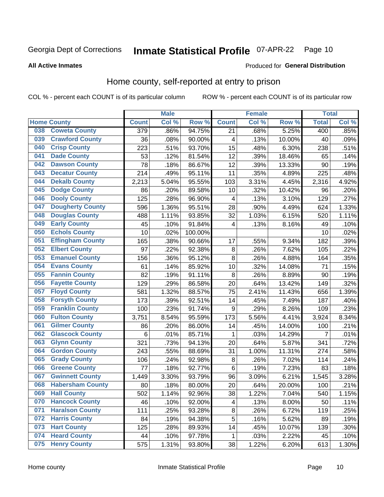#### **Inmate Statistical Profile 07-APR-22** Page 10

**All Active Inmates** 

#### Produced for General Distribution

#### Home county, self-reported at entry to prison

COL % - percent each COUNT is of its particular column

|     |                         |                  | <b>Male</b> |         |                 | <b>Female</b> |        | <b>Total</b>   |       |
|-----|-------------------------|------------------|-------------|---------|-----------------|---------------|--------|----------------|-------|
|     | <b>Home County</b>      | <b>Count</b>     | Col %       | Row %   | <b>Count</b>    | Col %         | Row %  | <b>Total</b>   | Col % |
| 038 | <b>Coweta County</b>    | $\overline{379}$ | .86%        | 94.75%  | $\overline{21}$ | .68%          | 5.25%  | 400            | .85%  |
| 039 | <b>Crawford County</b>  | 36               | .08%        | 90.00%  | 4               | .13%          | 10.00% | 40             | .09%  |
| 040 | <b>Crisp County</b>     | 223              | .51%        | 93.70%  | 15              | .48%          | 6.30%  | 238            | .51%  |
| 041 | <b>Dade County</b>      | 53               | .12%        | 81.54%  | 12              | .39%          | 18.46% | 65             | .14%  |
| 042 | <b>Dawson County</b>    | 78               | .18%        | 86.67%  | 12              | .39%          | 13.33% | 90             | .19%  |
| 043 | <b>Decatur County</b>   | 214              | .49%        | 95.11%  | 11              | .35%          | 4.89%  | 225            | .48%  |
| 044 | <b>Dekalb County</b>    | 2,213            | 5.04%       | 95.55%  | 103             | 3.31%         | 4.45%  | 2,316          | 4.92% |
| 045 | <b>Dodge County</b>     | 86               | .20%        | 89.58%  | 10              | .32%          | 10.42% | 96             | .20%  |
| 046 | <b>Dooly County</b>     | 125              | .28%        | 96.90%  | 4               | .13%          | 3.10%  | 129            | .27%  |
| 047 | <b>Dougherty County</b> | 596              | 1.36%       | 95.51%  | 28              | .90%          | 4.49%  | 624            | 1.33% |
| 048 | <b>Douglas County</b>   | 488              | 1.11%       | 93.85%  | 32              | 1.03%         | 6.15%  | 520            | 1.11% |
| 049 | <b>Early County</b>     | 45               | .10%        | 91.84%  | 4               | .13%          | 8.16%  | 49             | .10%  |
| 050 | <b>Echols County</b>    | 10               | .02%        | 100.00% |                 |               |        | 10             | .02%  |
| 051 | <b>Effingham County</b> | 165              | .38%        | 90.66%  | 17              | .55%          | 9.34%  | 182            | .39%  |
| 052 | <b>Elbert County</b>    | 97               | .22%        | 92.38%  | $\bf 8$         | .26%          | 7.62%  | 105            | .22%  |
| 053 | <b>Emanuel County</b>   | 156              | .36%        | 95.12%  | 8               | .26%          | 4.88%  | 164            | .35%  |
| 054 | <b>Evans County</b>     | 61               | .14%        | 85.92%  | 10              | .32%          | 14.08% | 71             | .15%  |
| 055 | <b>Fannin County</b>    | 82               | .19%        | 91.11%  | 8               | .26%          | 8.89%  | 90             | .19%  |
| 056 | <b>Fayette County</b>   | 129              | .29%        | 86.58%  | 20              | .64%          | 13.42% | 149            | .32%  |
| 057 | <b>Floyd County</b>     | 581              | 1.32%       | 88.57%  | 75              | 2.41%         | 11.43% | 656            | 1.39% |
| 058 | <b>Forsyth County</b>   | 173              | .39%        | 92.51%  | 14              | .45%          | 7.49%  | 187            | .40%  |
| 059 | <b>Franklin County</b>  | 100              | .23%        | 91.74%  | 9               | .29%          | 8.26%  | 109            | .23%  |
| 060 | <b>Fulton County</b>    | 3,751            | 8.54%       | 95.59%  | 173             | 5.56%         | 4.41%  | 3,924          | 8.34% |
| 061 | <b>Gilmer County</b>    | 86               | .20%        | 86.00%  | 14              | .45%          | 14.00% | 100            | .21%  |
| 062 | <b>Glascock County</b>  | 6                | .01%        | 85.71%  | 1               | .03%          | 14.29% | $\overline{7}$ | .01%  |
| 063 | <b>Glynn County</b>     | 321              | .73%        | 94.13%  | 20              | .64%          | 5.87%  | 341            | .72%  |
| 064 | <b>Gordon County</b>    | 243              | .55%        | 88.69%  | 31              | 1.00%         | 11.31% | 274            | .58%  |
| 065 | <b>Grady County</b>     | 106              | .24%        | 92.98%  | 8               | .26%          | 7.02%  | 114            | .24%  |
| 066 | <b>Greene County</b>    | 77               | .18%        | 92.77%  | $\,6$           | .19%          | 7.23%  | 83             | .18%  |
| 067 | <b>Gwinnett County</b>  | 1,449            | 3.30%       | 93.79%  | 96              | 3.09%         | 6.21%  | 1,545          | 3.28% |
| 068 | <b>Habersham County</b> | 80               | .18%        | 80.00%  | 20              | .64%          | 20.00% | 100            | .21%  |
| 069 | <b>Hall County</b>      | 502              | 1.14%       | 92.96%  | 38              | 1.22%         | 7.04%  | 540            | 1.15% |
| 070 | <b>Hancock County</b>   | 46               | .10%        | 92.00%  | 4               | .13%          | 8.00%  | 50             | .11%  |
| 071 | <b>Haralson County</b>  | 111              | .25%        | 93.28%  | $\bf 8$         | .26%          | 6.72%  | 119            | .25%  |
| 072 | <b>Harris County</b>    | 84               | .19%        | 94.38%  | 5               | .16%          | 5.62%  | 89             | .19%  |
| 073 | <b>Hart County</b>      | 125              | .28%        | 89.93%  | 14              | .45%          | 10.07% | 139            | .30%  |
| 074 | <b>Heard County</b>     | 44               | .10%        | 97.78%  | 1               | .03%          | 2.22%  | 45             | .10%  |
| 075 | <b>Henry County</b>     | 575              | 1.31%       | 93.80%  | 38              | 1.22%         | 6.20%  | 613            | 1.30% |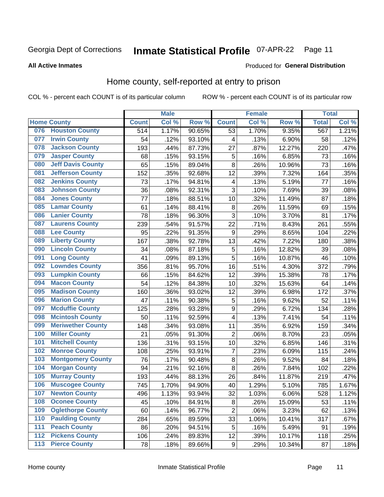#### **Inmate Statistical Profile 07-APR-22** Page 11

#### **All Active Inmates**

#### Produced for General Distribution

#### Home county, self-reported at entry to prison

COL % - percent each COUNT is of its particular column

|       |                          |                  | <b>Male</b> |        |                         | <b>Female</b> |        | <b>Total</b> |       |
|-------|--------------------------|------------------|-------------|--------|-------------------------|---------------|--------|--------------|-------|
|       | <b>Home County</b>       | <b>Count</b>     | Col %       | Row %  | <b>Count</b>            | Col %         | Row %  | <b>Total</b> | Col % |
| 076   | <b>Houston County</b>    | $\overline{514}$ | 1.17%       | 90.65% | $\overline{53}$         | 1.70%         | 9.35%  | 567          | 1.21% |
| 077   | <b>Irwin County</b>      | 54               | .12%        | 93.10% | 4                       | .13%          | 6.90%  | 58           | .12%  |
| 078   | <b>Jackson County</b>    | 193              | .44%        | 87.73% | 27                      | .87%          | 12.27% | 220          | .47%  |
| 079   | <b>Jasper County</b>     | 68               | .15%        | 93.15% | 5                       | .16%          | 6.85%  | 73           | .16%  |
| 080   | <b>Jeff Davis County</b> | 65               | .15%        | 89.04% | 8                       | .26%          | 10.96% | 73           | .16%  |
| 081   | <b>Jefferson County</b>  | 152              | .35%        | 92.68% | 12                      | .39%          | 7.32%  | 164          | .35%  |
| 082   | <b>Jenkins County</b>    | 73               | .17%        | 94.81% | $\overline{\mathbf{4}}$ | .13%          | 5.19%  | 77           | .16%  |
| 083   | <b>Johnson County</b>    | 36               | .08%        | 92.31% | 3                       | .10%          | 7.69%  | 39           | .08%  |
| 084   | <b>Jones County</b>      | 77               | .18%        | 88.51% | 10                      | .32%          | 11.49% | 87           | .18%  |
| 085   | <b>Lamar County</b>      | 61               | .14%        | 88.41% | 8                       | .26%          | 11.59% | 69           | .15%  |
| 086   | <b>Lanier County</b>     | 78               | .18%        | 96.30% | $\overline{3}$          | .10%          | 3.70%  | 81           | .17%  |
| 087   | <b>Laurens County</b>    | 239              | .54%        | 91.57% | 22                      | .71%          | 8.43%  | 261          | .55%  |
| 088   | <b>Lee County</b>        | 95               | .22%        | 91.35% | 9                       | .29%          | 8.65%  | 104          | .22%  |
| 089   | <b>Liberty County</b>    | 167              | .38%        | 92.78% | 13                      | .42%          | 7.22%  | 180          | .38%  |
| 090   | <b>Lincoln County</b>    | 34               | .08%        | 87.18% | $\overline{5}$          | .16%          | 12.82% | 39           | .08%  |
| 091   | <b>Long County</b>       | 41               | .09%        | 89.13% | 5                       | .16%          | 10.87% | 46           | .10%  |
| 092   | <b>Lowndes County</b>    | 356              | .81%        | 95.70% | 16                      | .51%          | 4.30%  | 372          | .79%  |
| 093   | <b>Lumpkin County</b>    | 66               | .15%        | 84.62% | 12                      | .39%          | 15.38% | 78           | .17%  |
| 094   | <b>Macon County</b>      | 54               | .12%        | 84.38% | 10                      | .32%          | 15.63% | 64           | .14%  |
| 095   | <b>Madison County</b>    | 160              | .36%        | 93.02% | 12                      | .39%          | 6.98%  | 172          | .37%  |
| 096   | <b>Marion County</b>     | 47               | .11%        | 90.38% | 5                       | .16%          | 9.62%  | 52           | .11%  |
| 097   | <b>Mcduffie County</b>   | 125              | .28%        | 93.28% | 9                       | .29%          | 6.72%  | 134          | .28%  |
| 098   | <b>Mcintosh County</b>   | 50               | .11%        | 92.59% | $\overline{\mathbf{4}}$ | .13%          | 7.41%  | 54           | .11%  |
| 099   | <b>Meriwether County</b> | 148              | .34%        | 93.08% | 11                      | .35%          | 6.92%  | 159          | .34%  |
| 100   | <b>Miller County</b>     | 21               | .05%        | 91.30% | $\overline{2}$          | .06%          | 8.70%  | 23           | .05%  |
| 101   | <b>Mitchell County</b>   | 136              | .31%        | 93.15% | 10                      | .32%          | 6.85%  | 146          | .31%  |
| 102   | <b>Monroe County</b>     | 108              | .25%        | 93.91% | $\overline{7}$          | .23%          | 6.09%  | 115          | .24%  |
| 103   | <b>Montgomery County</b> | 76               | .17%        | 90.48% | 8                       | .26%          | 9.52%  | 84           | .18%  |
| 104   | <b>Morgan County</b>     | 94               | .21%        | 92.16% | 8                       | .26%          | 7.84%  | 102          | .22%  |
| 105   | <b>Murray County</b>     | 193              | .44%        | 88.13% | 26                      | .84%          | 11.87% | 219          | .47%  |
| 106   | <b>Muscogee County</b>   | 745              | 1.70%       | 94.90% | 40                      | 1.29%         | 5.10%  | 785          | 1.67% |
| 107   | <b>Newton County</b>     | 496              | 1.13%       | 93.94% | 32                      | 1.03%         | 6.06%  | 528          | 1.12% |
| 108   | <b>Oconee County</b>     | 45               | .10%        | 84.91% | 8                       | .26%          | 15.09% | 53           | .11%  |
| 109   | <b>Oglethorpe County</b> | 60               | .14%        | 96.77% | $\overline{2}$          | .06%          | 3.23%  | 62           | .13%  |
| 110   | <b>Paulding County</b>   | 284              | .65%        | 89.59% | 33                      | 1.06%         | 10.41% | 317          | .67%  |
| 111   | <b>Peach County</b>      | 86               | .20%        | 94.51% | 5                       | .16%          | 5.49%  | 91           | .19%  |
| 112   | <b>Pickens County</b>    | 106              | .24%        | 89.83% | 12                      | .39%          | 10.17% | 118          | .25%  |
| $113$ | <b>Pierce County</b>     | 78               | .18%        | 89.66% | $\boldsymbol{9}$        | .29%          | 10.34% | 87           | .18%  |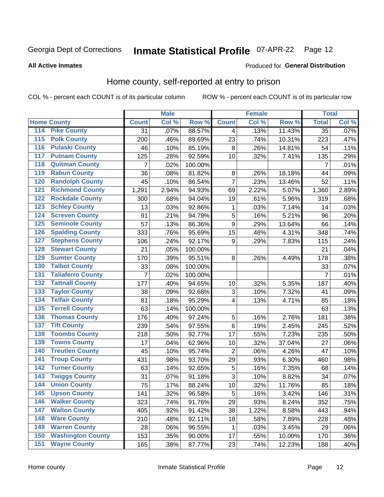# Inmate Statistical Profile 07-APR-22 Page 12

Produced for General Distribution

#### **All Active Inmates**

# Home county, self-reported at entry to prison

COL % - percent each COUNT is of its particular column

|                  |                          |                | <b>Male</b> |         |                  | <b>Female</b> |        | <b>Total</b>    |       |
|------------------|--------------------------|----------------|-------------|---------|------------------|---------------|--------|-----------------|-------|
|                  | <b>Home County</b>       | <b>Count</b>   | Col %       | Row %   | <b>Count</b>     | Col %         | Row %  | <b>Total</b>    | Col % |
| 114              | <b>Pike County</b>       | 31             | .07%        | 88.57%  | 4                | .13%          | 11.43% | $\overline{35}$ | .07%  |
| 115              | <b>Polk County</b>       | 200            | .46%        | 89.69%  | 23               | .74%          | 10.31% | 223             | .47%  |
| 116              | <b>Pulaski County</b>    | 46             | .10%        | 85.19%  | 8                | .26%          | 14.81% | 54              | .11%  |
| 117              | <b>Putnam County</b>     | 125            | .28%        | 92.59%  | 10               | .32%          | 7.41%  | 135             | .29%  |
| 118              | <b>Quitman County</b>    | $\overline{7}$ | .02%        | 100.00% |                  |               |        | $\overline{7}$  | .01%  |
| 119              | <b>Rabun County</b>      | 36             | .08%        | 81.82%  | 8                | .26%          | 18.18% | 44              | .09%  |
| 120              | <b>Randolph County</b>   | 45             | .10%        | 86.54%  | $\overline{7}$   | .23%          | 13.46% | 52              | .11%  |
| $\overline{121}$ | <b>Richmond County</b>   | 1,291          | 2.94%       | 94.93%  | 69               | 2.22%         | 5.07%  | 1,360           | 2.89% |
| 122              | <b>Rockdale County</b>   | 300            | .68%        | 94.04%  | 19               | .61%          | 5.96%  | 319             | .68%  |
| 123              | <b>Schley County</b>     | 13             | .03%        | 92.86%  | $\mathbf 1$      | .03%          | 7.14%  | 14              | .03%  |
| 124              | <b>Screven County</b>    | 91             | .21%        | 94.79%  | 5                | .16%          | 5.21%  | 96              | .20%  |
| 125              | <b>Seminole County</b>   | 57             | .13%        | 86.36%  | $\boldsymbol{9}$ | .29%          | 13.64% | 66              | .14%  |
| 126              | <b>Spalding County</b>   | 333            | .76%        | 95.69%  | 15               | .48%          | 4.31%  | 348             | .74%  |
| 127              | <b>Stephens County</b>   | 106            | .24%        | 92.17%  | $\boldsymbol{9}$ | .29%          | 7.83%  | 115             | .24%  |
| 128              | <b>Stewart County</b>    | 21             | .05%        | 100.00% |                  |               |        | 21              | .04%  |
| 129              | <b>Sumter County</b>     | 170            | .39%        | 95.51%  | 8                | .26%          | 4.49%  | 178             | .38%  |
| 130              | <b>Talbot County</b>     | 33             | .08%        | 100.00% |                  |               |        | 33              | .07%  |
| 131              | <b>Taliaferro County</b> | 7              | .02%        | 100.00% |                  |               |        | $\overline{7}$  | .01%  |
| 132              | <b>Tattnall County</b>   | 177            | .40%        | 94.65%  | 10               | .32%          | 5.35%  | 187             | .40%  |
| 133              | <b>Taylor County</b>     | 38             | .09%        | 92.68%  | 3                | .10%          | 7.32%  | 41              | .09%  |
| 134              | <b>Telfair County</b>    | 81             | .18%        | 95.29%  | 4                | .13%          | 4.71%  | 85              | .18%  |
| 135              | <b>Terrell County</b>    | 63             | .14%        | 100.00% |                  |               |        | 63              | .13%  |
| 136              | <b>Thomas County</b>     | 176            | .40%        | 97.24%  | 5                | .16%          | 2.76%  | 181             | .38%  |
| 137              | <b>Tift County</b>       | 239            | .54%        | 97.55%  | 6                | .19%          | 2.45%  | 245             | .52%  |
| 138              | <b>Toombs County</b>     | 218            | .50%        | 92.77%  | 17               | .55%          | 7.23%  | 235             | .50%  |
| 139              | <b>Towns County</b>      | 17             | .04%        | 62.96%  | 10               | .32%          | 37.04% | 27              | .06%  |
| 140              | <b>Treutlen County</b>   | 45             | .10%        | 95.74%  | $\overline{c}$   | .06%          | 4.26%  | 47              | .10%  |
| 141              | <b>Troup County</b>      | 431            | .98%        | 93.70%  | 29               | .93%          | 6.30%  | 460             | .98%  |
| $\overline{142}$ | <b>Turner County</b>     | 63             | .14%        | 92.65%  | 5                | .16%          | 7.35%  | 68              | .14%  |
| 143              | <b>Twiggs County</b>     | 31             | .07%        | 91.18%  | 3                | .10%          | 8.82%  | 34              | .07%  |
| 144              | <b>Union County</b>      | 75             | .17%        | 88.24%  | 10               | .32%          | 11.76% | 85              | .18%  |
| 145              | <b>Upson County</b>      | 141            | .32%        | 96.58%  | 5                | .16%          | 3.42%  | 146             | .31%  |
| 146              | <b>Walker County</b>     | 323            | .74%        | 91.76%  | 29               | .93%          | 8.24%  | 352             | .75%  |
| 147              | <b>Walton County</b>     | 405            | .92%        | 91.42%  | 38               | 1.22%         | 8.58%  | 443             | .94%  |
| 148              | <b>Ware County</b>       | 210            | .48%        | 92.11%  | 18               | .58%          | 7.89%  | 228             | .48%  |
| 149              | <b>Warren County</b>     | 28             | .06%        | 96.55%  | $\mathbf{1}$     | .03%          | 3.45%  | 29              | .06%  |
| 150              | <b>Washington County</b> | 153            | .35%        | 90.00%  | 17               | .55%          | 10.00% | 170             | .36%  |
| 151              | <b>Wayne County</b>      | 165            | .38%        | 87.77%  | 23               | .74%          | 12.23% | 188             | .40%  |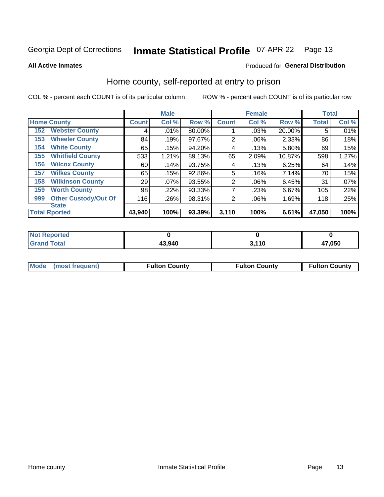#### **Inmate Statistical Profile 07-APR-22** Page 13

**All Active Inmates** 

#### Produced for General Distribution

#### Home county, self-reported at entry to prison

COL % - percent each COUNT is of its particular column

|     |                             |              | <b>Male</b> |        |                | <b>Female</b> |        | <b>Total</b> |       |
|-----|-----------------------------|--------------|-------------|--------|----------------|---------------|--------|--------------|-------|
|     | <b>Home County</b>          | <b>Count</b> | Col %       | Row %  | <b>Count</b>   | Col %         | Row %  | <b>Total</b> | Col % |
| 152 | <b>Webster County</b>       | 4            | .01%        | 80.00% |                | .03%          | 20.00% | 5            | .01%  |
| 153 | <b>Wheeler County</b>       | 84           | .19%        | 97.67% | 2              | .06%          | 2.33%  | 86           | .18%  |
| 154 | <b>White County</b>         | 65           | .15%        | 94.20% | 4              | .13%          | 5.80%  | 69           | .15%  |
| 155 | <b>Whitfield County</b>     | 533          | 1.21%       | 89.13% | 65             | 2.09%         | 10.87% | 598          | 1.27% |
| 156 | <b>Wilcox County</b>        | 60           | .14%        | 93.75% | 4              | .13%          | 6.25%  | 64           | .14%  |
| 157 | <b>Wilkes County</b>        | 65           | .15%        | 92.86% | 5              | .16%          | 7.14%  | 70           | .15%  |
| 158 | <b>Wilkinson County</b>     | 29           | $.07\%$     | 93.55% | $\overline{2}$ | .06%          | 6.45%  | 31           | .07%  |
| 159 | <b>Worth County</b>         | 98           | .22%        | 93.33% | 7              | .23%          | 6.67%  | 105          | .22%  |
| 999 | <b>Other Custody/Out Of</b> | 116          | .26%        | 98.31% | $\overline{2}$ | .06%          | 1.69%  | 118          | .25%  |
|     | <b>State</b>                |              |             |        |                |               |        |              |       |
|     | <b>Total Rported</b>        | 43,940       | 100%        | 93.39% | 3,110          | 100%          | 6.61%  | 47,050       | 100%  |

| <b>Not</b><br><b>Reported</b> |        |                |        |
|-------------------------------|--------|----------------|--------|
| <b>Total</b>                  | 43,940 | 2 11N<br>- I V | 47,050 |

| Mode (most frequent) | <b>Fulton County</b> | <b>Fulton County</b> | <b>Fulton County</b> |
|----------------------|----------------------|----------------------|----------------------|
|                      |                      |                      |                      |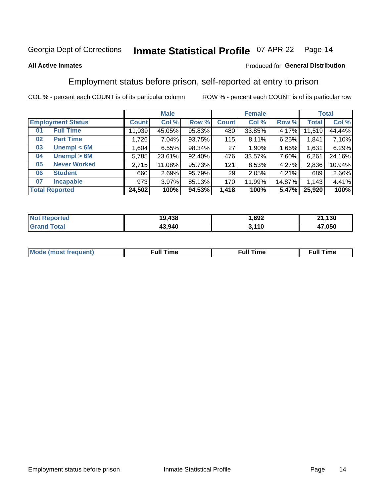#### **Inmate Statistical Profile 07-APR-22** Page 14

#### **All Active Inmates**

#### Produced for General Distribution

### Employment status before prison, self-reported at entry to prison

COL % - percent each COUNT is of its particular column

|                           |              | <b>Male</b> |        |              | <b>Female</b> |        |              | <b>Total</b> |
|---------------------------|--------------|-------------|--------|--------------|---------------|--------|--------------|--------------|
| <b>Employment Status</b>  | <b>Count</b> | Col %       | Row %  | <b>Count</b> | Col %         | Row %  | <b>Total</b> | Col %        |
| <b>Full Time</b><br>01    | 11,039       | 45.05%      | 95.83% | 480          | 33.85%        | 4.17%  | 11,519       | 44.44%       |
| <b>Part Time</b><br>02    | 1,726        | $7.04\%$    | 93.75% | 115          | 8.11%         | 6.25%  | 1,841        | 7.10%        |
| Unempl $<$ 6M<br>03       | .604         | 6.55%       | 98.34% | 27           | $1.90\%$      | 1.66%  | 1,631        | 6.29%        |
| Unempl > 6M<br>04         | 5,785        | 23.61%      | 92.40% | 476          | 33.57%        | 7.60%  | 6,261        | 24.16%       |
| <b>Never Worked</b><br>05 | 2,715        | 11.08%      | 95.73% | 121          | 8.53%         | 4.27%  | 2,836        | 10.94%       |
| <b>Student</b><br>06      | 660          | 2.69%       | 95.79% | 29           | 2.05%         | 4.21%  | 689          | 2.66%        |
| <b>Incapable</b><br>07    | 973          | $3.97\%$    | 85.13% | 170          | 11.99%        | 14.87% | 1,143        | 4.41%        |
| <b>Total Reported</b>     | 24,502       | 100%        | 94.53% | 1,418        | 100%          | 5.47%  | 25,920       | 100%         |

| <b>Not</b><br><b>Poorted</b>      | 19,438 | ,692  | ,130<br>O4. |
|-----------------------------------|--------|-------|-------------|
| <b>Total</b><br>Gran <sub>(</sub> | 43,940 | 3,110 | 17,050      |

| Mc | ∙u∥<br>----<br>ıme | ίuΙ<br>Πmε |
|----|--------------------|------------|
|    |                    |            |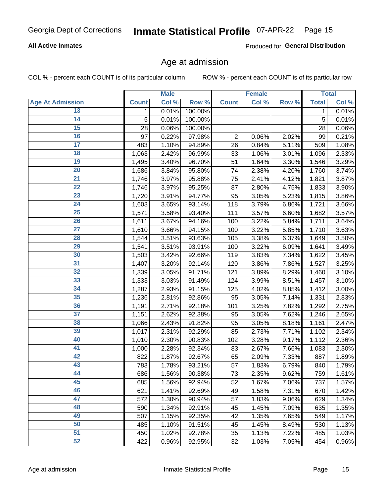#### **Inmate Statistical Profile 07-APR-22** Page 15

#### **All Active Inmates**

Produced for General Distribution

#### Age at admission

COL % - percent each COUNT is of its particular column

|                         |                    | <b>Male</b> |         |                | <b>Female</b> |       |              | <b>Total</b> |
|-------------------------|--------------------|-------------|---------|----------------|---------------|-------|--------------|--------------|
| <b>Age At Admission</b> | <b>Count</b>       | Col %       | Row %   | <b>Count</b>   | Col %         | Row % | <b>Total</b> | Col %        |
| 13                      | 1.                 | 0.01%       | 100.00% |                |               |       | 1            | 0.01%        |
| $\overline{14}$         | 5                  | 0.01%       | 100.00% |                |               |       | 5            | 0.01%        |
| 15                      | 28                 | 0.06%       | 100.00% |                |               |       | 28           | 0.06%        |
| 16                      | 97                 | 0.22%       | 97.98%  | $\overline{2}$ | 0.06%         | 2.02% | 99           | 0.21%        |
| $\overline{17}$         | 483                | 1.10%       | 94.89%  | 26             | 0.84%         | 5.11% | 509          | 1.08%        |
| 18                      | 1,063              | 2.42%       | 96.99%  | 33             | 1.06%         | 3.01% | 1,096        | 2.33%        |
| 19                      | 1,495              | 3.40%       | 96.70%  | 51             | 1.64%         | 3.30% | 1,546        | 3.29%        |
| 20                      | 1,686              | 3.84%       | 95.80%  | 74             | 2.38%         | 4.20% | 1,760        | 3.74%        |
| $\overline{21}$         | $\overline{1,746}$ | 3.97%       | 95.88%  | 75             | 2.41%         | 4.12% | 1,821        | 3.87%        |
| $\overline{22}$         | 1,746              | 3.97%       | 95.25%  | 87             | 2.80%         | 4.75% | 1,833        | 3.90%        |
| 23                      | 1,720              | 3.91%       | 94.77%  | 95             | 3.05%         | 5.23% | 1,815        | 3.86%        |
| $\overline{24}$         | 1,603              | 3.65%       | 93.14%  | 118            | 3.79%         | 6.86% | 1,721        | 3.66%        |
| $\overline{25}$         | 1,571              | 3.58%       | 93.40%  | 111            | 3.57%         | 6.60% | 1,682        | 3.57%        |
| $\overline{26}$         | 1,611              | 3.67%       | 94.16%  | 100            | 3.22%         | 5.84% | 1,711        | 3.64%        |
| $\overline{27}$         | 1,610              | 3.66%       | 94.15%  | 100            | 3.22%         | 5.85% | 1,710        | 3.63%        |
| 28                      | 1,544              | 3.51%       | 93.63%  | 105            | 3.38%         | 6.37% | 1,649        | 3.50%        |
| 29                      | 1,541              | 3.51%       | 93.91%  | 100            | 3.22%         | 6.09% | 1,641        | 3.49%        |
| 30                      | 1,503              | 3.42%       | 92.66%  | 119            | 3.83%         | 7.34% | 1,622        | 3.45%        |
| 31                      | 1,407              | 3.20%       | 92.14%  | 120            | 3.86%         | 7.86% | 1,527        | 3.25%        |
| 32                      | 1,339              | 3.05%       | 91.71%  | 121            | 3.89%         | 8.29% | 1,460        | 3.10%        |
| 33                      | 1,333              | 3.03%       | 91.49%  | 124            | 3.99%         | 8.51% | 1,457        | 3.10%        |
| 34                      | 1,287              | 2.93%       | 91.15%  | 125            | 4.02%         | 8.85% | 1,412        | 3.00%        |
| 35                      | 1,236              | 2.81%       | 92.86%  | 95             | 3.05%         | 7.14% | 1,331        | 2.83%        |
| 36                      | 1,191              | 2.71%       | 92.18%  | 101            | 3.25%         | 7.82% | 1,292        | 2.75%        |
| $\overline{37}$         | 1,151              | 2.62%       | 92.38%  | 95             | 3.05%         | 7.62% | 1,246        | 2.65%        |
| 38                      | 1,066              | 2.43%       | 91.82%  | 95             | 3.05%         | 8.18% | 1,161        | 2.47%        |
| 39                      | 1,017              | 2.31%       | 92.29%  | 85             | 2.73%         | 7.71% | 1,102        | 2.34%        |
| 40                      | 1,010              | 2.30%       | 90.83%  | 102            | 3.28%         | 9.17% | 1,112        | 2.36%        |
| 41                      | 1,000              | 2.28%       | 92.34%  | 83             | 2.67%         | 7.66% | 1,083        | 2.30%        |
| 42                      | 822                | 1.87%       | 92.67%  | 65             | 2.09%         | 7.33% | 887          | 1.89%        |
| 43                      | 783                | 1.78%       | 93.21%  | 57             | 1.83%         | 6.79% | 840          | 1.79%        |
| 44                      | 686                | 1.56%       | 90.38%  | 73             | 2.35%         | 9.62% | 759          | 1.61%        |
| 45                      | 685                | 1.56%       | 92.94%  | 52             | 1.67%         | 7.06% | 737          | 1.57%        |
| 46                      | 621                | 1.41%       | 92.69%  | 49             | 1.58%         | 7.31% | 670          | 1.42%        |
| 47                      | 572                | 1.30%       | 90.94%  | 57             | 1.83%         | 9.06% | 629          | 1.34%        |
| 48                      | 590                | 1.34%       | 92.91%  | 45             | 1.45%         | 7.09% | 635          | 1.35%        |
| 49                      | 507                | 1.15%       | 92.35%  | 42             | 1.35%         | 7.65% | 549          | 1.17%        |
| 50                      | 485                | 1.10%       | 91.51%  | 45             | 1.45%         | 8.49% | 530          | 1.13%        |
| 51                      | 450                | 1.02%       | 92.78%  | 35             | 1.13%         | 7.22% | 485          | 1.03%        |
| 52                      | 422                | 0.96%       | 92.95%  | 32             | 1.03%         | 7.05% | 454          | 0.96%        |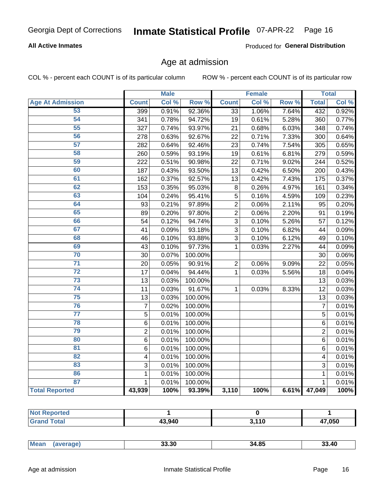#### **Inmate Statistical Profile 07-APR-22** Page 16

#### **All Active Inmates**

Produced for General Distribution

#### Age at admission

COL % - percent each COUNT is of its particular column

|                         |                | <b>Male</b> |         |                 | <b>Female</b> |       |                 | <b>Total</b> |
|-------------------------|----------------|-------------|---------|-----------------|---------------|-------|-----------------|--------------|
| <b>Age At Admission</b> | <b>Count</b>   | Col %       | Row %   | <b>Count</b>    | Col %         | Row % | <b>Total</b>    | Col %        |
| 53                      | 399            | 0.91%       | 92.36%  | 33              | 1.06%         | 7.64% | 432             | 0.92%        |
| 54                      | 341            | 0.78%       | 94.72%  | 19              | 0.61%         | 5.28% | 360             | 0.77%        |
| 55                      | 327            | 0.74%       | 93.97%  | 21              | 0.68%         | 6.03% | 348             | 0.74%        |
| 56                      | 278            | 0.63%       | 92.67%  | 22              | 0.71%         | 7.33% | 300             | 0.64%        |
| 57                      | 282            | 0.64%       | 92.46%  | 23              | 0.74%         | 7.54% | 305             | 0.65%        |
| 58                      | 260            | 0.59%       | 93.19%  | 19              | 0.61%         | 6.81% | 279             | 0.59%        |
| 59                      | 222            | 0.51%       | 90.98%  | 22              | 0.71%         | 9.02% | 244             | 0.52%        |
| 60                      | 187            | 0.43%       | 93.50%  | 13              | 0.42%         | 6.50% | 200             | 0.43%        |
| 61                      | 162            | 0.37%       | 92.57%  | $\overline{13}$ | 0.42%         | 7.43% | 175             | 0.37%        |
| 62                      | 153            | 0.35%       | 95.03%  | 8               | 0.26%         | 4.97% | 161             | 0.34%        |
| 63                      | 104            | 0.24%       | 95.41%  | 5               | 0.16%         | 4.59% | 109             | 0.23%        |
| 64                      | 93             | 0.21%       | 97.89%  | $\overline{c}$  | 0.06%         | 2.11% | 95              | 0.20%        |
| 65                      | 89             | 0.20%       | 97.80%  | $\overline{2}$  | 0.06%         | 2.20% | 91              | 0.19%        |
| 66                      | 54             | 0.12%       | 94.74%  | $\overline{3}$  | 0.10%         | 5.26% | 57              | 0.12%        |
| 67                      | 41             | 0.09%       | 93.18%  | $\overline{3}$  | 0.10%         | 6.82% | 44              | 0.09%        |
| 68                      | 46             | 0.10%       | 93.88%  | 3               | 0.10%         | 6.12% | 49              | 0.10%        |
| 69                      | 43             | 0.10%       | 97.73%  | $\mathbf{1}$    | 0.03%         | 2.27% | 44              | 0.09%        |
| 70                      | 30             | 0.07%       | 100.00% |                 |               |       | 30              | 0.06%        |
| $\overline{71}$         | 20             | 0.05%       | 90.91%  | $\overline{2}$  | 0.06%         | 9.09% | 22              | 0.05%        |
| $\overline{72}$         | 17             | 0.04%       | 94.44%  | $\mathbf{1}$    | 0.03%         | 5.56% | 18              | 0.04%        |
| 73                      | 13             | 0.03%       | 100.00% |                 |               |       | 13              | 0.03%        |
| 74                      | 11             | 0.03%       | 91.67%  | $\mathbf{1}$    | 0.03%         | 8.33% | $\overline{12}$ | 0.03%        |
| $\overline{75}$         | 13             | 0.03%       | 100.00% |                 |               |       | 13              | 0.03%        |
| 76                      | $\overline{7}$ | 0.02%       | 100.00% |                 |               |       | $\overline{7}$  | 0.01%        |
| $\overline{77}$         | $\overline{5}$ | 0.01%       | 100.00% |                 |               |       | $\overline{5}$  | 0.01%        |
| 78                      | $\overline{6}$ | 0.01%       | 100.00% |                 |               |       | $\overline{6}$  | 0.01%        |
| 79                      | $\overline{2}$ | 0.01%       | 100.00% |                 |               |       | $\overline{2}$  | 0.01%        |
| 80                      | $\overline{6}$ | 0.01%       | 100.00% |                 |               |       | $\,6$           | 0.01%        |
| 81                      | 6              | 0.01%       | 100.00% |                 |               |       | 6               | 0.01%        |
| $\overline{82}$         | 4              | 0.01%       | 100.00% |                 |               |       | 4               | 0.01%        |
| 83                      | 3              | 0.01%       | 100.00% |                 |               |       | 3               | 0.01%        |
| 86                      | $\mathbf{1}$   | 0.01%       | 100.00% |                 |               |       | 1               | 0.01%        |
| 87                      | $\mathbf{1}$   | 0.01%       | 100.00% |                 |               |       | $\mathbf{1}$    | 0.01%        |
| <b>Total Reported</b>   | 43,939         | 100%        | 93.39%  | 3,110           | 100%          | 6.61% | 47,049          | 100%         |

| тес |        |       |        |
|-----|--------|-------|--------|
|     | 43,940 | 3,110 | 47,050 |

|  | <b>Mear</b><br>чане. | 33.30 | 34.85 | 3.40 |
|--|----------------------|-------|-------|------|
|--|----------------------|-------|-------|------|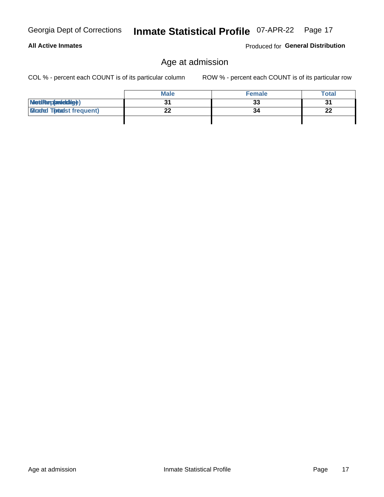**All Active Inmates** 

# Inmate Statistical Profile 07-APR-22 Page 17

### Age at admission

COL % - percent each COUNT is of its particular column

ROW % - percent each COUNT is of its particular row

Produced for General Distribution

|                                  | <b>Male</b> | <b>Female</b> | <b>Total</b> |
|----------------------------------|-------------|---------------|--------------|
| MetiRep(anicidig)                |             | 33            | 31           |
| <b>Micaded Tonadst frequent)</b> |             | 34            | 22           |
|                                  |             |               |              |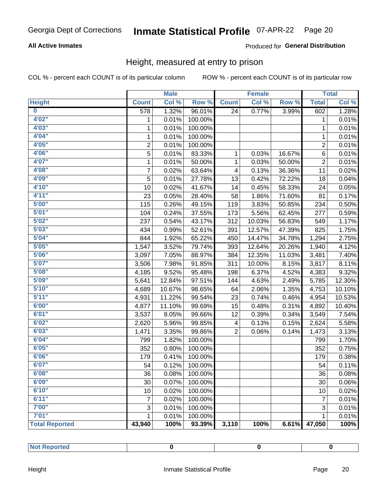#### Inmate Statistical Profile 07-APR-22 Page 20

#### **All Active Inmates**

#### Produced for General Distribution

#### Height, measured at entry to prison

COL % - percent each COUNT is of its particular column

|                       |                | <b>Male</b> |         |                | <b>Female</b> |        |                           | <b>Total</b> |
|-----------------------|----------------|-------------|---------|----------------|---------------|--------|---------------------------|--------------|
| <b>Height</b>         | <b>Count</b>   | Col %       | Row %   | <b>Count</b>   | Col %         | Row %  | <b>Total</b>              | Col %        |
| $\bf{0}$              | 578            | 1.32%       | 96.01%  | 24             | 0.77%         | 3.99%  | 602                       | 1.28%        |
| 4'02''                | 1              | 0.01%       | 100.00% |                |               |        | 1                         | 0.01%        |
| 4'03''                | 1              | 0.01%       | 100.00% |                |               |        | 1                         | 0.01%        |
| 4'04"                 | 1              | 0.01%       | 100.00% |                |               |        | 1                         | 0.01%        |
| 4'05"                 | $\overline{2}$ | 0.01%       | 100.00% |                |               |        | $\overline{2}$            | 0.01%        |
| 4'06"                 | 5              | 0.01%       | 83.33%  | 1              | 0.03%         | 16.67% | 6                         | 0.01%        |
| 4'07"                 | $\mathbf{1}$   | 0.01%       | 50.00%  | $\mathbf{1}$   | 0.03%         | 50.00% | $\overline{2}$            | 0.01%        |
| 4'08"                 | $\overline{7}$ | 0.02%       | 63.64%  | 4              | 0.13%         | 36.36% | 11                        | 0.02%        |
| 4'09"                 | 5              | 0.01%       | 27.78%  | 13             | 0.42%         | 72.22% | 18                        | 0.04%        |
| 4'10"                 | 10             | 0.02%       | 41.67%  | 14             | 0.45%         | 58.33% | 24                        | 0.05%        |
| 4'11''                | 23             | 0.05%       | 28.40%  | 58             | 1.86%         | 71.60% | 81                        | 0.17%        |
| 5'00''                | 115            | 0.26%       | 49.15%  | 119            | 3.83%         | 50.85% | 234                       | 0.50%        |
| 5'01"                 | 104            | 0.24%       | 37.55%  | 173            | 5.56%         | 62.45% | 277                       | 0.59%        |
| 5'02"                 | 237            | 0.54%       | 43.17%  | 312            | 10.03%        | 56.83% | 549                       | 1.17%        |
| 5'03''                | 434            | 0.99%       | 52.61%  | 391            | 12.57%        | 47.39% | 825                       | 1.75%        |
| 5'04"                 | 844            | 1.92%       | 65.22%  | 450            | 14.47%        | 34.78% | 1,294                     | 2.75%        |
| 5'05"                 | 1,547          | 3.52%       | 79.74%  | 393            | 12.64%        | 20.26% | 1,940                     | 4.12%        |
| 5'06''                | 3,097          | 7.05%       | 88.97%  | 384            | 12.35%        | 11.03% | 3,481                     | 7.40%        |
| 5'07"                 | 3,506          | 7.98%       | 91.85%  | 311            | 10.00%        | 8.15%  | 3,817                     | 8.11%        |
| 5'08''                | 4,185          | 9.52%       | 95.48%  | 198            | 6.37%         | 4.52%  | 4,383                     | 9.32%        |
| 5'09''                | 5,641          | 12.84%      | 97.51%  | 144            | 4.63%         | 2.49%  | 5,785                     | 12.30%       |
| 5'10''                | 4,689          | 10.67%      | 98.65%  | 64             | 2.06%         | 1.35%  | 4,753                     | 10.10%       |
| 5'11''                | 4,931          | 11.22%      | 99.54%  | 23             | 0.74%         | 0.46%  | 4,954                     | 10.53%       |
| 6'00''                | 4,877          | 11.10%      | 99.69%  | 15             | 0.48%         | 0.31%  | 4,892                     | 10.40%       |
| 6'01''                | 3,537          | 8.05%       | 99.66%  | 12             | 0.39%         | 0.34%  | 3,549                     | 7.54%        |
| 6'02"                 | 2,620          | 5.96%       | 99.85%  | 4              | 0.13%         | 0.15%  | 2,624                     | 5.58%        |
| 6'03''                | 1,471          | 3.35%       | 99.86%  | $\overline{2}$ | 0.06%         | 0.14%  | 1,473                     | 3.13%        |
| 6'04"                 | 799            | 1.82%       | 100.00% |                |               |        | 799                       | 1.70%        |
| 6'05"                 | 352            | 0.80%       | 100.00% |                |               |        | 352                       | 0.75%        |
| 6'06''                | 179            | 0.41%       | 100.00% |                |               |        | 179                       | 0.38%        |
| 6'07''                | 54             | 0.12%       | 100.00% |                |               |        | 54                        | 0.11%        |
| 6'08"                 | 36             | 0.08%       | 100.00% |                |               |        | 36                        | 0.08%        |
| 6'09''                | 30             | 0.07%       | 100.00% |                |               |        | 30                        | 0.06%        |
| 6'10''                | 10             | 0.02%       | 100.00% |                |               |        | 10                        | 0.02%        |
| 6'11''                | 7              | 0.02%       | 100.00% |                |               |        | $\overline{7}$            | 0.01%        |
| 7'00"                 | 3              | 0.01%       | 100.00% |                |               |        | $\ensuremath{\mathsf{3}}$ | 0.01%        |
| 7'01''                | 1              | 0.01%       | 100.00% |                |               |        | 1                         | 0.01%        |
| <b>Total Reported</b> | 43,940         | 100%        | 93.39%  | 3,110          | 100%          | 6.61%  | 47,050                    | 100%         |

| والمستحدث والمسترد<br>ported<br> |  |  |
|----------------------------------|--|--|
|                                  |  |  |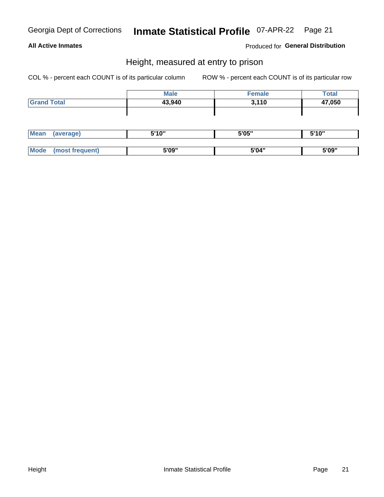## Inmate Statistical Profile 07-APR-22 Page 21

#### **All Active Inmates**

Produced for General Distribution

#### Height, measured at entry to prison

COL % - percent each COUNT is of its particular column

|                    | <b>Male</b> | <b>Female</b> | <b>Total</b> |
|--------------------|-------------|---------------|--------------|
| <b>Grand Total</b> | 43,940      | 3,110         | 47,050       |
|                    |             |               |              |
|                    |             |               |              |

| <b>Mean</b> | average)           | <b>EIA AIL</b><br>טוי | 5'05" | 5'10" |
|-------------|--------------------|-----------------------|-------|-------|
|             |                    |                       |       |       |
| <b>Mo</b>   | freauent)<br>.net. | 5'09"                 | 5'04" | 5'09" |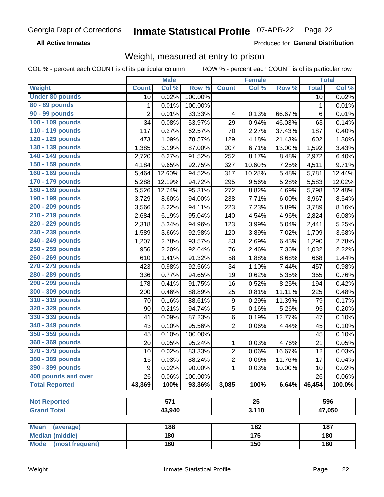#### **Inmate Statistical Profile 07-APR-22** Page 22

**All Active Inmates** 

Produced for General Distribution

### Weight, measured at entry to prison

COL % - percent each COUNT is of its particular column

|                          |                | <b>Male</b>      |         |                  | <b>Female</b>    |        |              | <b>Total</b> |
|--------------------------|----------------|------------------|---------|------------------|------------------|--------|--------------|--------------|
| Weight                   | <b>Count</b>   | Col %            | Row %   | <b>Count</b>     | Col %            | Row %  | <b>Total</b> | Col %        |
| <b>Under 80 pounds</b>   | 10             | 0.02%            | 100.00% |                  |                  |        | 10           | 0.02%        |
| 80 - 89 pounds           | 1              | 0.01%            | 100.00% |                  |                  |        | 1            | 0.01%        |
| 90 - 99 pounds           | $\overline{2}$ | 0.01%            | 33.33%  | 4                | 0.13%            | 66.67% | 6            | 0.01%        |
| 100 - 109 pounds         | 34             | 0.08%            | 53.97%  | 29               | 0.94%            | 46.03% | 63           | 0.14%        |
| 110 - 119 pounds         | 117            | 0.27%            | 62.57%  | 70               | 2.27%            | 37.43% | 187          | 0.40%        |
| 120 - 129 pounds         | 473            | 1.09%            | 78.57%  | 129              | 4.18%            | 21.43% | 602          | 1.30%        |
| 130 - 139 pounds         | 1,385          | 3.19%            | 87.00%  | 207              | 6.71%            | 13.00% | 1,592        | 3.43%        |
| 140 - 149 pounds         | 2,720          | 6.27%            | 91.52%  | 252              | 8.17%            | 8.48%  | 2,972        | 6.40%        |
| 150 - 159 pounds         | 4,184          | 9.65%            | 92.75%  | 327              | 10.60%           | 7.25%  | 4,511        | 9.71%        |
| 160 - 169 pounds         | 5,464          | 12.60%           | 94.52%  | 317              | 10.28%           | 5.48%  | 5,781        | 12.44%       |
| 170 - 179 pounds         | 5,288          | 12.19%           | 94.72%  | 295              | 9.56%            | 5.28%  | 5,583        | 12.02%       |
| 180 - 189 pounds         | 5,526          | 12.74%           | 95.31%  | 272              | 8.82%            | 4.69%  | 5,798        | 12.48%       |
| 190 - 199 pounds         | 3,729          | 8.60%            | 94.00%  | 238              | 7.71%            | 6.00%  | 3,967        | 8.54%        |
| 200 - 209 pounds         | 3,566          | 8.22%            | 94.11%  | 223              | 7.23%            | 5.89%  | 3,789        | 8.16%        |
| 210 - 219 pounds         | 2,684          | 6.19%            | 95.04%  | 140              | 4.54%            | 4.96%  | 2,824        | 6.08%        |
| 220 - 229 pounds         | 2,318          | 5.34%            | 94.96%  | 123              | 3.99%            | 5.04%  | 2,441        | 5.25%        |
| 230 - 239 pounds         | 1,589          | 3.66%            | 92.98%  | 120              | 3.89%            | 7.02%  | 1,709        | 3.68%        |
| 240 - 249 pounds         | 1,207          | 2.78%            | 93.57%  | 83               | 2.69%            | 6.43%  | 1,290        | 2.78%        |
| 250 - 259 pounds         | 956            | 2.20%            | 92.64%  | 76               | 2.46%            | 7.36%  | 1,032        | 2.22%        |
| 260 - 269 pounds         | 610            | 1.41%            | 91.32%  | 58               | 1.88%            | 8.68%  | 668          | 1.44%        |
| 270 - 279 pounds         | 423            | 0.98%            | 92.56%  | 34               | 1.10%            | 7.44%  | 457          | 0.98%        |
| 280 - 289 pounds         | 336            | 0.77%            | 94.65%  | 19               | 0.62%            | 5.35%  | 355          | 0.76%        |
| 290 - 299 pounds         | 178            | 0.41%            | 91.75%  | 16               | 0.52%            | 8.25%  | 194          | 0.42%        |
| 300 - 309 pounds         | 200            | 0.46%            | 88.89%  | 25               | 0.81%            | 11.11% | 225          | 0.48%        |
| 310 - 319 pounds         | 70             | 0.16%            | 88.61%  | $\boldsymbol{9}$ | 0.29%            | 11.39% | 79           | 0.17%        |
| 320 - 329 pounds         | 90             | 0.21%            | 94.74%  | 5                | 0.16%            | 5.26%  | 95           | 0.20%        |
| 330 - 339 pounds         | 41             | 0.09%            | 87.23%  | $\,6$            | 0.19%            | 12.77% | 47           | 0.10%        |
| 340 - 349 pounds         | 43             | 0.10%            | 95.56%  | $\overline{2}$   | 0.06%            | 4.44%  | 45           | 0.10%        |
| 350 - 359 pounds         | 45             | 0.10%            | 100.00% |                  |                  |        | 45           | 0.10%        |
| 360 - 369 pounds         | 20             | 0.05%            | 95.24%  | 1                | 0.03%            | 4.76%  | 21           | 0.05%        |
| 370 - 379 pounds         | 10             | 0.02%            | 83.33%  | $\overline{2}$   | 0.06%            | 16.67% | 12           | 0.03%        |
| 380 - 389 pounds         | 15             | 0.03%            | 88.24%  | $\overline{2}$   | 0.06%            | 11.76% | 17           | 0.04%        |
| 390 - 399 pounds         | 9              | 0.02%            | 90.00%  | 1                | 0.03%            | 10.00% | 10           | 0.02%        |
| 400 pounds and over      | 26             | 0.06%            | 100.00% |                  |                  |        | 26           | 0.06%        |
| <b>Total Reported</b>    | 43,369         | 100%             | 93.36%  | 3,085            | 100%             | 6.64%  | 46,454       | 100.0%       |
|                          |                |                  |         |                  |                  |        |              |              |
| <b>Not Reported</b>      |                | $\overline{571}$ |         |                  | $\overline{25}$  |        |              | 596          |
| <b>Grand Total</b>       |                | 43,940           |         |                  | 3,110            |        |              | 47,050       |
|                          |                |                  |         |                  |                  |        |              |              |
| <b>Mean</b><br>(average) |                | 188              |         |                  | 182              |        |              | 187          |
| <b>Median (middle)</b>   |                | 180              |         |                  | $\overline{175}$ |        |              | 180          |
| Mode (most frequent)     |                | 180              |         |                  | 150              |        |              | 180          |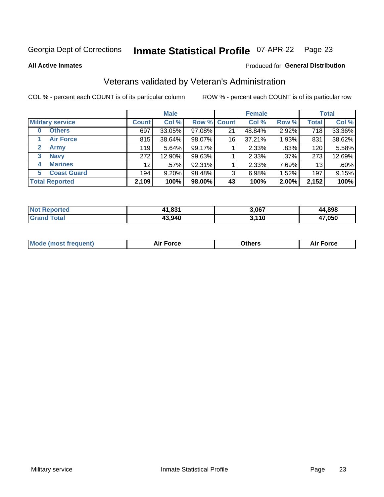#### **Inmate Statistical Profile 07-APR-22** Page 23

**All Active Inmates** 

#### Produced for General Distribution

### Veterans validated by Veteran's Administration

COL % - percent each COUNT is of its particular column

|                             |                 | <b>Male</b> |        |                    | <b>Female</b> |       |              | <b>Total</b> |
|-----------------------------|-----------------|-------------|--------|--------------------|---------------|-------|--------------|--------------|
| <b>Military service</b>     | <b>Count</b>    | Col %       |        | <b>Row % Count</b> | Col %         | Row % | <b>Total</b> | Col %        |
| <b>Others</b><br>0          | 697             | 33.05%      | 97.08% | 21                 | 48.84%        | 2.92% | 718          | 33.36%       |
| <b>Air Force</b>            | 815             | 38.64%      | 98.07% | 16                 | 37.21%        | 1.93% | 831          | 38.62%       |
| <b>Army</b><br>$\mathbf{2}$ | 119             | 5.64%       | 99.17% |                    | 2.33%         | .83%  | 120          | 5.58%        |
| <b>Navy</b><br>3            | 272             | 12.90%      | 99.63% |                    | 2.33%         | .37%  | 273          | 12.69%       |
| <b>Marines</b><br>4         | 12 <sup>2</sup> | $.57\%$     | 92.31% |                    | 2.33%         | 7.69% | 13           | .60%         |
| <b>Coast Guard</b><br>5.    | 194             | 9.20%       | 98.48% | 3                  | 6.98%         | 1.52% | 197          | 9.15%        |
| <b>Total Reported</b>       | 2,109           | 100%        | 98.00% | 43                 | 100%          | 2.00% | 2,152        | 100%         |

| <b>Not</b><br>Reported | 11,831 | 3,067 | 4,898  |
|------------------------|--------|-------|--------|
| ⊺otal                  | 43,940 | 3,110 | 17,050 |

|  |  | <b>Mode (most frequent)</b> | <b>Force</b><br>Aır | วthers | orce |
|--|--|-----------------------------|---------------------|--------|------|
|--|--|-----------------------------|---------------------|--------|------|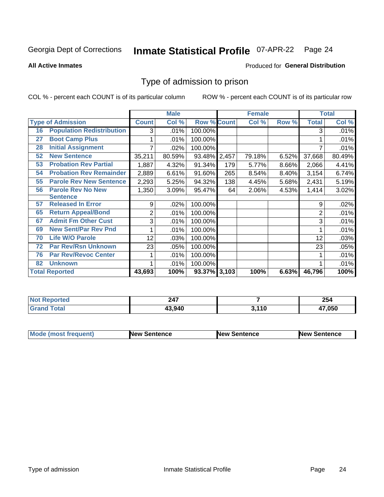#### **Inmate Statistical Profile 07-APR-22** Page 24

**All Active Inmates** 

#### Produced for General Distribution

### Type of admission to prison

COL % - percent each COUNT is of its particular column

|    |                                  |                | <b>Male</b> |                    |       | <b>Female</b> |       |                | <b>Total</b> |
|----|----------------------------------|----------------|-------------|--------------------|-------|---------------|-------|----------------|--------------|
|    | <b>Type of Admission</b>         | <b>Count</b>   | Col %       | <b>Row % Count</b> |       | Col %         | Row % | <b>Total</b>   | Col %        |
| 16 | <b>Population Redistribution</b> | 3              | .01%        | 100.00%            |       |               |       | 3              | .01%         |
| 27 | <b>Boot Camp Plus</b>            |                | .01%        | 100.00%            |       |               |       |                | .01%         |
| 28 | <b>Initial Assignment</b>        |                | .02%        | 100.00%            |       |               |       |                | .01%         |
| 52 | <b>New Sentence</b>              | 35,211         | 80.59%      | 93.48%             | 2,457 | 79.18%        | 6.52% | 37,668         | 80.49%       |
| 53 | <b>Probation Rev Partial</b>     | 1,887          | 4.32%       | 91.34%             | 179   | 5.77%         | 8.66% | 2,066          | 4.41%        |
| 54 | <b>Probation Rev Remainder</b>   | 2,889          | 6.61%       | 91.60%             | 265   | 8.54%         | 8.40% | 3,154          | 6.74%        |
| 55 | <b>Parole Rev New Sentence</b>   | 2,293          | 5.25%       | 94.32%             | 138   | 4.45%         | 5.68% | 2,431          | 5.19%        |
| 56 | <b>Parole Rev No New</b>         | 1,350          | 3.09%       | 95.47%             | 64    | 2.06%         | 4.53% | 1,414          | 3.02%        |
|    | <b>Sentence</b>                  |                |             |                    |       |               |       |                |              |
| 57 | <b>Released In Error</b>         | 9              | .02%        | 100.00%            |       |               |       | 9              | .02%         |
| 65 | <b>Return Appeal/Bond</b>        | $\overline{2}$ | .01%        | 100.00%            |       |               |       | $\overline{2}$ | .01%         |
| 67 | <b>Admit Fm Other Cust</b>       | 3              | .01%        | 100.00%            |       |               |       | 3              | .01%         |
| 69 | <b>New Sent/Par Rev Pnd</b>      |                | .01%        | 100.00%            |       |               |       |                | .01%         |
| 70 | <b>Life W/O Parole</b>           | 12             | .03%        | 100.00%            |       |               |       | 12             | .03%         |
| 72 | <b>Par Rev/Rsn Unknown</b>       | 23             | .05%        | 100.00%            |       |               |       | 23             | .05%         |
| 76 | <b>Par Rev/Revoc Center</b>      |                | .01%        | 100.00%            |       |               |       |                | .01%         |
| 82 | <b>Unknown</b>                   |                | .01%        | 100.00%            |       |               |       |                | .01%         |
|    | <b>Total Reported</b>            | 43,693         | 100%        | 93.37%             | 3,103 | 100%          | 6.63% | 46,796         | 100%         |

| <b>Not Reported</b> | 247    |                     | 254    |
|---------------------|--------|---------------------|--------|
| Total<br>Grar       | 43.940 | <b>440</b><br>J.IIV | 17.050 |

| <b>Mode (most frequent)</b> | <b>New Sentence</b> | <b>New Sentence</b> | <b>New Sentence</b> |
|-----------------------------|---------------------|---------------------|---------------------|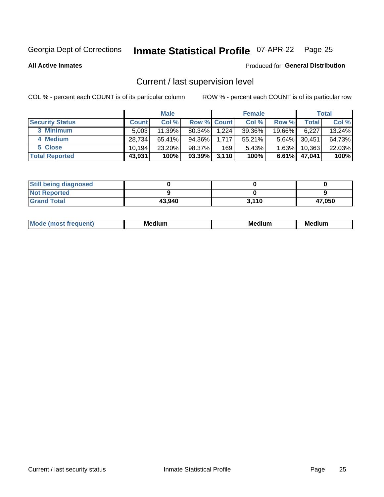# Inmate Statistical Profile 07-APR-22 Page 25

**All Active Inmates** 

#### Produced for General Distribution

### Current / last supervision level

COL % - percent each COUNT is of its particular column

|                        |              | <b>Male</b> |                    |       | <b>Female</b> |          |              | <b>Total</b> |
|------------------------|--------------|-------------|--------------------|-------|---------------|----------|--------------|--------------|
| <b>Security Status</b> | <b>Count</b> | Col %       | <b>Row % Count</b> |       | Col %         | Row %    | <b>Total</b> | Col %        |
| 3 Minimum              | 5.003        | $11.39\%$   | 80.34%             | 1,224 | 39.36%        | 19.66%   | 6,227        | $13.24\%$    |
| 4 Medium               | 28.734       | $65.41\%$   | 94.36%             | 1,717 | 55.21%        | $5.64\%$ | 30,451       | 64.73%       |
| 5 Close                | 10.194       | 23.20%      | 98.37%             | 169   | 5.43%         | 1.63%    | 10,363       | 22.03%       |
| <b>Total Reported</b>  | 43,931       | 100%        | $93.39\%$ 3,110    |       | 100%          | $6.61\%$ | 47,041       | 100%         |

| <b>Still being diagnosed</b> |        |       |        |
|------------------------------|--------|-------|--------|
| <b>Not Reported</b>          |        |       |        |
| <b>Grand Total</b>           | 43,940 | 3,110 | 47,050 |

| $M_{\Omega}$ | Me<br>edium<br>____ | Мє<br>dium<br>_____ | Medium<br> |
|--------------|---------------------|---------------------|------------|
|              |                     |                     |            |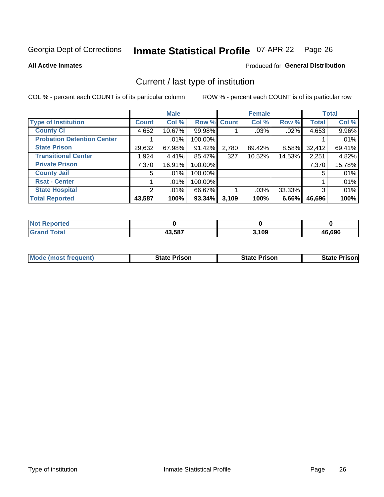# Inmate Statistical Profile 07-APR-22 Page 26

#### **All Active Inmates**

### Produced for General Distribution

### Current / last type of institution

COL % - percent each COUNT is of its particular column

|                                   |                | <b>Male</b> |             |       | <b>Female</b> |        |              | <b>Total</b> |
|-----------------------------------|----------------|-------------|-------------|-------|---------------|--------|--------------|--------------|
| <b>Type of Institution</b>        | <b>Count</b>   | Col %       | Row % Count |       | Col %         | Row %  | <b>Total</b> | Col %        |
| <b>County Ci</b>                  | 4,652          | 10.67%      | 99.98%      |       | .03%          | .02%   | 4,653        | 9.96%        |
| <b>Probation Detention Center</b> |                | .01%        | 100.00%     |       |               |        |              | .01%         |
| <b>State Prison</b>               | 29,632         | 67.98%      | 91.42%      | 2,780 | 89.42%        | 8.58%  | 32,412       | 69.41%       |
| <b>Transitional Center</b>        | 1,924          | 4.41%       | 85.47%      | 327   | 10.52%        | 14.53% | 2,251        | 4.82%        |
| <b>Private Prison</b>             | 7,370          | 16.91%      | 100.00%     |       |               |        | 7,370        | 15.78%       |
| <b>County Jail</b>                | 5              | .01%        | 100.00%     |       |               |        | 5            | .01%         |
| <b>Rsat - Center</b>              |                | $.01\%$     | 100.00%     |       |               |        |              | .01%         |
| <b>State Hospital</b>             | $\overline{2}$ | $.01\%$     | 66.67%      |       | .03%          | 33.33% | 3            | .01%         |
| <b>Total Reported</b>             | 43,587         | 100%        | $93.34\%$   | 3,109 | 100%          | 6.66%  | 46,696       | 100%         |

| <b>Not</b><br>Reported |        |       |        |
|------------------------|--------|-------|--------|
| <b>Total</b>           | 43,587 | 3,109 | 46.696 |

| <b>Mode (most frequent)</b> | <b>State Prison</b> | <b>State Prison</b> | <b>State Prisonl</b> |
|-----------------------------|---------------------|---------------------|----------------------|
|                             |                     |                     |                      |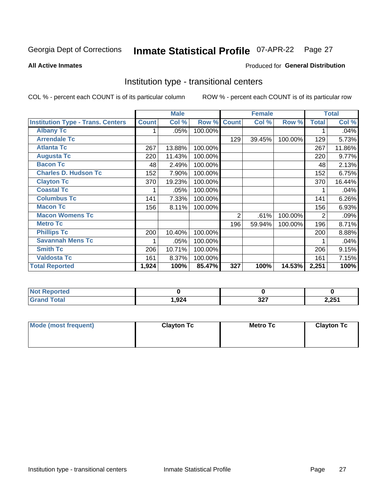#### **Inmate Statistical Profile 07-APR-22** Page 27

Produced for General Distribution

#### **All Active Inmates**

### Institution type - transitional centers

COL % - percent each COUNT is of its particular column

|                                          |              | <b>Male</b> |         |              | <b>Female</b> |         |              | <b>Total</b> |
|------------------------------------------|--------------|-------------|---------|--------------|---------------|---------|--------------|--------------|
| <b>Institution Type - Trans. Centers</b> | <b>Count</b> | Col %       | Row %   | <b>Count</b> | Col %         | Row %   | <b>Total</b> | Col %        |
| <b>Albany Tc</b>                         |              | .05%        | 100.00% |              |               |         |              | .04%         |
| <b>Arrendale Tc</b>                      |              |             |         | 129          | 39.45%        | 100.00% | 129          | 5.73%        |
| <b>Atlanta Tc</b>                        | 267          | 13.88%      | 100.00% |              |               |         | 267          | 11.86%       |
| <b>Augusta Tc</b>                        | 220          | 11.43%      | 100.00% |              |               |         | 220          | 9.77%        |
| <b>Bacon Tc</b>                          | 48           | 2.49%       | 100.00% |              |               |         | 48           | 2.13%        |
| <b>Charles D. Hudson Tc</b>              | 152          | 7.90%       | 100.00% |              |               |         | 152          | 6.75%        |
| <b>Clayton Tc</b>                        | 370          | 19.23%      | 100.00% |              |               |         | 370          | 16.44%       |
| <b>Coastal Tc</b>                        |              | .05%        | 100.00% |              |               |         |              | .04%         |
| <b>Columbus Tc</b>                       | 141          | 7.33%       | 100.00% |              |               |         | 141          | 6.26%        |
| <b>Macon Tc</b>                          | 156          | 8.11%       | 100.00% |              |               |         | 156          | 6.93%        |
| <b>Macon Womens Tc</b>                   |              |             |         | 2            | .61%          | 100.00% | 2            | .09%         |
| <b>Metro Tc</b>                          |              |             |         | 196          | 59.94%        | 100.00% | 196          | 8.71%        |
| <b>Phillips Tc</b>                       | 200          | 10.40%      | 100.00% |              |               |         | 200          | 8.88%        |
| <b>Savannah Mens Tc</b>                  |              | .05%        | 100.00% |              |               |         |              | .04%         |
| <b>Smith Tc</b>                          | 206          | 10.71%      | 100.00% |              |               |         | 206          | 9.15%        |
| <b>Valdosta Tc</b>                       | 161          | 8.37%       | 100.00% |              |               |         | 161          | 7.15%        |
| <b>Total Reported</b>                    | 1,924        | 100%        | 85.47%  | 327          | 100%          | 14.53%  | 2,251        | 100%         |

| <b>Reported</b><br>' NOT |      |             |                 |
|--------------------------|------|-------------|-----------------|
| ™otal                    | ,924 | 227<br>JZ 1 | ) 751<br>2,2J I |

| Mode (most frequent) | <b>Clayton Tc</b> | Metro Tc | <b>Clayton Tc</b> |
|----------------------|-------------------|----------|-------------------|
|                      |                   |          |                   |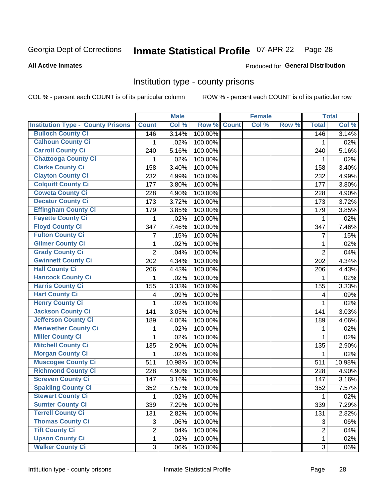# Inmate Statistical Profile 07-APR-22 Page 28

#### **All Active Inmates**

#### Produced for General Distribution

#### Institution type - county prisons

COL % - percent each COUNT is of its particular column

|                                          |                | <b>Male</b> |         |              | <b>Female</b> |       |                | <b>Total</b> |
|------------------------------------------|----------------|-------------|---------|--------------|---------------|-------|----------------|--------------|
| <b>Institution Type - County Prisons</b> | <b>Count</b>   | Col %       | Row %   | <b>Count</b> | Col %         | Row % | <b>Total</b>   | Col %        |
| <b>Bulloch County Ci</b>                 | 146            | 3.14%       | 100.00% |              |               |       | 146            | 3.14%        |
| <b>Calhoun County Ci</b>                 | 1              | .02%        | 100.00% |              |               |       | 1              | .02%         |
| <b>Carroll County Ci</b>                 | 240            | 5.16%       | 100.00% |              |               |       | 240            | 5.16%        |
| <b>Chattooga County Ci</b>               | 1              | .02%        | 100.00% |              |               |       | 1              | .02%         |
| <b>Clarke County Ci</b>                  | 158            | 3.40%       | 100.00% |              |               |       | 158            | 3.40%        |
| <b>Clayton County Ci</b>                 | 232            | 4.99%       | 100.00% |              |               |       | 232            | 4.99%        |
| <b>Colquitt County Ci</b>                | 177            | 3.80%       | 100.00% |              |               |       | 177            | 3.80%        |
| <b>Coweta County Ci</b>                  | 228            | 4.90%       | 100.00% |              |               |       | 228            | 4.90%        |
| <b>Decatur County Ci</b>                 | 173            | 3.72%       | 100.00% |              |               |       | 173            | 3.72%        |
| <b>Effingham County Ci</b>               | 179            | 3.85%       | 100.00% |              |               |       | 179            | 3.85%        |
| <b>Fayette County Ci</b>                 | 1              | .02%        | 100.00% |              |               |       | 1              | .02%         |
| <b>Floyd County Ci</b>                   | 347            | 7.46%       | 100.00% |              |               |       | 347            | 7.46%        |
| <b>Fulton County Ci</b>                  | 7              | .15%        | 100.00% |              |               |       | $\overline{7}$ | .15%         |
| <b>Gilmer County Ci</b>                  | 1              | .02%        | 100.00% |              |               |       | 1              | .02%         |
| <b>Grady County Ci</b>                   | $\overline{2}$ | .04%        | 100.00% |              |               |       | $\overline{2}$ | .04%         |
| <b>Gwinnett County Ci</b>                | 202            | 4.34%       | 100.00% |              |               |       | 202            | 4.34%        |
| <b>Hall County Ci</b>                    | 206            | 4.43%       | 100.00% |              |               |       | 206            | 4.43%        |
| <b>Hancock County Ci</b>                 | 1              | .02%        | 100.00% |              |               |       | 1              | .02%         |
| <b>Harris County Ci</b>                  | 155            | 3.33%       | 100.00% |              |               |       | 155            | 3.33%        |
| <b>Hart County Ci</b>                    | 4              | .09%        | 100.00% |              |               |       | 4              | .09%         |
| <b>Henry County Ci</b>                   | 1              | .02%        | 100.00% |              |               |       | 1              | .02%         |
| Jackson County Ci                        | 141            | 3.03%       | 100.00% |              |               |       | 141            | 3.03%        |
| <b>Jefferson County Ci</b>               | 189            | 4.06%       | 100.00% |              |               |       | 189            | 4.06%        |
| <b>Meriwether County Ci</b>              | 1              | .02%        | 100.00% |              |               |       | 1              | .02%         |
| <b>Miller County Ci</b>                  | 1              | .02%        | 100.00% |              |               |       | $\mathbf{1}$   | .02%         |
| <b>Mitchell County Ci</b>                | 135            | 2.90%       | 100.00% |              |               |       | 135            | 2.90%        |
| <b>Morgan County Ci</b>                  | 1              | .02%        | 100.00% |              |               |       | 1              | .02%         |
| <b>Muscogee County Ci</b>                | 511            | 10.98%      | 100.00% |              |               |       | 511            | 10.98%       |
| <b>Richmond County Ci</b>                | 228            | 4.90%       | 100.00% |              |               |       | 228            | 4.90%        |
| <b>Screven County Ci</b>                 | 147            | 3.16%       | 100.00% |              |               |       | 147            | 3.16%        |
| <b>Spalding County Ci</b>                | 352            | 7.57%       | 100.00% |              |               |       | 352            | 7.57%        |
| <b>Stewart County Ci</b>                 | $\mathbf{1}$   | .02%        | 100.00% |              |               |       | 1              | .02%         |
| <b>Sumter County Ci</b>                  | 339            | 7.29%       | 100.00% |              |               |       | 339            | 7.29%        |
| <b>Terrell County Ci</b>                 | 131            | 2.82%       | 100.00% |              |               |       | 131            | 2.82%        |
| <b>Thomas County Ci</b>                  | 3              | .06%        | 100.00% |              |               |       | 3              | .06%         |
| <b>Tift County Ci</b>                    | $\overline{2}$ | .04%        | 100.00% |              |               |       | $\overline{2}$ | .04%         |
| <b>Upson County Ci</b>                   | 1              | .02%        | 100.00% |              |               |       | $\mathbf 1$    | .02%         |
| <b>Walker County Ci</b>                  | 3              | .06%        | 100.00% |              |               |       | 3              | .06%         |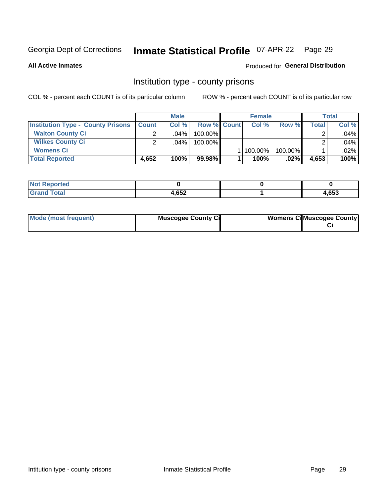# Inmate Statistical Profile 07-APR-22 Page 29

**All Active Inmates** 

#### Produced for General Distribution

#### Institution type - county prisons

COL % - percent each COUNT is of its particular column

|                                          |              | <b>Male</b> |                    | <b>Female</b> |         |       | Total |
|------------------------------------------|--------------|-------------|--------------------|---------------|---------|-------|-------|
| <b>Institution Type - County Prisons</b> | <b>Count</b> | Col%        | <b>Row % Count</b> | Col%          | Row %   | Total | Col % |
| <b>Walton County Ci</b>                  | ⌒            | $.04\%$     | 100.00%            |               |         |       | .04%  |
| <b>Wilkes County Ci</b>                  | ⌒            | $.04\%$     | 100.00%            |               |         |       | .04%  |
| <b>Womens Ci</b>                         |              |             |                    | 100.00%       | 100.00% |       | .02%  |
| <b>Total Reported</b>                    | 4,652        | 100%        | $99.98\%$          | 100%          | .02%    | 4,653 | 100%  |

| <b>NI</b><br>τeα |               |      |
|------------------|---------------|------|
| _____            | L GEO<br>,∪JZ | ,653 |

| Mode (most frequent) | <b>Muscogee County Ci</b> | <b>Womens CilMuscogee County</b> |
|----------------------|---------------------------|----------------------------------|
|----------------------|---------------------------|----------------------------------|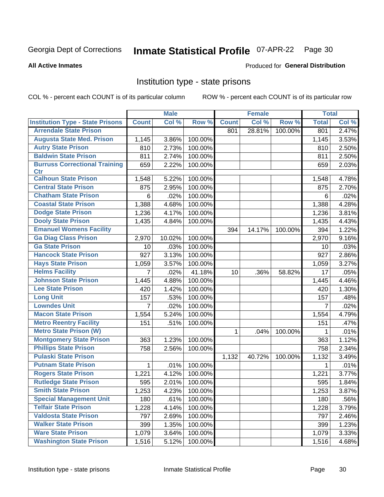# Inmate Statistical Profile 07-APR-22 Page 30

**All Active Inmates** 

#### Produced for General Distribution

#### Institution type - state prisons

COL % - percent each COUNT is of its particular column

|                                         |                | <b>Male</b>    |         |              | <b>Female</b> |         | <b>Total</b>   |                     |
|-----------------------------------------|----------------|----------------|---------|--------------|---------------|---------|----------------|---------------------|
| <b>Institution Type - State Prisons</b> | <b>Count</b>   | Col %          | Row %   | <b>Count</b> | Col %         | Row %   | <b>Total</b>   | Col %               |
| <b>Arrendale State Prison</b>           |                |                |         | 801          | 28.81%        | 100.00% | 801            | 2.47%               |
| <b>Augusta State Med. Prison</b>        | 1,145          | 3.86%          | 100.00% |              |               |         | 1,145          | 3.53%               |
| <b>Autry State Prison</b>               | 810            | 2.73%          | 100.00% |              |               |         | 810            | 2.50%               |
| <b>Baldwin State Prison</b>             | 811            | 2.74%          | 100.00% |              |               |         | 811            | 2.50%               |
| <b>Burruss Correctional Training</b>    | 659            | 2.22%          | 100.00% |              |               |         | 659            | 2.03%               |
| <b>Ctr</b>                              |                |                |         |              |               |         |                |                     |
| <b>Calhoun State Prison</b>             | 1,548          | 5.22%          | 100.00% |              |               |         | 1,548          | 4.78%               |
| <b>Central State Prison</b>             | 875            | 2.95%          | 100.00% |              |               |         | 875            | 2.70%               |
| <b>Chatham State Prison</b>             | 6              | .02%           | 100.00% |              |               |         | 6              | .02%                |
| <b>Coastal State Prison</b>             | 1,388          | 4.68%          | 100.00% |              |               |         | 1,388          | 4.28%               |
| <b>Dodge State Prison</b>               | 1,236          | 4.17%          | 100.00% |              |               |         | 1,236          | 3.81%               |
| <b>Dooly State Prison</b>               | 1,435          | 4.84%          | 100.00% |              |               |         | 1,435          | 4.43%               |
| <b>Emanuel Womens Facility</b>          |                |                |         | 394          | 14.17%        | 100.00% | 394            | 1.22%               |
| <b>Ga Diag Class Prison</b>             | 2,970          | 10.02%         | 100.00% |              |               |         | 2,970          | 9.16%               |
| <b>Ga State Prison</b>                  | 10             | .03%           | 100.00% |              |               |         | 10             | .03%                |
| <b>Hancock State Prison</b>             | 927            | 3.13%          | 100.00% |              |               |         | 927            | 2.86%               |
| <b>Hays State Prison</b>                | 1,059          | 3.57%          | 100.00% |              |               |         | 1,059          | 3.27%               |
| <b>Helms Facility</b>                   | 7              | .02%           | 41.18%  | 10           | .36%          | 58.82%  | 17             | .05%                |
| <b>Johnson State Prison</b>             | 1,445          | 4.88%          | 100.00% |              |               |         | 1,445          | 4.46%               |
| <b>Lee State Prison</b>                 | 420            | 1.42%          | 100.00% |              |               |         | 420            | $\overline{1.30\%}$ |
| <b>Long Unit</b>                        | 157            | .53%           | 100.00% |              |               |         | 157            | .48%                |
| <b>Lowndes Unit</b>                     | $\overline{7}$ | .02%           | 100.00% |              |               |         | $\overline{7}$ | .02%                |
| <b>Macon State Prison</b>               | 1,554          | 5.24%          | 100.00% |              |               |         | 1,554          | 4.79%               |
| <b>Metro Reentry Facility</b>           | 151            | .51%           | 100.00% |              |               |         | 151            | .47%                |
| <b>Metro State Prison (W)</b>           |                |                |         | 1            | .04%          | 100.00% | 1              | .01%                |
| <b>Montgomery State Prison</b>          | 363            | 1.23%          | 100.00% |              |               |         | 363            | 1.12%               |
| <b>Phillips State Prison</b>            | 758            | 2.56%          | 100.00% |              |               |         | 758            | 2.34%               |
| <b>Pulaski State Prison</b>             |                |                |         | 1,132        | 40.72%        | 100.00% | 1,132          | 3.49%               |
| <b>Putnam State Prison</b>              | 1              | .01%           | 100.00% |              |               |         | 1              | .01%                |
| <b>Rogers State Prison</b>              | 1,221          | 4.12%          | 100.00% |              |               |         | 1,221          | 3.77%               |
| <b>Rutledge State Prison</b>            | 595            | 2.01%          | 100.00% |              |               |         | 595            | 1.84%               |
| <b>Smith State Prison</b>               | 1,253          | $4.23\sqrt{6}$ | 100.00% |              |               |         | 1,253          | 3.87%               |
| <b>Special Management Unit</b>          | 180            | .61%           | 100.00% |              |               |         | 180            | .56%                |
| <b>Telfair State Prison</b>             | 1,228          | 4.14%          | 100.00% |              |               |         | 1,228          | 3.79%               |
| <b>Valdosta State Prison</b>            | 797            | 2.69%          | 100.00% |              |               |         | 797            | 2.46%               |
| <b>Walker State Prison</b>              | 399            | 1.35%          | 100.00% |              |               |         | 399            | 1.23%               |
| <b>Ware State Prison</b>                | 1,079          | 3.64%          | 100.00% |              |               |         | 1,079          | 3.33%               |
| <b>Washington State Prison</b>          | 1,516          | 5.12%          | 100.00% |              |               |         | 1,516          | 4.68%               |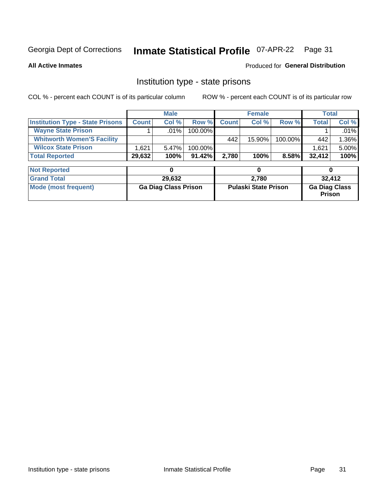#### Inmate Statistical Profile 07-APR-22 Page 31

**All Active Inmates** 

#### Produced for General Distribution

### Institution type - state prisons

COL % - percent each COUNT is of its particular column

|                                         |              | <b>Male</b> |            |              | <b>Female</b> |         | Total        |          |
|-----------------------------------------|--------------|-------------|------------|--------------|---------------|---------|--------------|----------|
| <b>Institution Type - State Prisons</b> | <b>Count</b> | Col %       | Row %I     | <b>Count</b> | Col %         | Row %   | <b>Total</b> | Col %    |
| <b>Wayne State Prison</b>               |              | $.01\%$     | $100.00\%$ |              |               |         |              | $.01\%$  |
| <b>Whitworth Women'S Facility</b>       |              |             |            | 442          | 15.90%        | 100.00% | 442          | 1.36%    |
| <b>Wilcox State Prison</b>              | .621         | $5.47\%$    | $100.00\%$ |              |               |         | 1,621        | $5.00\%$ |
| <b>Total Reported</b>                   | 29,632       | 100%        | $91.42\%$  | 2.780        | 100%          | 8.58%   | 32,412       | 100%     |

| <b>Not Reported</b>  |                             |                             |                                       |
|----------------------|-----------------------------|-----------------------------|---------------------------------------|
| <b>Grand Total</b>   | 29,632                      | 2,780                       | 32.412                                |
| Mode (most frequent) | <b>Ga Diag Class Prison</b> | <b>Pulaski State Prison</b> | <b>Ga Diag Class</b><br><b>Prison</b> |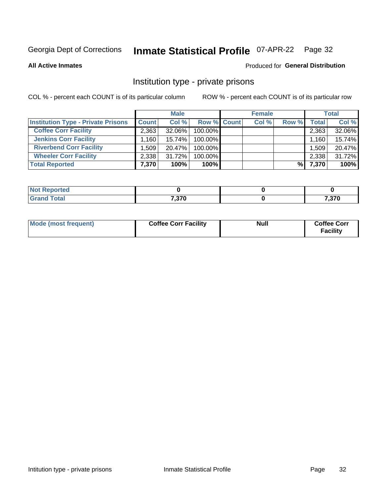# Inmate Statistical Profile 07-APR-22 Page 32

Produced for General Distribution

#### **All Active Inmates**

# Institution type - private prisons

COL % - percent each COUNT is of its particular column

|                                           |                                     | <b>Male</b> |                    | <b>Female</b> |       |       | <b>Total</b> |
|-------------------------------------------|-------------------------------------|-------------|--------------------|---------------|-------|-------|--------------|
| <b>Institution Type - Private Prisons</b> | <b>Count</b>                        | Col %       | <b>Row % Count</b> | Col %         | Row % | Total | Col %        |
| <b>Coffee Corr Facility</b>               | 2,363                               | 32.06%      | 100.00%            |               |       | 2,363 | 32.06%       |
| <b>Jenkins Corr Facility</b>              | $1,160$ <sup><math>\pm</math></sup> | $15.74\%$   | 100.00%            |               |       | 1,160 | 15.74%       |
| <b>Riverbend Corr Facility</b>            | .509                                | 20.47%      | 100.00%            |               |       | 1,509 | 20.47%       |
| <b>Wheeler Corr Facility</b>              | 2,338                               | 31.72%      | 100.00%            |               |       | 2,338 | 31.72%       |
| <b>Total Reported</b>                     | 7,370                               | 100%        | $100\%$            |               | %I    | 7,370 | 100%         |

| oorted<br><b>NI</b> |       |       |
|---------------------|-------|-------|
| int                 | 7,370 | 7,370 |

| Mode (most frequent) | <b>Coffee Corr Facility</b> | <b>Null</b> | <b>Coffee Corr</b><br><b>Facility</b> |
|----------------------|-----------------------------|-------------|---------------------------------------|
|----------------------|-----------------------------|-------------|---------------------------------------|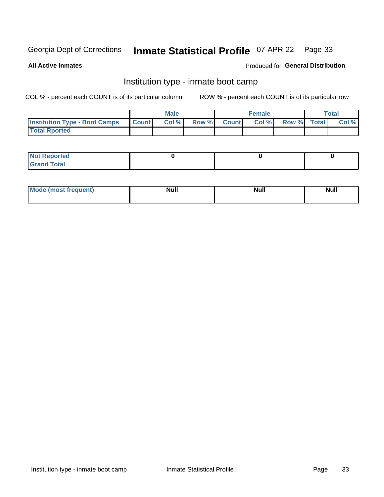# Inmate Statistical Profile 07-APR-22 Page 33

**All Active Inmates** 

#### Produced for General Distribution

### Institution type - inmate boot camp

COL % - percent each COUNT is of its particular column

|                                      | <b>Male</b>      |       |              | <b>Female</b> |       |             | <b>Total</b> |       |
|--------------------------------------|------------------|-------|--------------|---------------|-------|-------------|--------------|-------|
| <b>Institution Type - Boot Camps</b> | <b>I</b> Count I | Col % | <b>Row %</b> | <b>Count</b>  | Col % | Row % Total |              | Col % |
| <b>Total Rported</b>                 |                  |       |              |               |       |             |              |       |

| <b>Not Reported</b> |  |  |
|---------------------|--|--|
| <b>Total</b><br>Cro |  |  |

| Mod<br>uamo | Nul.<br>$- - - - - -$ | <b>Null</b> | . .<br>uu.<br>------ |
|-------------|-----------------------|-------------|----------------------|
|             |                       |             |                      |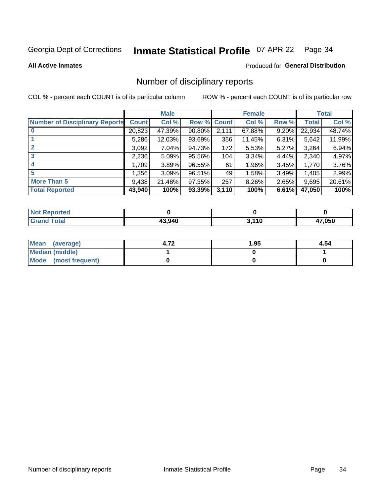# Inmate Statistical Profile 07-APR-22 Page 34

**All Active Inmates** 

#### **Produced for General Distribution**

### Number of disciplinary reports

COL % - percent each COUNT is of its particular column

|                                       |              | <b>Male</b> |             |       | <b>Female</b> |       |        | <b>Total</b> |
|---------------------------------------|--------------|-------------|-------------|-------|---------------|-------|--------|--------------|
| <b>Number of Disciplinary Reports</b> | <b>Count</b> | Col %       | Row % Count |       | Col %         | Row % | Total  | Col %        |
|                                       | 20,823       | 47.39%      | $90.80\%$   | 2,111 | 67.88%        | 9.20% | 22,934 | 48.74%       |
|                                       | 5,286        | 12.03%      | 93.69%      | 356   | 11.45%        | 6.31% | 5,642  | 11.99%       |
| $\mathbf{2}$                          | 3,092        | 7.04%       | 94.73%      | 172   | 5.53%         | 5.27% | 3,264  | 6.94%        |
| 3                                     | 2,236        | 5.09%       | 95.56%      | 104   | 3.34%         | 4.44% | 2,340  | 4.97%        |
|                                       | 1.709        | 3.89%       | 96.55%      | 61    | 1.96%         | 3.45% | 1,770  | 3.76%        |
| 5                                     | 1,356        | 3.09%       | 96.51%      | 49    | 1.58%         | 3.49% | 1,405  | 2.99%        |
| <b>More Than 5</b>                    | 9,438        | 21.48%      | 97.35%      | 257   | 8.26%         | 2.65% | 9,695  | 20.61%       |
| <b>Total Reported</b>                 | 43,940       | 100%        | 93.39%      | 3,110 | 100%          | 6.61% | 47,050 | 100%         |

| <b>Not Reported</b> |        |       |        |
|---------------------|--------|-------|--------|
| <b>Total</b>        | 13.940 | 2.110 | 17,050 |

| Mean (average)       | 4.72 | 1.95 | 4.54 |
|----------------------|------|------|------|
| Median (middle)      |      |      |      |
| Mode (most frequent) |      |      |      |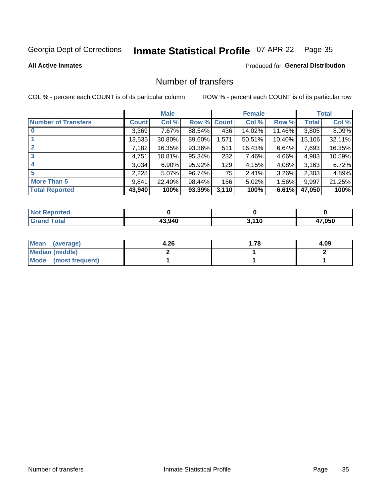# Inmate Statistical Profile 07-APR-22 Page 35

#### **All Active Inmates**

#### **Produced for General Distribution**

### Number of transfers

COL % - percent each COUNT is of its particular column

|                            |              | <b>Male</b> |        |              | <b>Female</b> |           |              | <b>Total</b> |
|----------------------------|--------------|-------------|--------|--------------|---------------|-----------|--------------|--------------|
| <b>Number of Transfers</b> | <b>Count</b> | Col %       | Row %  | <b>Count</b> | Col %         | Row %     | <b>Total</b> | Col %        |
|                            | 3,369        | 7.67%       | 88.54% | 436          | 14.02%        | 11.46%    | 3,805        | 8.09%        |
|                            | 13,535       | 30.80%      | 89.60% | 1,571        | 50.51%        | $10.40\%$ | 15,106       | 32.11%       |
| $\mathbf{2}$               | 7,182        | 16.35%      | 93.36% | 511          | 16.43%        | 6.64%     | 7,693        | 16.35%       |
| 3                          | 4,751        | 10.81%      | 95.34% | 232          | 7.46%         | 4.66%     | 4,983        | 10.59%       |
| 4                          | 3.034        | $6.90\%$    | 95.92% | 129          | 4.15%         | $4.08\%$  | 3,163        | 6.72%        |
| 5                          | 2,228        | $5.07\%$    | 96.74% | 75           | 2.41%         | $3.26\%$  | 2,303        | 4.89%        |
| <b>More Than 5</b>         | 9,841        | 22.40%      | 98.44% | 156          | 5.02%         | $1.56\%$  | 9,997        | 21.25%       |
| <b>Total Reported</b>      | 43,940       | 100%        | 93.39% | 3,110        | 100%          | 6.61%     | 47,050       | 100%         |

| <b>Not Reported</b> |        |       |       |
|---------------------|--------|-------|-------|
| Total               | 43,940 | 3,110 | 7,050 |

| Mean (average)         | 4.26 | 1.78 | 4.09 |
|------------------------|------|------|------|
| <b>Median (middle)</b> |      |      |      |
| Mode (most frequent)   |      |      |      |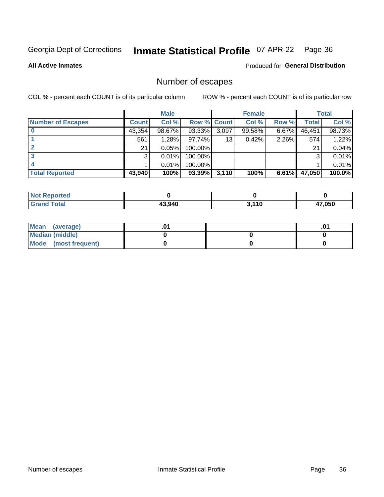# Inmate Statistical Profile 07-APR-22 Page 36

#### **All Active Inmates**

#### **Produced for General Distribution**

### Number of escapes

COL % - percent each COUNT is of its particular column

|                          |              | <b>Male</b> |             |       | <b>Female</b> |          |        | <b>Total</b> |
|--------------------------|--------------|-------------|-------------|-------|---------------|----------|--------|--------------|
| <b>Number of Escapes</b> | <b>Count</b> | Col %       | Row % Count |       | Col %         | Row %    | Total  | Col %        |
|                          | 43,354       | 98.67%      | 93.33%      | 3,097 | 99.58%        | $6.67\%$ | 46,451 | 98.73%       |
|                          | 561          | 1.28%       | 97.74%      | 13    | 0.42%         | 2.26%    | 574    | 1.22%        |
|                          | 21           | 0.05%       | 100.00%     |       |               |          | 21     | 0.04%        |
|                          | 3            | 0.01%       | $100.00\%$  |       |               |          | 3      | 0.01%        |
|                          |              | 0.01%       | 100.00%     |       |               |          |        | 0.01%        |
| <b>Total Reported</b>    | 43,940       | 100%        | $93.39\%$   | 3,110 | 100%          | 6.61%    | 47,050 | 100.0%       |

| <b>Not Reported</b>         |        |                |        |
|-----------------------------|--------|----------------|--------|
| Total<br>Grand <sup>-</sup> | 43.940 | , 440<br>. . v | 17,050 |

| Mean (average)         |  | .0 <sup>4</sup> |
|------------------------|--|-----------------|
| <b>Median (middle)</b> |  |                 |
| Mode (most frequent)   |  |                 |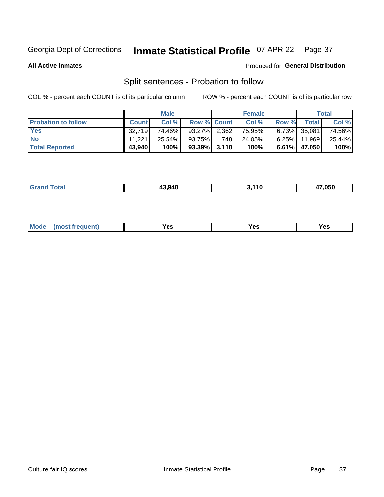#### **Inmate Statistical Profile 07-APR-22** Page 37

**All Active Inmates** 

#### Produced for General Distribution

### Split sentences - Probation to follow

COL % - percent each COUNT is of its particular column

|                            |              | <b>Male</b> |                    |     | <b>Female</b> |          |                 | <b>Total</b> |
|----------------------------|--------------|-------------|--------------------|-----|---------------|----------|-----------------|--------------|
| <b>Probation to follow</b> | <b>Count</b> | Col%        | <b>Row % Count</b> |     | Col %         | Row %    | Total           | Col %        |
| <b>Yes</b>                 | 32.719       | 74.46%      | $93.27\%$ 2,362    |     | 75.95%        |          | 6.73% 35,081    | 74.56%       |
| <b>No</b>                  | 11.221       | 25.54%      | 93.75%             | 748 | 24.05%        | $6.25\%$ | 11.969          | 25.44%       |
| <b>Total Reported</b>      | 43,940       | 100%        | $93.39\%$ 3,110    |     | 100%          |          | $6.61\%$ 47,050 | 100%         |

| 43.940 | 47.050 |
|--------|--------|
|        |        |

| <b>Mode</b><br>reauent)<br>Yes<br>v.c<br>0٥<br>.<br>. .<br>$\sim$ |
|-------------------------------------------------------------------|
|-------------------------------------------------------------------|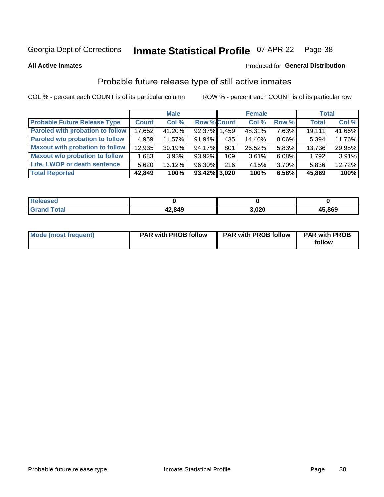#### **Inmate Statistical Profile 07-APR-22** Page 38

**All Active Inmates** 

### Produced for General Distribution

## Probable future release type of still active inmates

COL % - percent each COUNT is of its particular column

|                                        |              | <b>Male</b> |                 |                  | <b>Female</b> |          | <b>Total</b> |        |
|----------------------------------------|--------------|-------------|-----------------|------------------|---------------|----------|--------------|--------|
| <b>Probable Future Release Type</b>    | <b>Count</b> | Col %       | Row % Count     |                  | Col %         | Row %    | <b>Total</b> | Col %  |
| Paroled with probation to follow       | 17,652       | 41.20%      | 92.37% 1.       | .459             | 48.31%        | 7.63%    | 19,111       | 41.66% |
| Paroled w/o probation to follow        | 4.959        | 11.57%      | 91.94%          | 435              | 14.40%        | 8.06%    | 5,394        | 11.76% |
| <b>Maxout with probation to follow</b> | 12,935       | 30.19%      | 94.17%          | 801              | 26.52%        | 5.83%    | 13,736       | 29.95% |
| <b>Maxout w/o probation to follow</b>  | 1,683        | 3.93%       | 93.92%          | 109 <sup>1</sup> | 3.61%         | 6.08%    | 1,792        | 3.91%  |
| Life, LWOP or death sentence           | 5,620        | 13.12%      | 96.30%          | 216              | 7.15%         | $3.70\%$ | 5,836        | 12.72% |
| <b>Total Reported</b>                  | 42,849       | 100%        | $93.42\%$ 3,020 |                  | 100%          | 6.58%    | 45,869       | 100%   |

| eleased       |        |       |        |
|---------------|--------|-------|--------|
| <i>i</i> otal | 42,849 | 3,020 | 45,869 |

| <b>Mode (most frequent)</b> | <b>PAR with PROB follow</b> | <b>PAR with PROB follow</b> | <b>PAR with PROB</b> |
|-----------------------------|-----------------------------|-----------------------------|----------------------|
|                             |                             |                             | follow               |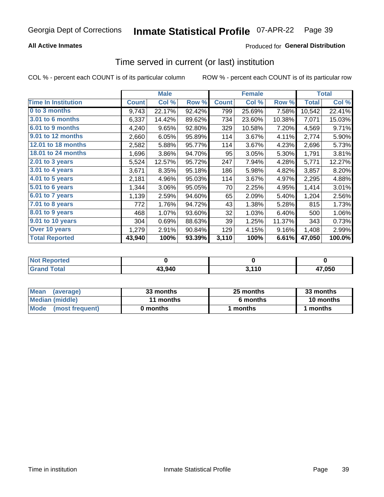## **All Active Inmates**

## **Produced for General Distribution**

## Time served in current (or last) institution

COL % - percent each COUNT is of its particular column

|                            |              | <b>Male</b> |        |              | <b>Female</b> |        |              | <b>Total</b> |
|----------------------------|--------------|-------------|--------|--------------|---------------|--------|--------------|--------------|
| <b>Time In Institution</b> | <b>Count</b> | Col %       | Row %  | <b>Count</b> | Col %         | Row %  | <b>Total</b> | Col %        |
| 0 to 3 months              | 9,743        | 22.17%      | 92.42% | 799          | 25.69%        | 7.58%  | 10,542       | 22.41%       |
| 3.01 to 6 months           | 6,337        | 14.42%      | 89.62% | 734          | 23.60%        | 10.38% | 7,071        | 15.03%       |
| 6.01 to 9 months           | 4,240        | 9.65%       | 92.80% | 329          | 10.58%        | 7.20%  | 4,569        | 9.71%        |
| 9.01 to 12 months          | 2,660        | 6.05%       | 95.89% | 114          | 3.67%         | 4.11%  | 2,774        | 5.90%        |
| 12.01 to 18 months         | 2,582        | 5.88%       | 95.77% | 114          | 3.67%         | 4.23%  | 2,696        | 5.73%        |
| <b>18.01 to 24 months</b>  | 1,696        | 3.86%       | 94.70% | 95           | 3.05%         | 5.30%  | 1,791        | 3.81%        |
| $2.01$ to 3 years          | 5,524        | 12.57%      | 95.72% | 247          | 7.94%         | 4.28%  | 5,771        | 12.27%       |
| $3.01$ to 4 years          | 3,671        | 8.35%       | 95.18% | 186          | 5.98%         | 4.82%  | 3,857        | 8.20%        |
| 4.01 to 5 years            | 2,181        | 4.96%       | 95.03% | 114          | 3.67%         | 4.97%  | 2,295        | 4.88%        |
| 5.01 to 6 years            | 1,344        | 3.06%       | 95.05% | 70           | 2.25%         | 4.95%  | 1,414        | 3.01%        |
| 6.01 to 7 years            | 1,139        | 2.59%       | 94.60% | 65           | 2.09%         | 5.40%  | 1,204        | 2.56%        |
| 7.01 to 8 years            | 772          | 1.76%       | 94.72% | 43           | 1.38%         | 5.28%  | 815          | 1.73%        |
| $8.01$ to 9 years          | 468          | 1.07%       | 93.60% | 32           | 1.03%         | 6.40%  | 500          | 1.06%        |
| 9.01 to 10 years           | 304          | 0.69%       | 88.63% | 39           | 1.25%         | 11.37% | 343          | 0.73%        |
| Over 10 years              | 1,279        | 2.91%       | 90.84% | 129          | 4.15%         | 9.16%  | 1,408        | 2.99%        |
| <b>Total Reported</b>      | 43,940       | 100%        | 93.39% | 3,110        | 100%          | 6.61%  | 47,050       | 100.0%       |

| prteo<br>I NOT  |        |            |        |
|-----------------|--------|------------|--------|
| $int^{\bullet}$ | 43,940 | 110<br>. . | 47,050 |

| <b>Mean</b><br>(average) | 33 months | 25 months | 33 months |  |
|--------------------------|-----------|-----------|-----------|--|
| Median (middle)          | 11 months | 6 months  | 10 months |  |
| Mode<br>(most frequent)  | 0 months  | months    | ∣ months  |  |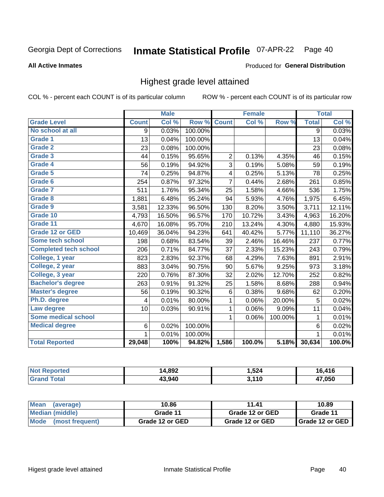#### Inmate Statistical Profile 07-APR-22 Page 40

### **All Active Inmates**

### Produced for General Distribution

## Highest grade level attained

COL % - percent each COUNT is of its particular column

|                              |                | <b>Male</b> |         |                | <b>Female</b> |         |                | <b>Total</b> |
|------------------------------|----------------|-------------|---------|----------------|---------------|---------|----------------|--------------|
| <b>Grade Level</b>           | <b>Count</b>   | Col %       | Row %   | <b>Count</b>   | Col%          | Row %   | <b>Total</b>   | Col %        |
| No school at all             | 9              | 0.03%       | 100.00% |                |               |         | $\overline{9}$ | 0.03%        |
| <b>Grade 1</b>               | 13             | 0.04%       | 100.00% |                |               |         | 13             | 0.04%        |
| <b>Grade 2</b>               | 23             | 0.08%       | 100.00% |                |               |         | 23             | 0.08%        |
| Grade 3                      | 44             | 0.15%       | 95.65%  | $\overline{2}$ | 0.13%         | 4.35%   | 46             | 0.15%        |
| <b>Grade 4</b>               | 56             | 0.19%       | 94.92%  | 3              | 0.19%         | 5.08%   | 59             | 0.19%        |
| Grade 5                      | 74             | 0.25%       | 94.87%  | 4              | 0.25%         | 5.13%   | 78             | 0.25%        |
| Grade 6                      | 254            | 0.87%       | 97.32%  | $\overline{7}$ | 0.44%         | 2.68%   | 261            | 0.85%        |
| <b>Grade 7</b>               | 511            | 1.76%       | 95.34%  | 25             | 1.58%         | 4.66%   | 536            | 1.75%        |
| Grade 8                      | 1,881          | 6.48%       | 95.24%  | 94             | 5.93%         | 4.76%   | 1,975          | 6.45%        |
| Grade 9                      | 3,581          | 12.33%      | 96.50%  | 130            | 8.20%         | 3.50%   | 3,711          | 12.11%       |
| Grade 10                     | 4,793          | 16.50%      | 96.57%  | 170            | 10.72%        | 3.43%   | 4,963          | 16.20%       |
| Grade 11                     | 4,670          | 16.08%      | 95.70%  | 210            | 13.24%        | 4.30%   | 4,880          | 15.93%       |
| <b>Grade 12 or GED</b>       | 10,469         | 36.04%      | 94.23%  | 641            | 40.42%        | 5.77%   | 11,110         | 36.27%       |
| <b>Some tech school</b>      | 198            | 0.68%       | 83.54%  | 39             | 2.46%         | 16.46%  | 237            | 0.77%        |
| <b>Completed tech school</b> | 206            | 0.71%       | 84.77%  | 37             | 2.33%         | 15.23%  | 243            | 0.79%        |
| College, 1 year              | 823            | 2.83%       | 92.37%  | 68             | 4.29%         | 7.63%   | 891            | 2.91%        |
| College, 2 year              | 883            | 3.04%       | 90.75%  | 90             | 5.67%         | 9.25%   | 973            | 3.18%        |
| College, 3 year              | 220            | 0.76%       | 87.30%  | 32             | 2.02%         | 12.70%  | 252            | 0.82%        |
| <b>Bachelor's degree</b>     | 263            | 0.91%       | 91.32%  | 25             | 1.58%         | 8.68%   | 288            | 0.94%        |
| <b>Master's degree</b>       | 56             | 0.19%       | 90.32%  | $\,6$          | 0.38%         | 9.68%   | 62             | 0.20%        |
| Ph.D. degree                 | 4              | 0.01%       | 80.00%  | $\mathbf 1$    | 0.06%         | 20.00%  | 5              | 0.02%        |
| Law degree                   | 10             | 0.03%       | 90.91%  | 1              | 0.06%         | 9.09%   | 11             | 0.04%        |
| <b>Some medical school</b>   |                |             |         | 1              | 0.06%         | 100.00% | 1              | 0.01%        |
| <b>Medical degree</b>        | $6\phantom{1}$ | 0.02%       | 100.00% |                |               |         | $\,6$          | 0.02%        |
|                              | $\mathbf 1$    | 0.01%       | 100.00% |                |               |         | 1              | 0.01%        |
| <b>Total Reported</b>        | 29,048         | 100%        | 94.82%  | 1,586          | 100.0%        | 5.18%   | 30,634         | 100.0%       |

| 4,892  | 524.، | .416  |
|--------|-------|-------|
| 13.940 | 2440  | 7,050 |

| <b>Mean</b><br>(average) | 10.86           | 11.41           | 10.89           |
|--------------------------|-----------------|-----------------|-----------------|
| Median (middle)          | Grade 11        | Grade 12 or GED | Grade 11        |
| Mode<br>(most frequent)  | Grade 12 or GED | Grade 12 or GED | Grade 12 or GED |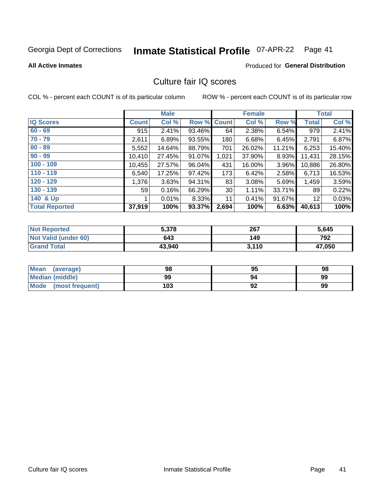## Inmate Statistical Profile 07-APR-22 Page 41

**All Active Inmates** 

### **Produced for General Distribution**

## Culture fair IQ scores

COL % - percent each COUNT is of its particular column

|                       |                 | <b>Male</b> |             |                 | <b>Female</b> |        |              | <b>Total</b> |
|-----------------------|-----------------|-------------|-------------|-----------------|---------------|--------|--------------|--------------|
| <b>IQ Scores</b>      | <b>Count</b>    | Col %       | Row % Count |                 | Col %         | Row %  | <b>Total</b> | Col %        |
| $60 - 69$             | 915             | 2.41%       | 93.46%      | 64              | 2.38%         | 6.54%  | 979          | 2.41%        |
| $70 - 79$             | 2,611           | 6.89%       | 93.55%      | 180             | 6.68%         | 6.45%  | 2,791        | 6.87%        |
| $80 - 89$             | 5,552           | 14.64%      | 88.79%      | 701             | 26.02%        | 11.21% | 6,253        | 15.40%       |
| $90 - 99$             | 10,410          | 27.45%      | 91.07%      | 1,021           | 37.90%        | 8.93%  | 11,431       | 28.15%       |
| $100 - 109$           | 10,455          | 27.57%      | 96.04%      | 431             | 16.00%        | 3.96%  | 10,886       | 26.80%       |
| $110 - 119$           | 6,540           | 17.25%      | 97.42%      | 173             | 6.42%         | 2.58%  | 6,713        | 16.53%       |
| $120 - 129$           | 1,376           | 3.63%       | 94.31%      | 83              | 3.08%         | 5.69%  | 1,459        | 3.59%        |
| $130 - 139$           | 59 <sub>1</sub> | 0.16%       | 66.29%      | 30 <sup>°</sup> | 1.11%         | 33.71% | 89           | 0.22%        |
| 140 & Up              |                 | 0.01%       | 8.33%       | 11              | 0.41%         | 91.67% | 12           | 0.03%        |
| <b>Total Reported</b> | 37,919          | 100%        | 93.37%      | 2,694           | 100%          | 6.63%  | 40,613       | 100%         |

| <b>Not Reported</b>         | 5,378  | 267   | 5,645  |
|-----------------------------|--------|-------|--------|
| <b>Not Valid (under 60)</b> | 643    | 149   | 792    |
| <b>Grand Total</b>          | 43,940 | 3,110 | 47,050 |

| <b>Mean</b><br>(average) | 98  | 95 | 98 |
|--------------------------|-----|----|----|
| <b>Median (middle)</b>   | 99  | 94 | 99 |
| Mode<br>(most frequent)  | 103 | 92 | 99 |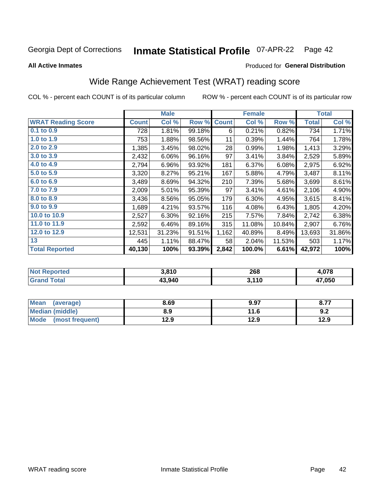#### **Inmate Statistical Profile 07-APR-22** Page 42

**All Active Inmates** 

### Produced for General Distribution

## Wide Range Achievement Test (WRAT) reading score

COL % - percent each COUNT is of its particular column

|                           |              | <b>Male</b> |        |              | <b>Female</b> |        |              | <b>Total</b> |
|---------------------------|--------------|-------------|--------|--------------|---------------|--------|--------------|--------------|
| <b>WRAT Reading Score</b> | <b>Count</b> | Col %       | Row %  | <b>Count</b> | Col %         | Row %  | <b>Total</b> | Col %        |
| $0.1$ to $0.9$            | 728          | 1.81%       | 99.18% | 6            | 0.21%         | 0.82%  | 734          | 1.71%        |
| 1.0 to 1.9                | 753          | 1.88%       | 98.56% | 11           | 0.39%         | 1.44%  | 764          | 1.78%        |
| 2.0 to 2.9                | 1,385        | 3.45%       | 98.02% | 28           | 0.99%         | 1.98%  | 1,413        | 3.29%        |
| 3.0 to 3.9                | 2,432        | 6.06%       | 96.16% | 97           | 3.41%         | 3.84%  | 2,529        | 5.89%        |
| 4.0 to 4.9                | 2,794        | 6.96%       | 93.92% | 181          | 6.37%         | 6.08%  | 2,975        | 6.92%        |
| 5.0 to 5.9                | 3,320        | 8.27%       | 95.21% | 167          | 5.88%         | 4.79%  | 3,487        | 8.11%        |
| 6.0 to 6.9                | 3,489        | 8.69%       | 94.32% | 210          | 7.39%         | 5.68%  | 3,699        | 8.61%        |
| 7.0 to 7.9                | 2,009        | 5.01%       | 95.39% | 97           | 3.41%         | 4.61%  | 2,106        | 4.90%        |
| 8.0 to 8.9                | 3,436        | 8.56%       | 95.05% | 179          | 6.30%         | 4.95%  | 3,615        | 8.41%        |
| 9.0 to 9.9                | 1,689        | 4.21%       | 93.57% | 116          | 4.08%         | 6.43%  | 1,805        | 4.20%        |
| 10.0 to 10.9              | 2,527        | 6.30%       | 92.16% | 215          | 7.57%         | 7.84%  | 2,742        | 6.38%        |
| 11.0 to 11.9              | 2,592        | 6.46%       | 89.16% | 315          | 11.08%        | 10.84% | 2,907        | 6.76%        |
| 12.0 to 12.9              | 12,531       | 31.23%      | 91.51% | 1,162        | 40.89%        | 8.49%  | 13,693       | 31.86%       |
| 13                        | 445          | 1.11%       | 88.47% | 58           | 2.04%         | 11.53% | 503          | 1.17%        |
| <b>Total Reported</b>     | 40,130       | 100%        | 93.39% | 2,842        | 100.0%        | 6.61%  | 42,972       | 100%         |

| <b>Not Reported</b>          | 3,810  | 268   | 078.ا       |
|------------------------------|--------|-------|-------------|
| <b>Total</b><br><b>Grand</b> | 43,940 | 3,110 | 17,050<br>4 |

| Mean<br>(average)       | 8.69 | 9.97 | 077<br>- 6.7 . |
|-------------------------|------|------|----------------|
| <b>Median (middle)</b>  | 8.9  | 11.6 | 9.2            |
| Mode<br>(most frequent) | 12.9 | 12.9 | 12.9           |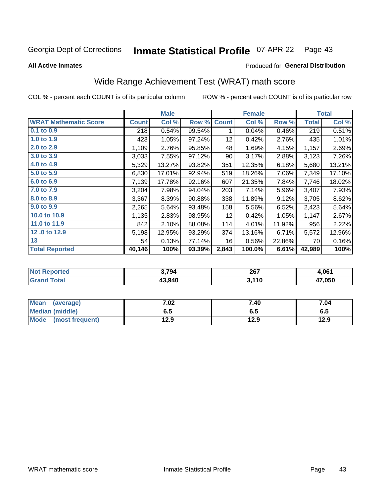#### **Inmate Statistical Profile 07-APR-22** Page 43

**All Active Inmates** 

### Produced for General Distribution

## Wide Range Achievement Test (WRAT) math score

COL % - percent each COUNT is of its particular column

|                              |              | <b>Male</b> |        |                 | <b>Female</b> |        |              | <b>Total</b> |
|------------------------------|--------------|-------------|--------|-----------------|---------------|--------|--------------|--------------|
| <b>WRAT Mathematic Score</b> | <b>Count</b> | Col %       | Row %  | <b>Count</b>    | Col %         | Row %  | <b>Total</b> | Col %        |
| 0.1 to 0.9                   | 218          | 0.54%       | 99.54% | 1               | 0.04%         | 0.46%  | 219          | 0.51%        |
| 1.0 to 1.9                   | 423          | 1.05%       | 97.24% | 12              | 0.42%         | 2.76%  | 435          | 1.01%        |
| 2.0 to 2.9                   | 1,109        | 2.76%       | 95.85% | 48              | 1.69%         | 4.15%  | 1,157        | 2.69%        |
| 3.0 to 3.9                   | 3,033        | 7.55%       | 97.12% | 90              | 3.17%         | 2.88%  | 3,123        | 7.26%        |
| 4.0 to 4.9                   | 5,329        | 13.27%      | 93.82% | 351             | 12.35%        | 6.18%  | 5,680        | 13.21%       |
| 5.0 to 5.9                   | 6,830        | 17.01%      | 92.94% | 519             | 18.26%        | 7.06%  | 7,349        | 17.10%       |
| 6.0 to 6.9                   | 7,139        | 17.78%      | 92.16% | 607             | 21.35%        | 7.84%  | 7,746        | 18.02%       |
| 7.0 to 7.9                   | 3,204        | 7.98%       | 94.04% | 203             | 7.14%         | 5.96%  | 3,407        | 7.93%        |
| 8.0 to 8.9                   | 3,367        | 8.39%       | 90.88% | 338             | 11.89%        | 9.12%  | 3,705        | 8.62%        |
| 9.0 to 9.9                   | 2,265        | 5.64%       | 93.48% | 158             | 5.56%         | 6.52%  | 2,423        | 5.64%        |
| 10.0 to 10.9                 | 1,135        | 2.83%       | 98.95% | 12 <sub>2</sub> | 0.42%         | 1.05%  | 1,147        | 2.67%        |
| 11.0 to 11.9                 | 842          | 2.10%       | 88.08% | 114             | 4.01%         | 11.92% | 956          | 2.22%        |
| 12.0 to 12.9                 | 5,198        | 12.95%      | 93.29% | 374             | 13.16%        | 6.71%  | 5,572        | 12.96%       |
| 13                           | 54           | 0.13%       | 77.14% | 16              | 0.56%         | 22.86% | 70           | 0.16%        |
| <b>Total Reported</b>        | 40,146       | 100%        | 93.39% | 2,843           | 100.0%        | 6.61%  | 42,989       | 100%         |

| <b>Reported</b><br><b>Not</b> | 3.794  | 267             | 1.061       |
|-------------------------------|--------|-----------------|-------------|
| <b>Total</b>                  | 13.940 | 2440<br>ง. I IV | 17.050<br>4 |

| <b>Mean</b><br>(average)       | 7.02 | 7.40 | 7.04 |
|--------------------------------|------|------|------|
| Median (middle)                | 6.5  | დ.ე  | ს.ე  |
| <b>Mode</b><br>(most frequent) | 12.9 | 12.9 | 12.9 |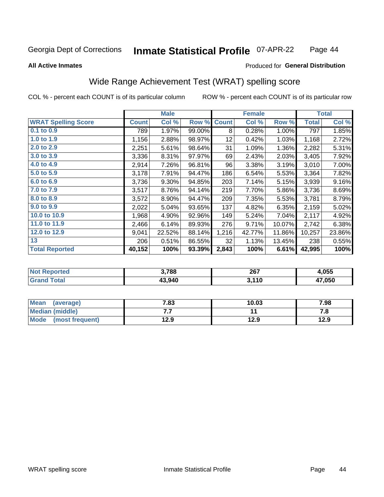### Inmate Statistical Profile 07-APR-22 Page 44

### **All Active Inmates**

### Produced for General Distribution

## Wide Range Achievement Test (WRAT) spelling score

COL % - percent each COUNT is of its particular column

|                            |              | <b>Male</b> |        |              | <b>Female</b> |        |              | <b>Total</b> |
|----------------------------|--------------|-------------|--------|--------------|---------------|--------|--------------|--------------|
| <b>WRAT Spelling Score</b> | <b>Count</b> | Col %       | Row %  | <b>Count</b> | Col %         | Row %  | <b>Total</b> | Col %        |
| $0.1$ to $0.9$             | 789          | 1.97%       | 99.00% | 8            | 0.28%         | 1.00%  | 797          | 1.85%        |
| 1.0 to 1.9                 | 1,156        | 2.88%       | 98.97% | 12           | 0.42%         | 1.03%  | 1,168        | 2.72%        |
| 2.0 to 2.9                 | 2,251        | 5.61%       | 98.64% | 31           | 1.09%         | 1.36%  | 2,282        | 5.31%        |
| 3.0 to 3.9                 | 3,336        | 8.31%       | 97.97% | 69           | 2.43%         | 2.03%  | 3,405        | 7.92%        |
| 4.0 to 4.9                 | 2,914        | 7.26%       | 96.81% | 96           | 3.38%         | 3.19%  | 3,010        | 7.00%        |
| 5.0 to 5.9                 | 3,178        | 7.91%       | 94.47% | 186          | 6.54%         | 5.53%  | 3,364        | 7.82%        |
| 6.0 to 6.9                 | 3,736        | 9.30%       | 94.85% | 203          | 7.14%         | 5.15%  | 3,939        | 9.16%        |
| 7.0 to 7.9                 | 3,517        | 8.76%       | 94.14% | 219          | 7.70%         | 5.86%  | 3,736        | 8.69%        |
| 8.0 to 8.9                 | 3,572        | 8.90%       | 94.47% | 209          | 7.35%         | 5.53%  | 3,781        | 8.79%        |
| 9.0 to 9.9                 | 2,022        | 5.04%       | 93.65% | 137          | 4.82%         | 6.35%  | 2,159        | 5.02%        |
| 10.0 to 10.9               | 1,968        | 4.90%       | 92.96% | 149          | 5.24%         | 7.04%  | 2,117        | 4.92%        |
| 11.0 to 11.9               | 2,466        | 6.14%       | 89.93% | 276          | 9.71%         | 10.07% | 2,742        | 6.38%        |
| 12.0 to 12.9               | 9,041        | 22.52%      | 88.14% | 1,216        | 42.77%        | 11.86% | 10,257       | 23.86%       |
| 13                         | 206          | 0.51%       | 86.55% | 32           | 1.13%         | 13.45% | 238          | 0.55%        |
| <b>Total Reported</b>      | 40,152       | 100%        | 93.39% | 2,843        | 100%          | 6.61%  | 42,995       | 100%         |

| <b>prted</b><br>NO | 3,788  | 267<br>__ | .055   |
|--------------------|--------|-----------|--------|
| int                | 43.940 | 3,110     | 17,050 |

| <b>Mean</b><br>(average) | 7.83 | 10.03 | 7.98 |
|--------------------------|------|-------|------|
| <b>Median (middle)</b>   | .    |       | ه. ، |
| Mode (most frequent)     | 12.9 | 12.9  | 12.9 |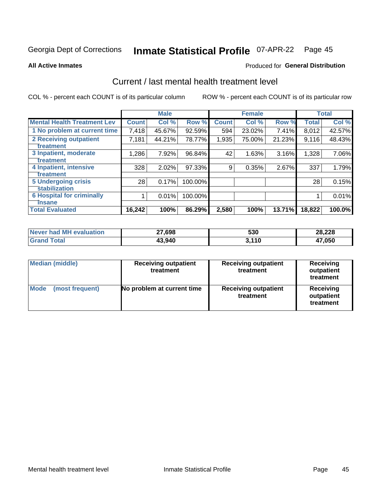#### **Inmate Statistical Profile 07-APR-22** Page 45

**All Active Inmates** 

### **Produced for General Distribution**

## Current / last mental health treatment level

COL % - percent each COUNT is of its particular column

|                                    |              | <b>Male</b> |         |              | <b>Female</b> |        |              | <b>Total</b> |
|------------------------------------|--------------|-------------|---------|--------------|---------------|--------|--------------|--------------|
| <b>Mental Health Treatment Lev</b> | <b>Count</b> | Col %       | Row %   | <b>Count</b> | Col %         | Row %  | <b>Total</b> | Col %        |
| 1 No problem at current time       | 7,418        | 45.67%      | 92.59%  | 594          | 23.02%        | 7.41%  | 8,012        | 42.57%       |
| 2 Receiving outpatient             | 7,181        | 44.21%      | 78.77%  | 1,935        | 75.00%        | 21.23% | 9,116        | 48.43%       |
| <b>Treatment</b>                   |              |             |         |              |               |        |              |              |
| 3 Inpatient, moderate              | 1,286        | 7.92%       | 96.84%  | 42           | 1.63%         | 3.16%  | 1,328        | 7.06%        |
| <b>Treatment</b>                   |              |             |         |              |               |        |              |              |
| 4 Inpatient, intensive             | 328          | 2.02%       | 97.33%  | 9            | 0.35%         | 2.67%  | 337          | 1.79%        |
| <b>Treatment</b>                   |              |             |         |              |               |        |              |              |
| <b>5 Undergoing crisis</b>         | 28           | 0.17%       | 100.00% |              |               |        | 28           | 0.15%        |
| <b>stabilization</b>               |              |             |         |              |               |        |              |              |
| <b>6 Hospital for criminally</b>   |              | 0.01%       | 100.00% |              |               |        |              | 0.01%        |
| <b>Tinsane</b>                     |              |             |         |              |               |        |              |              |
| <b>Total Evaluated</b>             | 16,242       | 100%        | 86.29%  | 2,580        | 100%          | 13.71% | 18,822       | 100.0%       |

| Never had MH evaluation | 27,698 | 530   | 28,228 |
|-------------------------|--------|-------|--------|
| $\tau$ otal             | 43,940 | 3,110 | 17,050 |

| <b>Median (middle)</b>         | <b>Receiving outpatient</b><br>treatment | <b>Receiving outpatient</b><br>treatment | <b>Receiving</b><br>outpatient<br>treatment |  |  |
|--------------------------------|------------------------------------------|------------------------------------------|---------------------------------------------|--|--|
| <b>Mode</b><br>(most frequent) | No problem at current time               | <b>Receiving outpatient</b><br>treatment | Receiving<br>outpatient<br>treatment        |  |  |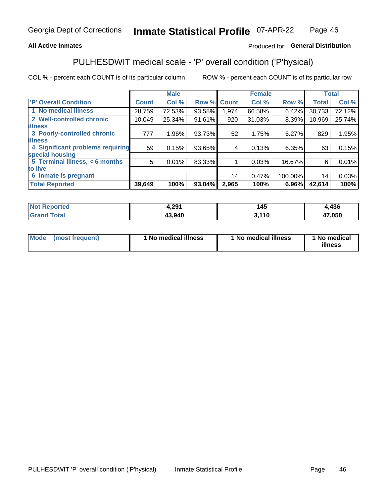### **All Active Inmates**

## Produced for General Distribution

## PULHESDWIT medical scale - 'P' overall condition ('P'hysical)

COL % - percent each COUNT is of its particular column

|                                  |              | <b>Male</b> |        |              | <b>Female</b> |         |              | <b>Total</b> |
|----------------------------------|--------------|-------------|--------|--------------|---------------|---------|--------------|--------------|
| <b>P' Overall Condition</b>      | <b>Count</b> | Col %       | Row %  | <b>Count</b> | Col %         | Row %   | <b>Total</b> | Col %        |
| 1 No medical illness             | 28,759       | 72.53%      | 93.58% | 1,974        | 66.58%        | 6.42%   | 30,733       | 72.12%       |
| 2 Well-controlled chronic        | 10,049       | 25.34%      | 91.61% | 920          | 31.03%        | 8.39%   | 10,969       | 25.74%       |
| <b>lillness</b>                  |              |             |        |              |               |         |              |              |
| 3 Poorly-controlled chronic      | 777          | 1.96%       | 93.73% | 52           | 1.75%         | 6.27%   | 829          | 1.95%        |
| <b>illness</b>                   |              |             |        |              |               |         |              |              |
| 4 Significant problems requiring | 59           | 0.15%       | 93.65% | 4            | 0.13%         | 6.35%   | 63           | 0.15%        |
| special housing                  |              |             |        |              |               |         |              |              |
| 5 Terminal illness, < 6 months   | 5            | 0.01%       | 83.33% |              | 0.03%         | 16.67%  | 6            | 0.01%        |
| to live                          |              |             |        |              |               |         |              |              |
| 6 Inmate is pregnant             |              |             |        | 14           | 0.47%         | 100.00% | 14           | 0.03%        |
| <b>Total Reported</b>            | 39,649       | 100%        | 93.04% | 2,965        | 100%          | 6.96%   | 42,614       | 100%         |

| N   | 4,291  | 145 | 12C    |
|-----|--------|-----|--------|
| τeα |        | יי  | 4J U   |
|     | 13,940 | 110 | 17,050 |

| Mode | (most frequent) | 1 No medical illness | 1 No medical illness | 1 No medical<br>illness |
|------|-----------------|----------------------|----------------------|-------------------------|
|------|-----------------|----------------------|----------------------|-------------------------|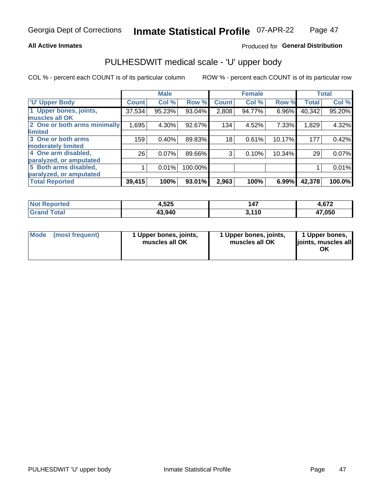### **All Active Inmates**

## Produced for General Distribution

## PULHESDWIT medical scale - 'U' upper body

COL % - percent each COUNT is of its particular column

|                              |              | <b>Male</b> |         |              | <b>Female</b> |        |              | <b>Total</b> |
|------------------------------|--------------|-------------|---------|--------------|---------------|--------|--------------|--------------|
| <b>U' Upper Body</b>         | <b>Count</b> | Col %       | Row %   | <b>Count</b> | Col %         | Row %  | <b>Total</b> | Col %        |
| 1 Upper bones, joints,       | 37,534       | 95.23%      | 93.04%  | 2,808        | 94.77%        | 6.96%  | 40,342       | 95.20%       |
| muscles all OK               |              |             |         |              |               |        |              |              |
| 2 One or both arms minimally | 1,695        | 4.30%       | 92.67%  | 134          | 4.52%         | 7.33%  | 1,829        | 4.32%        |
| limited                      |              |             |         |              |               |        |              |              |
| 3 One or both arms           | 159          | 0.40%       | 89.83%  | 18           | 0.61%         | 10.17% | 177          | 0.42%        |
| <b>moderately limited</b>    |              |             |         |              |               |        |              |              |
| 4 One arm disabled,          | 26           | 0.07%       | 89.66%  | 3            | 0.10%         | 10.34% | 29           | 0.07%        |
| paralyzed, or amputated      |              |             |         |              |               |        |              |              |
| 5 Both arms disabled,        |              | 0.01%       | 100.00% |              |               |        |              | 0.01%        |
| paralyzed, or amputated      |              |             |         |              |               |        |              |              |
| <b>Total Reported</b>        | 39,415       | 100%        | 93.01%  | 2,963        | 100%          | 6.99%  | 42,378       | 100.0%       |

| <b>Not Reported</b> | 4,525  | 147   | 4,672  |
|---------------------|--------|-------|--------|
| <b>Grand Total</b>  | 43,940 | 3,110 | 47,050 |

| Mode (most frequent) | 1 Upper bones, joints,<br>muscles all OK | 1 Upper bones, joints,<br>muscles all OK | 1 Upper bones,<br>joints, muscles all<br>ΟK |
|----------------------|------------------------------------------|------------------------------------------|---------------------------------------------|
|----------------------|------------------------------------------|------------------------------------------|---------------------------------------------|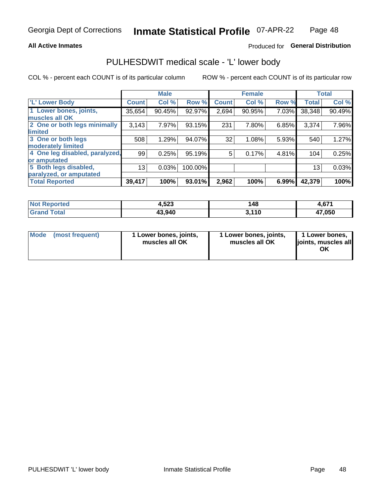### **All Active Inmates**

## Produced for General Distribution

## PULHESDWIT medical scale - 'L' lower body

COL % - percent each COUNT is of its particular column

|                                |              | <b>Male</b> |         |              | <b>Female</b> |       |                 | <b>Total</b> |
|--------------------------------|--------------|-------------|---------|--------------|---------------|-------|-----------------|--------------|
| 'L' Lower Body                 | <b>Count</b> | Col %       | Row %   | <b>Count</b> | Col %         | Row % | <b>Total</b>    | Col %        |
| 1 Lower bones, joints,         | 35,654       | 90.45%      | 92.97%  | 2,694        | 90.95%        | 7.03% | 38,348          | 90.49%       |
| muscles all OK                 |              |             |         |              |               |       |                 |              |
| 2 One or both legs minimally   | 3,143        | 7.97%       | 93.15%  | 231          | 7.80%         | 6.85% | 3,374           | 7.96%        |
| limited                        |              |             |         |              |               |       |                 |              |
| 3 One or both legs             | 508          | 1.29%       | 94.07%  | 32           | 1.08%         | 5.93% | 540             | 1.27%        |
| moderately limited             |              |             |         |              |               |       |                 |              |
| 4 One leg disabled, paralyzed, | 99           | 0.25%       | 95.19%  | 5            | 0.17%         | 4.81% | 104             | 0.25%        |
| or amputated                   |              |             |         |              |               |       |                 |              |
| 5 Both legs disabled,          | 13           | 0.03%       | 100.00% |              |               |       | 13 <sub>1</sub> | 0.03%        |
| paralyzed, or amputated        |              |             |         |              |               |       |                 |              |
| <b>Total Reported</b>          | 39,417       | 100%        | 93.01%  | 2,962        | 100%          | 6.99% | 42,379          | 100%         |

| <b>Not Reported</b>    | 4,523  | 148   | 4,671  |
|------------------------|--------|-------|--------|
| <b>Total</b><br>'Grand | 43,940 | 3,110 | 17,050 |

|  | Mode (most frequent) | 1 Lower bones, joints,<br>muscles all OK | 1 Lower bones, joints,<br>muscles all OK | 1 Lower bones,<br>joints, muscles all<br>ΟK |
|--|----------------------|------------------------------------------|------------------------------------------|---------------------------------------------|
|--|----------------------|------------------------------------------|------------------------------------------|---------------------------------------------|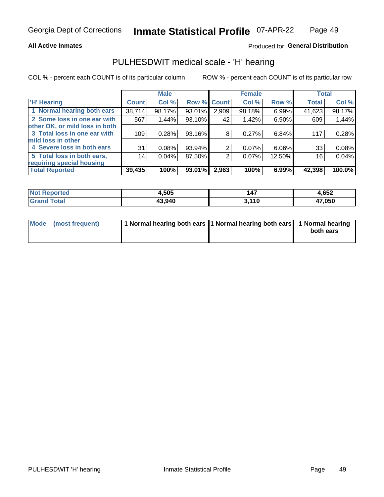### **All Active Inmates**

### Produced for General Distribution

## PULHESDWIT medical scale - 'H' hearing

COL % - percent each COUNT is of its particular column

|                                |                 | <b>Male</b> |             |       | <b>Female</b> |        | <b>Total</b> |        |
|--------------------------------|-----------------|-------------|-------------|-------|---------------|--------|--------------|--------|
| <b>'H' Hearing</b>             | <b>Count</b>    | Col %       | Row % Count |       | Col %         | Row %  | <b>Total</b> | Col %  |
| 1 Normal hearing both ears     | 38,714          | 98.17%      | 93.01%      | 2,909 | 98.18%        | 6.99%  | 41,623       | 98.17% |
| 2 Some loss in one ear with    | 567             | 1.44%       | $93.10\%$   | 42    | 1.42%         | 6.90%  | 609          | 1.44%  |
| other OK, or mild loss in both |                 |             |             |       |               |        |              |        |
| 3 Total loss in one ear with   | 109             | 0.28%       | 93.16%      | 8     | 0.27%         | 6.84%  | 117          | 0.28%  |
| mild loss in other             |                 |             |             |       |               |        |              |        |
| 4 Severe loss in both ears     | 31              | 0.08%       | 93.94%      | 2     | $0.07\%$      | 6.06%  | 33           | 0.08%  |
| 5 Total loss in both ears,     | 14 <sub>1</sub> | 0.04%       | 87.50%      | 2     | 0.07%         | 12.50% | 16           | 0.04%  |
| requiring special housing      |                 |             |             |       |               |        |              |        |
| <b>Total Reported</b>          | 39,435          | 100%        | 93.01%      | 2,963 | 100%          | 6.99%  | 42,398       | 100.0% |

| <b>Not Reno</b><br>≅norted i | +,505  | 147       | 4,652  |
|------------------------------|--------|-----------|--------|
| Total                        | 43,940 | 2410<br>. | 47,050 |

| Mode (most frequent) | 1 Normal hearing both ears 1 Normal hearing both ears 1 Normal hearing | both ears |
|----------------------|------------------------------------------------------------------------|-----------|
|                      |                                                                        |           |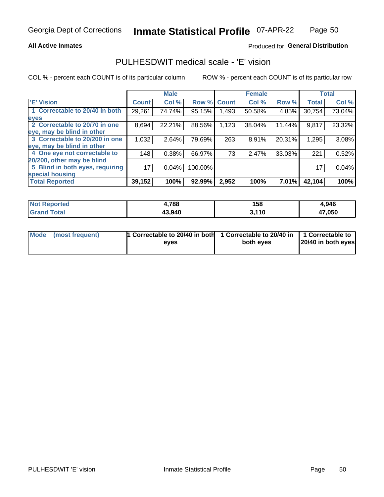### **All Active Inmates**

### Produced for General Distribution

## PULHESDWIT medical scale - 'E' vision

COL % - percent each COUNT is of its particular column

|                                 |              | <b>Male</b> |         |              | <b>Female</b> |        |              | <b>Total</b> |
|---------------------------------|--------------|-------------|---------|--------------|---------------|--------|--------------|--------------|
| <b>E' Vision</b>                | <b>Count</b> | Col %       | Row %   | <b>Count</b> | Col %         | Row %  | <b>Total</b> | Col %        |
| 1 Correctable to 20/40 in both  | 29,261       | 74.74%      | 95.15%  | 493. ا       | 50.58%        | 4.85%  | 30,754       | 73.04%       |
| eyes                            |              |             |         |              |               |        |              |              |
| 2 Correctable to 20/70 in one   | 8,694        | 22.21%      | 88.56%  | 1,123        | 38.04%        | 11.44% | 9,817        | 23.32%       |
| eye, may be blind in other      |              |             |         |              |               |        |              |              |
| 3 Correctable to 20/200 in one  | 1,032        | 2.64%       | 79.69%  | 263          | 8.91%         | 20.31% | 1,295        | 3.08%        |
| eye, may be blind in other      |              |             |         |              |               |        |              |              |
| 4 One eye not correctable to    | 148          | 0.38%       | 66.97%  | 73           | 2.47%         | 33.03% | 221          | 0.52%        |
| 20/200, other may be blind      |              |             |         |              |               |        |              |              |
| 5 Blind in both eyes, requiring | 17           | 0.04%       | 100.00% |              |               |        | 17           | 0.04%        |
| special housing                 |              |             |         |              |               |        |              |              |
| <b>Total Reported</b>           | 39,152       | 100%        | 92.99%  | 2,952        | 100%          | 7.01%  | 42,104       | 100%         |

| <b>Not Reported</b> | ,788   | 158 | 4,946  |
|---------------------|--------|-----|--------|
| ™otal               | 43,940 | 110 | 17,050 |

| Mode (most frequent) | 1 Correctable to 20/40 in both<br>eves | 1 Correctable to 20/40 in   1 Correctable to  <br>both eyes | 20/40 in both eyes |
|----------------------|----------------------------------------|-------------------------------------------------------------|--------------------|
|                      |                                        |                                                             |                    |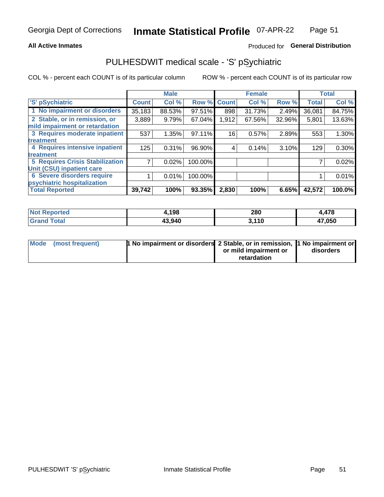### **All Active Inmates**

## Produced for General Distribution

## PULHESDWIT medical scale - 'S' pSychiatric

COL % - percent each COUNT is of its particular column

|                                        |              | <b>Male</b> |         |              | <b>Female</b> |        |              | <b>Total</b> |
|----------------------------------------|--------------|-------------|---------|--------------|---------------|--------|--------------|--------------|
| 'S' pSychiatric                        | <b>Count</b> | Col %       | Row %   | <b>Count</b> | Col %         | Row %  | <b>Total</b> | Col %        |
| 1 No impairment or disorders           | 35,183       | 88.53%      | 97.51%  | 898          | 31.73%        | 2.49%  | 36,081       | 84.75%       |
| 2 Stable, or in remission, or          | 3,889        | 9.79%       | 67.04%  | 1,912        | 67.56%        | 32.96% | 5,801        | 13.63%       |
| mild impairment or retardation         |              |             |         |              |               |        |              |              |
| 3 Requires moderate inpatient          | 537          | 1.35%       | 97.11%  | 16           | 0.57%         | 2.89%  | 553          | 1.30%        |
| treatment                              |              |             |         |              |               |        |              |              |
| 4 Requires intensive inpatient         | 125          | 0.31%       | 96.90%  | 4            | 0.14%         | 3.10%  | 129          | 0.30%        |
| treatment                              |              |             |         |              |               |        |              |              |
| <b>5 Requires Crisis Stabilization</b> |              | 0.02%       | 100.00% |              |               |        |              | 0.02%        |
| Unit (CSU) inpatient care              |              |             |         |              |               |        |              |              |
| <b>6 Severe disorders require</b>      |              | 0.01%       | 100.00% |              |               |        |              | 0.01%        |
| psychiatric hospitalization            |              |             |         |              |               |        |              |              |
| <b>Total Reported</b>                  | 39,742       | 100%        | 93.35%  | 2,830        | 100%          | 6.65%  | 42,572       | 100.0%       |

| <b>Not Reported</b>   | ,198   | 280   | 478،،  |
|-----------------------|--------|-------|--------|
| <b>Total</b><br>Grand | 43,940 | 3,110 | 47,050 |

| Mode | (most frequent) | <b>1 No impairment or disorders</b> 2 Stable, or in remission, 1 No impairment or |                       |           |
|------|-----------------|-----------------------------------------------------------------------------------|-----------------------|-----------|
|      |                 |                                                                                   | or mild impairment or | disorders |
|      |                 |                                                                                   | retardation           |           |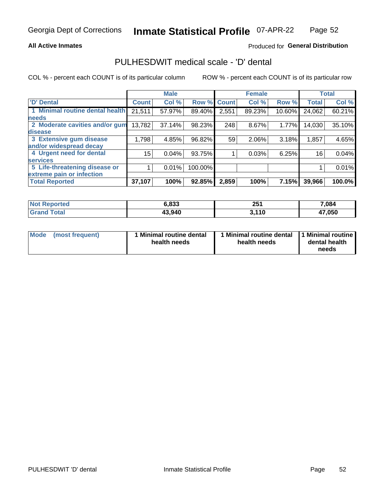### **All Active Inmates**

## Produced for General Distribution

## PULHESDWIT medical scale - 'D' dental

COL % - percent each COUNT is of its particular column

|                                 |              | <b>Male</b> |         |              | <b>Female</b> |        |              | <b>Total</b> |
|---------------------------------|--------------|-------------|---------|--------------|---------------|--------|--------------|--------------|
| 'D' Dental                      | <b>Count</b> | Col %       | Row %   | <b>Count</b> | Col %         | Row %  | <b>Total</b> | Col %        |
| 1 Minimal routine dental health | 21,511       | 57.97%      | 89.40%  | 2,551        | 89.23%        | 10.60% | 24,062       | 60.21%       |
| <b>needs</b>                    |              |             |         |              |               |        |              |              |
| 2 Moderate cavities and/or gum  | 13,782       | 37.14%      | 98.23%  | 248          | 8.67%         | 1.77%  | 14,030       | 35.10%       |
| disease                         |              |             |         |              |               |        |              |              |
| 3 Extensive gum disease         | 1,798        | 4.85%       | 96.82%  | 59           | 2.06%         | 3.18%  | 1,857        | 4.65%        |
| and/or widespread decay         |              |             |         |              |               |        |              |              |
| 4 Urgent need for dental        | 15           | 0.04%       | 93.75%  |              | 0.03%         | 6.25%  | 16           | 0.04%        |
| <b>Services</b>                 |              |             |         |              |               |        |              |              |
| 5 Life-threatening disease or   |              | 0.01%       | 100.00% |              |               |        |              | 0.01%        |
| extreme pain or infection       |              |             |         |              |               |        |              |              |
| <b>Total Reported</b>           | 37,107       | 100%        | 92.85%  | 2,859        | 100%          | 7.15%  | 39,966       | 100.0%       |

| <b>Not Reported</b> | 6,833  | 251   | 7,084  |
|---------------------|--------|-------|--------|
| <b>Grand Total</b>  | 43,940 | 3,110 | 47,050 |

| 1 Minimal routine dental<br>Mode<br>(most frequent)<br>health needs | 1 Minimal routine dental 1 Minimal routine<br>health needs | dental health<br>needs |
|---------------------------------------------------------------------|------------------------------------------------------------|------------------------|
|---------------------------------------------------------------------|------------------------------------------------------------|------------------------|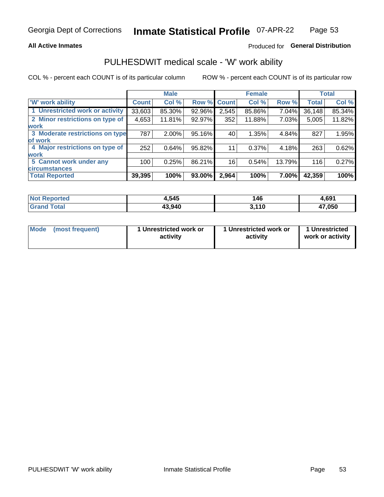### **All Active Inmates**

## Produced for General Distribution

## PULHESDWIT medical scale - 'W' work ability

COL % - percent each COUNT is of its particular column

|                                 |              | <b>Male</b> |        |              | <b>Female</b> |        |              | <b>Total</b> |
|---------------------------------|--------------|-------------|--------|--------------|---------------|--------|--------------|--------------|
| <b>W' work ability</b>          | <b>Count</b> | Col %       | Row %  | <b>Count</b> | Col %         | Row %  | <b>Total</b> | Col %        |
| 1 Unrestricted work or activity | 33,603       | 85.30%      | 92.96% | 2,545        | 85.86%        | 7.04%  | 36,148       | 85.34%       |
| 2 Minor restrictions on type of | 4,653        | 11.81%      | 92.97% | 352          | 11.88%        | 7.03%  | 5,005        | 11.82%       |
| <b>work</b>                     |              |             |        |              |               |        |              |              |
| 3 Moderate restrictions on type | 787          | 2.00%       | 95.16% | 40           | 1.35%         | 4.84%  | 827          | 1.95%        |
| lof work                        |              |             |        |              |               |        |              |              |
| 4 Major restrictions on type of | 252          | 0.64%       | 95.82% | 11           | 0.37%         | 4.18%  | 263          | 0.62%        |
| <b>work</b>                     |              |             |        |              |               |        |              |              |
| 5 Cannot work under any         | 100          | 0.25%       | 86.21% | 16           | 0.54%         | 13.79% | 116          | 0.27%        |
| <b>circumstances</b>            |              |             |        |              |               |        |              |              |
| <b>Total Reported</b>           | 39,395       | 100%        | 93.00% | 2,964        | 100%          | 7.00%  | 42,359       | 100%         |

| <b>Not Reported</b>    | 4,545  | 146   | 4,691  |
|------------------------|--------|-------|--------|
| <b>Total</b><br>ˈGrand | 43,940 | 3,110 | 47,050 |

| Mode            | 1 Unrestricted work or | 1 Unrestricted work or | 1 Unrestricted   |
|-----------------|------------------------|------------------------|------------------|
| (most frequent) | activity               | activity               | work or activity |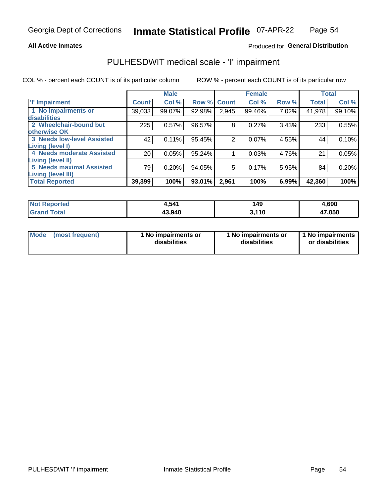### **All Active Inmates**

## Produced for General Distribution

## PULHESDWIT medical scale - 'I' impairment

COL % - percent each COUNT is of its particular column

|                                                              |              | <b>Male</b> |        |             | <b>Female</b> |       |              | <b>Total</b> |
|--------------------------------------------------------------|--------------|-------------|--------|-------------|---------------|-------|--------------|--------------|
| <b>T' Impairment</b>                                         | <b>Count</b> | Col %       |        | Row % Count | Col %         | Row % | <b>Total</b> | Col %        |
| 1 No impairments or<br>disabilities                          | 39,033       | 99.07%      | 92.98% | 2,945       | 99.46%        | 7.02% | 41,978       | 99.10%       |
| 2 Wheelchair-bound but<br>otherwise OK                       | 225          | 0.57%       | 96.57% | 8           | 0.27%         | 3.43% | 233          | 0.55%        |
| <b>3 Needs low-level Assisted</b><br>Living (level I)        | 42           | 0.11%       | 95.45% | 2           | 0.07%         | 4.55% | 44           | 0.10%        |
| 4 Needs moderate Assisted<br>Living (level II)               | 20           | 0.05%       | 95.24% |             | 0.03%         | 4.76% | 21           | 0.05%        |
| <b>5 Needs maximal Assisted</b><br><b>Living (level III)</b> | 79           | 0.20%       | 94.05% | 5           | 0.17%         | 5.95% | 84           | 0.20%        |
| <b>Total Reported</b>                                        | 39,399       | 100%        | 93.01% | 2,961       | 100%          | 6.99% | 42,360       | 100%         |

| oorted | 1,541  | 149         | 4,690        |
|--------|--------|-------------|--------------|
| `otal  | 43.940 | 2 11N<br>ιu | 47,050<br>4, |

| Mode | (most frequent) | 1 No impairments or<br>disabilities | 1 No impairments or<br>disabilities | 1 No impairments<br>or disabilities |
|------|-----------------|-------------------------------------|-------------------------------------|-------------------------------------|
|------|-----------------|-------------------------------------|-------------------------------------|-------------------------------------|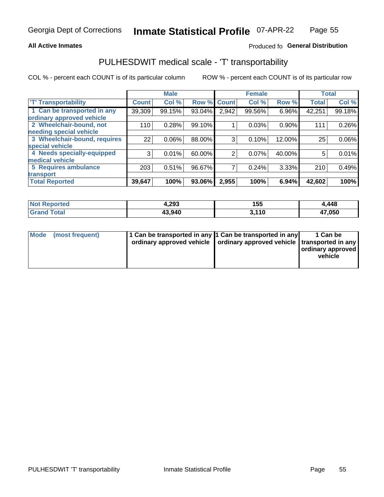### **All Active Inmates**

## Produced fo General Distribution

## PULHESDWIT medical scale - 'T' transportability

COL % - percent each COUNT is of its particular column

|                              |              | <b>Male</b> |        |              | <b>Female</b> |          | <b>Total</b> |          |
|------------------------------|--------------|-------------|--------|--------------|---------------|----------|--------------|----------|
| <b>T' Transportability</b>   | <b>Count</b> | Col %       | Row %  | <b>Count</b> | Col %         | Row %    | <b>Total</b> | Col %    |
| 1 Can be transported in any  | 39,309       | 99.15%      | 93.04% | 2,942        | 99.56%        | 6.96%    | 42,251       | 99.18%   |
| ordinary approved vehicle    |              |             |        |              |               |          |              |          |
| 2 Wheelchair-bound, not      | 110          | 0.28%       | 99.10% |              | 0.03%         | $0.90\%$ | 111          | 0.26%    |
| needing special vehicle      |              |             |        |              |               |          |              |          |
| 3 Wheelchair-bound, requires | 22           | 0.06%       | 88.00% | 3            | 0.10%         | 12.00%   | 25           | $0.06\%$ |
| special vehicle              |              |             |        |              |               |          |              |          |
| 4 Needs specially-equipped   | 3            | 0.01%       | 60.00% | 2            | 0.07%         | 40.00%   | 5            | 0.01%    |
| medical vehicle              |              |             |        |              |               |          |              |          |
| <b>5 Requires ambulance</b>  | 203          | 0.51%       | 96.67% | 7            | 0.24%         | 3.33%    | 210          | 0.49%    |
| transport                    |              |             |        |              |               |          |              |          |
| <b>Total Reported</b>        | 39,647       | 100%        | 93.06% | 2,955        | 100%          | 6.94%    | 42,602       | 100%     |

| <b>Not</b><br>Reported | 4,293  | 155  | 4,448  |
|------------------------|--------|------|--------|
| <b>Total</b>           | 43,940 | .110 | 47,050 |
| Gra <sup>r</sup>       |        | ີ    | 47     |

|  | Mode (most frequent) | 1 Can be transported in any 1 Can be transported in any<br>ordinary approved vehicle   ordinary approved vehicle   transported in any |  | 1 Can be<br>  ordinary approved  <br>vehicle |
|--|----------------------|---------------------------------------------------------------------------------------------------------------------------------------|--|----------------------------------------------|
|--|----------------------|---------------------------------------------------------------------------------------------------------------------------------------|--|----------------------------------------------|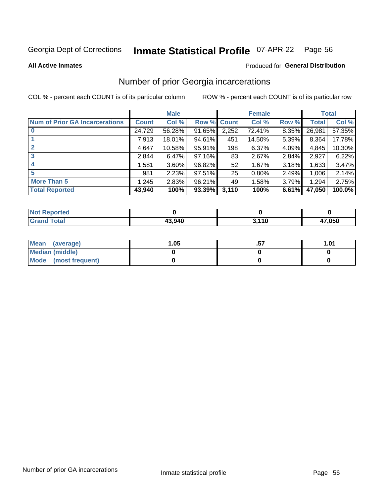#### Inmate Statistical Profile 07-APR-22 Page 56

**All Active Inmates** 

### Produced for General Distribution

## Number of prior Georgia incarcerations

COL % - percent each COUNT is of its particular column

|                                       |              | <b>Male</b> |             |       | <b>Female</b> |       |        | <b>Total</b> |
|---------------------------------------|--------------|-------------|-------------|-------|---------------|-------|--------|--------------|
| <b>Num of Prior GA Incarcerations</b> | <b>Count</b> | Col %       | Row % Count |       | Col %         | Row % | Total  | Col %        |
|                                       | 24,729       | 56.28%      | 91.65%      | 2,252 | 72.41%        | 8.35% | 26,981 | 57.35%       |
|                                       | 7,913        | 18.01%      | 94.61%      | 451   | 14.50%        | 5.39% | 8,364  | 17.78%       |
| $\overline{2}$                        | 4,647        | 10.58%      | 95.91%      | 198   | 6.37%         | 4.09% | 4,845  | 10.30%       |
| 3                                     | 2,844        | 6.47%       | 97.16%      | 83    | 2.67%         | 2.84% | 2,927  | 6.22%        |
| $\boldsymbol{4}$                      | 1,581        | 3.60%       | 96.82%      | 52    | 1.67%         | 3.18% | 1,633  | 3.47%        |
| 5                                     | 981          | 2.23%       | 97.51%      | 25    | 0.80%         | 2.49% | 1,006  | 2.14%        |
| <b>More Than 5</b>                    | 1,245        | 2.83%       | 96.21%      | 49    | 1.58%         | 3.79% | 1,294  | 2.75%        |
| <b>Total Reported</b>                 | 43,940       | 100%        | $93.39\%$   | 3,110 | 100%          | 6.61% | 47,050 | 100.0%       |

| <b>Not</b><br><b>Reported</b> |        |      |        |
|-------------------------------|--------|------|--------|
| iotal<br>Gr:                  | 13,940 | ,110 | 17,050 |

| Mean (average)       | 1.05 | <br>1.01 |
|----------------------|------|----------|
| Median (middle)      |      |          |
| Mode (most frequent) |      |          |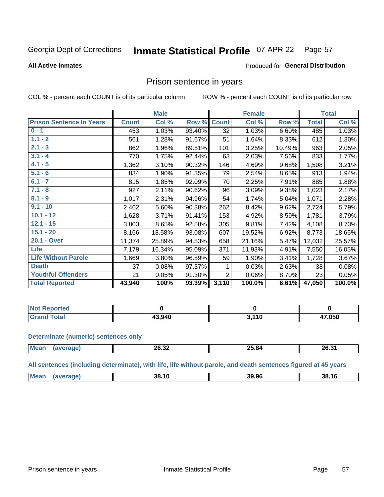#### Inmate Statistical Profile 07-APR-22 Page 57

### **All Active Inmates**

### Produced for General Distribution

## Prison sentence in years

COL % - percent each COUNT is of its particular column

ROW % - percent each COUNT is of its particular row

|                                 |              | <b>Male</b> |        |                | <b>Female</b> |        |              | <b>Total</b> |
|---------------------------------|--------------|-------------|--------|----------------|---------------|--------|--------------|--------------|
| <b>Prison Sentence In Years</b> | <b>Count</b> | Col %       | Row %  | <b>Count</b>   | Col %         | Row %  | <b>Total</b> | Col %        |
| $0 - 1$                         | 453          | 1.03%       | 93.40% | 32             | 1.03%         | 6.60%  | 485          | 1.03%        |
| $1.1 - 2$                       | 561          | 1.28%       | 91.67% | 51             | 1.64%         | 8.33%  | 612          | 1.30%        |
| $2.1 - 3$                       | 862          | 1.96%       | 89.51% | 101            | 3.25%         | 10.49% | 963          | 2.05%        |
| $3.1 - 4$                       | 770          | 1.75%       | 92.44% | 63             | 2.03%         | 7.56%  | 833          | 1.77%        |
| $4.1 - 5$                       | 1,362        | 3.10%       | 90.32% | 146            | 4.69%         | 9.68%  | 1,508        | 3.21%        |
| $5.1 - 6$                       | 834          | 1.90%       | 91.35% | 79             | 2.54%         | 8.65%  | 913          | 1.94%        |
| $6.1 - 7$                       | 815          | 1.85%       | 92.09% | 70             | 2.25%         | 7.91%  | 885          | 1.88%        |
| $7.1 - 8$                       | 927          | 2.11%       | 90.62% | 96             | 3.09%         | 9.38%  | 1,023        | 2.17%        |
| $8.1 - 9$                       | 1,017        | 2.31%       | 94.96% | 54             | 1.74%         | 5.04%  | 1,071        | 2.28%        |
| $9.1 - 10$                      | 2,462        | 5.60%       | 90.38% | 262            | 8.42%         | 9.62%  | 2,724        | 5.79%        |
| $10.1 - 12$                     | 1,628        | 3.71%       | 91.41% | 153            | 4.92%         | 8.59%  | 1,781        | 3.79%        |
| $12.1 - 15$                     | 3,803        | 8.65%       | 92.58% | 305            | 9.81%         | 7.42%  | 4,108        | 8.73%        |
| $15.1 - 20$                     | 8,166        | 18.58%      | 93.08% | 607            | 19.52%        | 6.92%  | 8,773        | 18.65%       |
| 20.1 - Over                     | 11,374       | 25.89%      | 94.53% | 658            | 21.16%        | 5.47%  | 12,032       | 25.57%       |
| <b>Life</b>                     | 7,179        | 16.34%      | 95.09% | 371            | 11.93%        | 4.91%  | 7,550        | 16.05%       |
| <b>Life Without Parole</b>      | 1,669        | 3.80%       | 96.59% | 59             | 1.90%         | 3.41%  | 1,728        | 3.67%        |
| <b>Death</b>                    | 37           | 0.08%       | 97.37% |                | 0.03%         | 2.63%  | 38           | 0.08%        |
| <b>Youthful Offenders</b>       | 21           | 0.05%       | 91.30% | $\overline{2}$ | 0.06%         | 8.70%  | 23           | 0.05%        |
| <b>Total Reported</b>           | 43,940       | 100%        | 93.39% | 3,110          | 100.0%        | 6.61%  | 47,050       | 100.0%       |

| <b>Not Reported</b>    |       |        |                        |
|------------------------|-------|--------|------------------------|
| <b>Cotal</b><br>. Gror | 3.940 | $-440$ | 17,050<br>$\mathbf{r}$ |

### **Determinate (numeric) sentences only**

| Mean | nn nn<br>20.32 | ΩE. | 26.31 |
|------|----------------|-----|-------|
|      |                |     |       |

All sentences (including determinate), with life, life without parole, and death sentences figured at 45 years

| <b>Mean</b> | 38.10 | 39.96 | 38.16 |
|-------------|-------|-------|-------|
|             |       |       |       |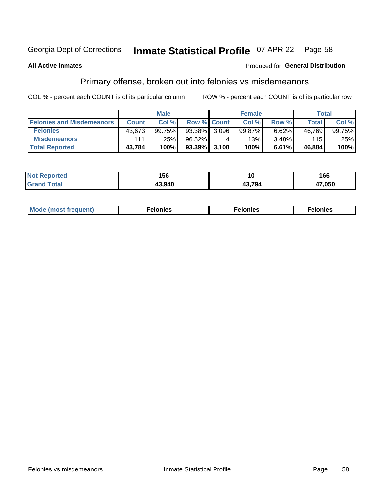#### **Inmate Statistical Profile 07-APR-22** Page 58

### **All Active Inmates**

### Produced for General Distribution

## Primary offense, broken out into felonies vs misdemeanors

COL % - percent each COUNT is of its particular column

|                                  | <b>Male</b>  |        |                    |       | <b>Female</b> | Total |              |        |
|----------------------------------|--------------|--------|--------------------|-------|---------------|-------|--------------|--------|
| <b>Felonies and Misdemeanors</b> | <b>Count</b> | Col %  | <b>Row % Count</b> |       | Col %         | Row % | <b>Total</b> | Col %  |
| <b>Felonies</b>                  | 43,673       | 99.75% | 93.38%             | 3.096 | 99.87%        | 6.62% | 46,769       | 99.75% |
| <b>Misdemeanors</b>              | 111          | .25%   | 96.52%             |       | $.13\%$       | 3.48% | 115          | .25%   |
| <b>Total Reported</b>            | 43,784       | 100%   | $93.39\%$ 3,100    |       | 100%          | 6.61% | 46,884       | 100%   |

| <b>Not</b><br>rted. | .<br>.56 | w              | 66     |
|---------------------|----------|----------------|--------|
| ™otar<br>Grand      | 13 Q40   | 10.704<br>20 D | 17,050 |

| Mo | ____ | 11 C.S<br>. | onies<br>. |
|----|------|-------------|------------|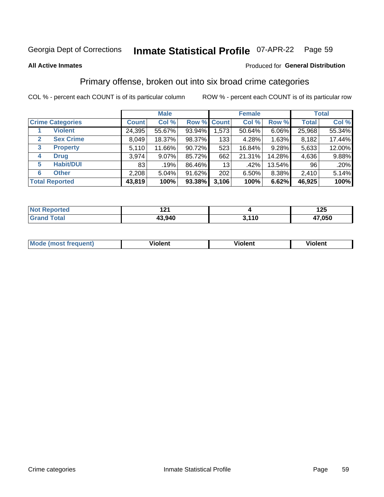#### **Inmate Statistical Profile 07-APR-22** Page 59

### **All Active Inmates**

### Produced for General Distribution

## Primary offense, broken out into six broad crime categories

COL % - percent each COUNT is of its particular column

|                                  |              | <b>Male</b> |        |             | <b>Female</b> |        |              | <b>Total</b> |
|----------------------------------|--------------|-------------|--------|-------------|---------------|--------|--------------|--------------|
| <b>Crime Categories</b>          | <b>Count</b> | Col %       |        | Row % Count | Col %         | Row %  | <b>Total</b> | Col %        |
| <b>Violent</b>                   | 24,395       | 55.67%      | 93.94% | 1,573       | 50.64%        | 6.06%  | 25,968       | 55.34%       |
| <b>Sex Crime</b><br>$\mathbf{2}$ | 8,049        | 18.37%      | 98.37% | 133         | 4.28%         | 1.63%  | 8,182        | 17.44%       |
| <b>Property</b><br>3             | 5,110        | 11.66%      | 90.72% | 523         | 16.84%        | 9.28%  | 5,633        | 12.00%       |
| <b>Drug</b><br>4                 | 3,974        | 9.07%       | 85.72% | 662         | 21.31%        | 14.28% | 4,636        | 9.88%        |
| <b>Habit/DUI</b><br>5            | 83           | $.19\%$     | 86.46% | 13          | .42%          | 13.54% | 96           | .20%         |
| <b>Other</b><br>6                | 2,208        | 5.04%       | 91.62% | 202         | 6.50%         | 8.38%  | 2,410        | 5.14%        |
| <b>Total Reported</b>            | 43,819       | 100%        | 93.38% | 3,106       | 100%          | 6.62%  | 46,925       | 100%         |

| <b>orteg</b><br>NO: | ъ.<br>. |       | 125    |
|---------------------|---------|-------|--------|
| $F$ ntal            | 43,940  | 3,110 | 17,050 |

| Mc | .<br>$\cdots$ | VIOIEM |
|----|---------------|--------|
|    |               |        |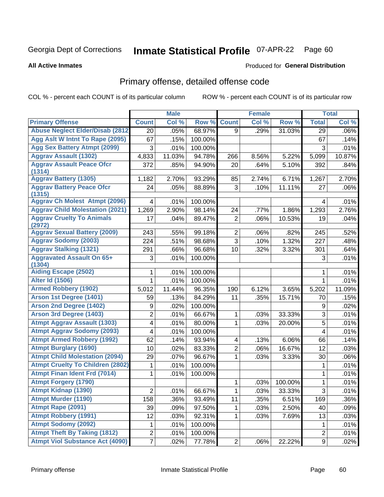#### **Inmate Statistical Profile 07-APR-22** Page 60

**All Active Inmates** 

### **Produced for General Distribution**

## Primary offense, detailed offense code

COL % - percent each COUNT is of its particular column

|                                            |                         | <b>Male</b> |         |                | <b>Female</b> |         |                | <b>Total</b> |
|--------------------------------------------|-------------------------|-------------|---------|----------------|---------------|---------|----------------|--------------|
| <b>Primary Offense</b>                     | <b>Count</b>            | Col %       | Row %   | <b>Count</b>   | Col %         | Row %   | <b>Total</b>   | Col %        |
| <b>Abuse Neglect Elder/Disab (2812)</b>    | 20                      | .05%        | 68.97%  | 9              | .29%          | 31.03%  | 29             | .06%         |
| Agg Aslt W Intnt To Rape (2095)            | 67                      | .15%        | 100.00% |                |               |         | 67             | .14%         |
| <b>Agg Sex Battery Atmpt (2099)</b>        | 3                       | .01%        | 100.00% |                |               |         | 3              | .01%         |
| <b>Aggrav Assault (1302)</b>               | 4,833                   | 11.03%      | 94.78%  | 266            | 8.56%         | 5.22%   | 5,099          | 10.87%       |
| <b>Aggrav Assault Peace Ofcr</b>           | 372                     | .85%        | 94.90%  | 20             | .64%          | 5.10%   | 392            | .84%         |
| (1314)                                     |                         |             |         |                |               |         |                |              |
| <b>Aggrav Battery (1305)</b>               | 1,182                   | 2.70%       | 93.29%  | 85             | 2.74%         | 6.71%   | 1,267          | 2.70%        |
| <b>Aggrav Battery Peace Ofcr</b><br>(1315) | 24                      | .05%        | 88.89%  | 3              | .10%          | 11.11%  | 27             | .06%         |
| <b>Aggrav Ch Molest Atmpt (2096)</b>       | 4                       | .01%        | 100.00% |                |               |         | 4              | .01%         |
| <b>Aggrav Child Molestation (2021)</b>     | 1,269                   | 2.90%       | 98.14%  | 24             | .77%          | 1.86%   | 1,293          | 2.76%        |
| <b>Aggrav Cruelty To Animals</b><br>(2972) | 17                      | .04%        | 89.47%  | 2              | .06%          | 10.53%  | 19             | .04%         |
| <b>Aggrav Sexual Battery (2009)</b>        | 243                     | .55%        | 99.18%  | $\overline{2}$ | .06%          | .82%    | 245            | .52%         |
| <b>Aggrav Sodomy (2003)</b>                | 224                     | .51%        | 98.68%  | 3              | .10%          | 1.32%   | 227            | .48%         |
| <b>Aggrav Stalking (1321)</b>              | 291                     | .66%        | 96.68%  | 10             | .32%          | 3.32%   | 301            | .64%         |
| <b>Aggravated Assault On 65+</b><br>(1304) | 3                       | .01%        | 100.00% |                |               |         | 3              | .01%         |
| <b>Aiding Escape (2502)</b>                | 1                       | .01%        | 100.00% |                |               |         | 1              | .01%         |
| <b>Alter Id (1506)</b>                     | 1                       | .01%        | 100.00% |                |               |         | $\mathbf{1}$   | .01%         |
| <b>Armed Robbery (1902)</b>                | 5,012                   | 11.44%      | 96.35%  | 190            | 6.12%         | 3.65%   | 5,202          | 11.09%       |
| Arson 1st Degree (1401)                    | 59                      | .13%        | 84.29%  | 11             | .35%          | 15.71%  | 70             | .15%         |
| <b>Arson 2nd Degree (1402)</b>             | 9                       | .02%        | 100.00% |                |               |         | 9              | .02%         |
| <b>Arson 3rd Degree (1403)</b>             | 2                       | .01%        | 66.67%  | $\mathbf{1}$   | .03%          | 33.33%  | 3              | .01%         |
| <b>Atmpt Aggrav Assault (1303)</b>         | 4                       | .01%        | 80.00%  | 1              | .03%          | 20.00%  | 5              | .01%         |
| <b>Atmpt Aggrav Sodomy (2093)</b>          | 4                       | .01%        | 100.00% |                |               |         | 4              | .01%         |
| <b>Atmpt Armed Robbery (1992)</b>          | 62                      | .14%        | 93.94%  | 4              | .13%          | 6.06%   | 66             | .14%         |
| <b>Atmpt Burglary (1690)</b>               | 10                      | .02%        | 83.33%  | $\overline{2}$ | .06%          | 16.67%  | 12             | .03%         |
| <b>Atmpt Child Molestation (2094)</b>      | 29                      | .07%        | 96.67%  | 1              | .03%          | 3.33%   | 30             | .06%         |
| <b>Atmpt Cruelty To Children (2802)</b>    | 1                       | .01%        | 100.00% |                |               |         | 1              | .01%         |
| <b>Atmpt Finan Ident Frd (7014)</b>        | 1                       | .01%        | 100.00% |                |               |         | 1              | .01%         |
| <b>Atmpt Forgery (1790)</b>                |                         |             |         | 1              | .03%          | 100.00% | $\mathbf{1}$   | .01%         |
| <b>Atmpt Kidnap (1390)</b>                 | $\overline{2}$          | .01%        | 66.67%  | 1              | .03%          | 33.33%  | $\overline{3}$ | .01%         |
| <b>Atmpt Murder (1190)</b>                 | 158                     | .36%        | 93.49%  | 11             | .35%          | 6.51%   | 169            | .36%         |
| Atmpt Rape (2091)                          | 39                      | .09%        | 97.50%  | 1              | .03%          | 2.50%   | 40             | .09%         |
| <b>Atmpt Robbery (1991)</b>                | 12                      | .03%        | 92.31%  | 1              | .03%          | 7.69%   | 13             | .03%         |
| <b>Atmpt Sodomy (2092)</b>                 | 1                       | .01%        | 100.00% |                |               |         | 1              | .01%         |
| <b>Atmpt Theft By Taking (1812)</b>        | $\overline{\mathbf{c}}$ | .01%        | 100.00% |                |               |         | $\overline{c}$ | .01%         |
| <b>Atmpt Viol Substance Act (4090)</b>     | $\overline{7}$          | .02%        | 77.78%  | $\mathbf{2}$   | .06%          | 22.22%  | 9              | .02%         |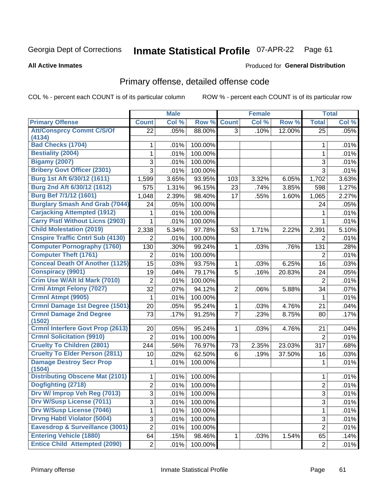#### **Inmate Statistical Profile 07-APR-22** Page 61

**All Active Inmates** 

### Produced for General Distribution

## Primary offense, detailed offense code

COL % - percent each COUNT is of its particular column

|                                           |                | <b>Male</b> |         |                | <b>Female</b> |        |                | <b>Total</b> |
|-------------------------------------------|----------------|-------------|---------|----------------|---------------|--------|----------------|--------------|
| <b>Primary Offense</b>                    | <b>Count</b>   | Col %       | Row %   | <b>Count</b>   | Col %         | Row %  | <b>Total</b>   | Col %        |
| <b>Att/Consprcy Commt C/S/Of</b>          | 22             | .05%        | 88.00%  | 3              | .10%          | 12.00% | 25             | .05%         |
| (4134)                                    |                |             |         |                |               |        |                |              |
| <b>Bad Checks (1704)</b>                  | 1              | .01%        | 100.00% |                |               |        | 1              | .01%         |
| <b>Bestiality (2004)</b>                  | 1              | .01%        | 100.00% |                |               |        | $\mathbf{1}$   | .01%         |
| <b>Bigamy (2007)</b>                      | 3              | .01%        | 100.00% |                |               |        | 3              | .01%         |
| <b>Bribery Govt Officer (2301)</b>        | 3              | .01%        | 100.00% |                |               |        | 3              | .01%         |
| Burg 1st Aft 6/30/12 (1611)               | 1,599          | 3.65%       | 93.95%  | 103            | 3.32%         | 6.05%  | 1,702          | 3.63%        |
| Burg 2nd Aft 6/30/12 (1612)               | 575            | 1.31%       | 96.15%  | 23             | .74%          | 3.85%  | 598            | 1.27%        |
| <b>Burg Bef 7/1/12 (1601)</b>             | 1,048          | 2.39%       | 98.40%  | 17             | .55%          | 1.60%  | 1,065          | 2.27%        |
| <b>Burglary Smash And Grab (7044)</b>     | 24             | .05%        | 100.00% |                |               |        | 24             | .05%         |
| <b>Carjacking Attempted (1912)</b>        | 1              | .01%        | 100.00% |                |               |        | 1              | .01%         |
| <b>Carry Pistl Without Licns (2903)</b>   | 1              | .01%        | 100.00% |                |               |        | $\mathbf{1}$   | .01%         |
| <b>Child Molestation (2019)</b>           | 2,338          | 5.34%       | 97.78%  | 53             | 1.71%         | 2.22%  | 2,391          | 5.10%        |
| <b>Cnspire Traffic Cntrl Sub (4130)</b>   | 2              | .01%        | 100.00% |                |               |        | 2              | .01%         |
| <b>Computer Pornography (1760)</b>        | 130            | .30%        | 99.24%  | $\mathbf{1}$   | .03%          | .76%   | 131            | .28%         |
| <b>Computer Theft (1761)</b>              | 2              | .01%        | 100.00% |                |               |        | 2              | .01%         |
| <b>Conceal Death Of Another (1125)</b>    | 15             | .03%        | 93.75%  | 1              | .03%          | 6.25%  | 16             | .03%         |
| <b>Conspiracy (9901)</b>                  | 19             | .04%        | 79.17%  | 5              | .16%          | 20.83% | 24             | .05%         |
| Crim Use W/Alt Id Mark (7010)             | $\overline{2}$ | .01%        | 100.00% |                |               |        | $\overline{2}$ | .01%         |
| <b>Crml Atmpt Felony (7027)</b>           | 32             | .07%        | 94.12%  | $\overline{2}$ | .06%          | 5.88%  | 34             | .07%         |
| Crmnl Atmpt (9905)                        | 1              | .01%        | 100.00% |                |               |        | 1              | .01%         |
| Crmnl Damage 1st Degree (1501)            | 20             | .05%        | 95.24%  | $\mathbf{1}$   | .03%          | 4.76%  | 21             | .04%         |
| <b>Crmnl Damage 2nd Degree</b>            | 73             | .17%        | 91.25%  | $\overline{7}$ | .23%          | 8.75%  | 80             | .17%         |
| (1502)                                    |                |             |         |                |               |        |                |              |
| <b>Crmnl Interfere Govt Prop (2613)</b>   | 20             | .05%        | 95.24%  | 1              | .03%          | 4.76%  | 21             | .04%         |
| <b>Crmnl Solicitation (9910)</b>          | $\overline{2}$ | .01%        | 100.00% |                |               |        | $\overline{2}$ | .01%         |
| <b>Cruelty To Children (2801)</b>         | 244            | .56%        | 76.97%  | 73             | 2.35%         | 23.03% | 317            | .68%         |
| <b>Cruelty To Elder Person (2811)</b>     | 10             | .02%        | 62.50%  | 6              | .19%          | 37.50% | 16             | .03%         |
| <b>Damage Destroy Secr Prop</b><br>(1504) | 1              | .01%        | 100.00% |                |               |        | 1              | .01%         |
| <b>Distributing Obscene Mat (2101)</b>    | 1              | .01%        | 100.00% |                |               |        | 1              | .01%         |
| Dogfighting (2718)                        | $\overline{2}$ | .01%        | 100.00% |                |               |        | $\overline{2}$ | .01%         |
| Drv W/ Improp Veh Reg (7013)              | 3              | .01%        | 100.00% |                |               |        | 3              | .01%         |
| <b>Drv W/Susp License (7011)</b>          | $\overline{3}$ | .01%        | 100.00% |                |               |        | 3              | .01%         |
| <b>Drv W/Susp License (7046)</b>          | $\mathbf{1}$   | $.01\%$     | 100.00% |                |               |        | $\mathbf{1}$   | .01%         |
| <b>Drvng Habtl Violator (5004)</b>        | 3              | .01%        | 100.00% |                |               |        | 3              | .01%         |
| Eavesdrop & Surveillance (3001)           | $\overline{2}$ | .01%        | 100.00% |                |               |        | $\overline{2}$ | .01%         |
| <b>Entering Vehicle (1880)</b>            | 64             | .15%        | 98.46%  | 1              | .03%          | 1.54%  | 65             | .14%         |
| <b>Entice Child Attempted (2090)</b>      | $\overline{2}$ | .01%        | 100.00% |                |               |        | $\overline{2}$ | .01%         |
|                                           |                |             |         |                |               |        |                |              |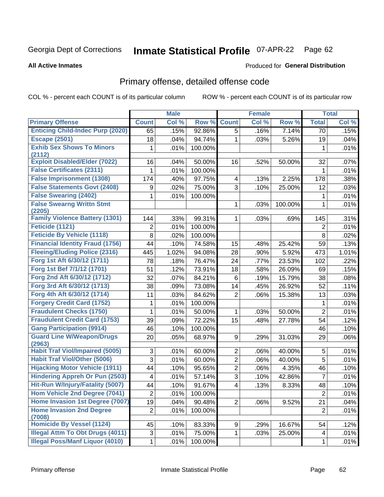## Inmate Statistical Profile 07-APR-22 Page 62

**All Active Inmates** 

### Produced for General Distribution

## Primary offense, detailed offense code

COL % - percent each COUNT is of its particular column

|                                            |                         | <b>Male</b> |         |                         | <b>Female</b> |         |                | <b>Total</b> |
|--------------------------------------------|-------------------------|-------------|---------|-------------------------|---------------|---------|----------------|--------------|
| <b>Primary Offense</b>                     | <b>Count</b>            | Col %       | Row %   | <b>Count</b>            | Col %         | Row %   | <b>Total</b>   | Col %        |
| <b>Enticing Child-Indec Purp (2020)</b>    | 65                      | .15%        | 92.86%  | $\overline{5}$          | .16%          | 7.14%   | 70             | .15%         |
| <b>Escape (2501)</b>                       | 18                      | .04%        | 94.74%  | 1                       | .03%          | 5.26%   | 19             | .04%         |
| <b>Exhib Sex Shows To Minors</b>           | 1                       | .01%        | 100.00% |                         |               |         | 1              | .01%         |
| (2112)                                     |                         |             |         |                         |               |         |                |              |
| <b>Exploit Disabled/Elder (7022)</b>       | 16                      | .04%        | 50.00%  | 16                      | .52%          | 50.00%  | 32             | .07%         |
| <b>False Certificates (2311)</b>           | 1                       | .01%        | 100.00% |                         |               |         | 1              | .01%         |
| <b>False Imprisonment (1308)</b>           | 174                     | .40%        | 97.75%  | $\overline{\mathbf{4}}$ | .13%          | 2.25%   | 178            | .38%         |
| <b>False Statements Govt (2408)</b>        | 9                       | .02%        | 75.00%  | 3                       | .10%          | 25.00%  | 12             | .03%         |
| <b>False Swearing (2402)</b>               | 1                       | .01%        | 100.00% |                         |               |         | 1              | .01%         |
| <b>False Swearng Writtn Stmt</b><br>(2205) |                         |             |         | 1                       | .03%          | 100.00% | 1              | .01%         |
| <b>Family Violence Battery (1301)</b>      | 144                     | .33%        | 99.31%  | 1                       | .03%          | .69%    | 145            | .31%         |
| <b>Feticide (1121)</b>                     | 2                       | .01%        | 100.00% |                         |               |         | $\overline{2}$ | .01%         |
| <b>Feticide By Vehicle (1118)</b>          | 8                       | .02%        | 100.00% |                         |               |         | 8              | .02%         |
| <b>Financial Identity Fraud (1756)</b>     | 44                      | .10%        | 74.58%  | 15                      | .48%          | 25.42%  | 59             | .13%         |
| <b>Fleeing/Eluding Police (2316)</b>       | 445                     | 1.02%       | 94.08%  | 28                      | .90%          | 5.92%   | 473            | 1.01%        |
| Forg 1st Aft 6/30/12 (1711)                | 78                      | .18%        | 76.47%  | 24                      | .77%          | 23.53%  | 102            | .22%         |
| Forg 1st Bef 7/1/12 (1701)                 | 51                      | .12%        | 73.91%  | 18                      | .58%          | 26.09%  | 69             | .15%         |
| Forg 2nd Aft 6/30/12 (1712)                | 32                      | .07%        | 84.21%  | 6                       | .19%          | 15.79%  | 38             | .08%         |
| Forg 3rd Aft 6/30/12 (1713)                | 38                      | .09%        | 73.08%  | 14                      | .45%          | 26.92%  | 52             | .11%         |
| Forg 4th Aft 6/30/12 (1714)                | 11                      | .03%        | 84.62%  | $\overline{2}$          | .06%          | 15.38%  | 13             | .03%         |
| <b>Forgery Credit Card (1752)</b>          | 1                       | .01%        | 100.00% |                         |               |         | 1              | .01%         |
| <b>Fraudulent Checks (1750)</b>            | 1                       | .01%        | 50.00%  | 1                       | .03%          | 50.00%  | $\overline{2}$ | .01%         |
| <b>Fraudulent Credit Card (1753)</b>       | 39                      | .09%        | 72.22%  | 15                      | .48%          | 27.78%  | 54             | .12%         |
| <b>Gang Participation (9914)</b>           | 46                      | .10%        | 100.00% |                         |               |         | 46             | .10%         |
| <b>Guard Line W/Weapon/Drugs</b><br>(2963) | 20                      | .05%        | 68.97%  | 9                       | .29%          | 31.03%  | 29             | .06%         |
| <b>Habit Traf Viol/Impaired (5005)</b>     | 3                       | .01%        | 60.00%  | $\overline{2}$          | .06%          | 40.00%  | 5              | .01%         |
| <b>Habit Traf Viol/Other (5006)</b>        | 3                       | .01%        | 60.00%  | $\overline{2}$          | .06%          | 40.00%  | 5              | .01%         |
| <b>Hijacking Motor Vehicle (1911)</b>      | 44                      | .10%        | 95.65%  | $\overline{2}$          | .06%          | 4.35%   | 46             | .10%         |
| <b>Hindering Appreh Or Pun (2503)</b>      | $\overline{\mathbf{4}}$ | .01%        | 57.14%  | $\overline{3}$          | .10%          | 42.86%  | $\overline{7}$ | .01%         |
| Hit-Run W/Injury/Fatality (5007)           | 44                      | .10%        | 91.67%  | $\overline{\mathbf{4}}$ | .13%          | 8.33%   | 48             | .10%         |
| Hom Vehicle 2nd Degree (7041)              | $\overline{2}$          | .01%        | 100.00% |                         |               |         | $\overline{c}$ | .01%         |
| Home Invasion 1st Degree (7007)            | 19                      | .04%        | 90.48%  | $\overline{2}$          | .06%          | 9.52%   | 21             | .04%         |
| <b>Home Invasion 2nd Degree</b><br>(7008)  | $\overline{2}$          | .01%        | 100.00% |                         |               |         | $\overline{2}$ | .01%         |
| <b>Homicide By Vessel (1124)</b>           | 45                      | .10%        | 83.33%  | 9 <sup>1</sup>          | .29%          | 16.67%  | 54             | .12%         |
| <b>Illegal Attm To Obt Drugs (4011)</b>    | 3                       | .01%        | 75.00%  | 1                       | .03%          | 25.00%  | 4              | .01%         |
| <b>Illegal Poss/Manf Liquor (4010)</b>     | $\mathbf{1}$            | .01%        | 100.00% |                         |               |         | 1              | .01%         |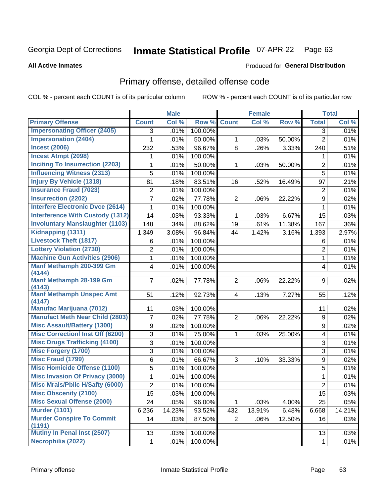#### **Inmate Statistical Profile 07-APR-22** Page 63

**All Active Inmates** 

### Produced for General Distribution

## Primary offense, detailed offense code

COL % - percent each COUNT is of its particular column

|                                           |                | <b>Male</b> |         |                | <b>Female</b> |        |                           | <b>Total</b> |
|-------------------------------------------|----------------|-------------|---------|----------------|---------------|--------|---------------------------|--------------|
| <b>Primary Offense</b>                    | <b>Count</b>   | Col %       | Row %   | <b>Count</b>   | Col %         | Row %  | <b>Total</b>              | Col %        |
| <b>Impersonating Officer (2405)</b>       | 3              | .01%        | 100.00% |                |               |        | 3                         | .01%         |
| <b>Impersonation (2404)</b>               | 1              | .01%        | 50.00%  | 1              | .03%          | 50.00% | $\overline{2}$            | .01%         |
| <b>Incest (2006)</b>                      | 232            | .53%        | 96.67%  | 8              | .26%          | 3.33%  | 240                       | .51%         |
| <b>Incest Atmpt (2098)</b>                | 1              | .01%        | 100.00% |                |               |        | 1                         | .01%         |
| <b>Inciting To Insurrection (2203)</b>    | 1              | .01%        | 50.00%  | 1              | .03%          | 50.00% | $\overline{2}$            | .01%         |
| <b>Influencing Witness (2313)</b>         | 5              | .01%        | 100.00% |                |               |        | 5                         | .01%         |
| <b>Injury By Vehicle (1318)</b>           | 81             | .18%        | 83.51%  | 16             | .52%          | 16.49% | 97                        | .21%         |
| <b>Insurance Fraud (7023)</b>             | $\overline{2}$ | .01%        | 100.00% |                |               |        | 2                         | .01%         |
| <b>Insurrection (2202)</b>                | 7              | .02%        | 77.78%  | $\overline{2}$ | .06%          | 22.22% | 9                         | .02%         |
| <b>Interfere Electronic Dvce (2614)</b>   | 1              | .01%        | 100.00% |                |               |        | 1                         | .01%         |
| <b>Interference With Custody (1312)</b>   | 14             | .03%        | 93.33%  | 1              | .03%          | 6.67%  | 15                        | .03%         |
| <b>Involuntary Manslaughter (1103)</b>    | 148            | .34%        | 88.62%  | 19             | .61%          | 11.38% | 167                       | .36%         |
| Kidnapping (1311)                         | 1,349          | 3.08%       | 96.84%  | 44             | 1.42%         | 3.16%  | 1,393                     | 2.97%        |
| <b>Livestock Theft (1817)</b>             | 6              | .01%        | 100.00% |                |               |        | 6                         | .01%         |
| <b>Lottery Violation (2730)</b>           | 2              | .01%        | 100.00% |                |               |        | $\overline{2}$            | .01%         |
| <b>Machine Gun Activities (2906)</b>      | $\mathbf{1}$   | .01%        | 100.00% |                |               |        | 1                         | .01%         |
| Manf Methamph 200-399 Gm<br>(4144)        | 4              | .01%        | 100.00% |                |               |        | 4                         | .01%         |
| Manf Methamph 28-199 Gm<br>(4143)         | 7              | .02%        | 77.78%  | 2 <sup>1</sup> | .06%          | 22.22% | 9                         | .02%         |
| <b>Manf Methamph Unspec Amt</b><br>(4147) | 51             | .12%        | 92.73%  | 4              | .13%          | 7.27%  | 55                        | .12%         |
| <b>Manufac Marijuana (7012)</b>           | 11             | .03%        | 100.00% |                |               |        | 11                        | .02%         |
| <b>Manufact Meth Near Child (2803)</b>    | 7              | .02%        | 77.78%  | $\overline{2}$ | .06%          | 22.22% | 9                         | .02%         |
| <b>Misc Assault/Battery (1300)</b>        | 9              | .02%        | 100.00% |                |               |        | 9                         | .02%         |
| <b>Misc Correctionl Inst Off (6200)</b>   | 3              | .01%        | 75.00%  | 1              | .03%          | 25.00% | 4                         | .01%         |
| <b>Misc Drugs Trafficking (4100)</b>      | 3              | .01%        | 100.00% |                |               |        | $\ensuremath{\mathsf{3}}$ | .01%         |
| <b>Misc Forgery (1700)</b>                | 3              | .01%        | 100.00% |                |               |        | $\overline{3}$            | .01%         |
| <b>Misc Fraud (1799)</b>                  | 6              | .01%        | 66.67%  | 3              | .10%          | 33.33% | $\boldsymbol{9}$          | .02%         |
| <b>Misc Homicide Offense (1100)</b>       | 5              | .01%        | 100.00% |                |               |        | 5                         | .01%         |
| <b>Misc Invasion Of Privacy (3000)</b>    | 1              | .01%        | 100.00% |                |               |        | $\mathbf{1}$              | .01%         |
| <b>Misc Mrals/Pblic H/Safty (6000)</b>    | $\overline{c}$ | .01%        | 100.00% |                |               |        | $\overline{2}$            | .01%         |
| <b>Misc Obscenity (2100)</b>              | 15             | .03%        | 100.00% |                |               |        | 15                        | .03%         |
| <b>Misc Sexual Offense (2000)</b>         | 24             | .05%        | 96.00%  | 1              | .03%          | 4.00%  | 25                        | .05%         |
| <b>Murder (1101)</b>                      | 6,236          | 14.23%      | 93.52%  | 432            | 13.91%        | 6.48%  | 6,668                     | 14.21%       |
| <b>Murder Conspire To Commit</b>          | 14             | .03%        | 87.50%  | $\overline{2}$ | .06%          | 12.50% | 16                        | .03%         |
| (1191)<br>Mutiny In Penal Inst (2507)     | 13             | .03%        | 100.00% |                |               |        | 13                        | .03%         |
| Necrophilia (2022)                        | 1              | .01%        | 100.00% |                |               |        | $\mathbf{1}$              | .01%         |
|                                           |                |             |         |                |               |        |                           |              |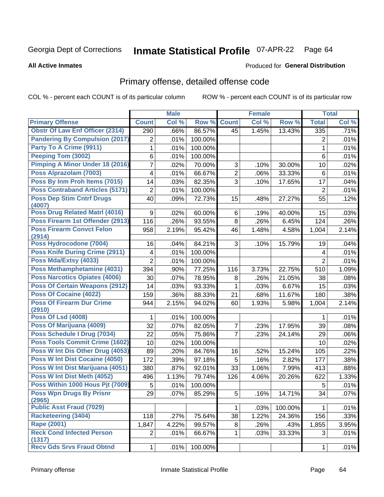#### **Inmate Statistical Profile 07-APR-22** Page 64

Produced for General Distribution

### **All Active Inmates**

## Primary offense, detailed offense code

COL % - percent each COUNT is of its particular column

|                                            |                | <b>Male</b> |         |                | <b>Female</b> |         |                 | <b>Total</b> |
|--------------------------------------------|----------------|-------------|---------|----------------|---------------|---------|-----------------|--------------|
| <b>Primary Offense</b>                     | <b>Count</b>   | Col %       | Row %   | <b>Count</b>   | Col %         | Row %   | <b>Total</b>    | Col %        |
| <b>Obstr Of Law Enf Officer (2314)</b>     | 290            | .66%        | 86.57%  | 45             | 1.45%         | 13.43%  | $\frac{1}{335}$ | .71%         |
| <b>Pandering By Compulsion (2017)</b>      | 2              | .01%        | 100.00% |                |               |         | 2               | .01%         |
| Party To A Crime (9911)                    | 1              | .01%        | 100.00% |                |               |         | 1               | .01%         |
| Peeping Tom (3002)                         | 6              | .01%        | 100.00% |                |               |         | 6               | .01%         |
| Pimping A Minor Under 18 (2016)            | $\overline{7}$ | .02%        | 70.00%  | 3              | .10%          | 30.00%  | 10              | .02%         |
| Poss Alprazolam (7003)                     | 4              | .01%        | 66.67%  | $\overline{2}$ | .06%          | 33.33%  | 6               | .01%         |
| Poss By Inm Proh Items (7015)              | 14             | .03%        | 82.35%  | 3              | .10%          | 17.65%  | 17              | .04%         |
| <b>Poss Contraband Articles (5171)</b>     | $\overline{2}$ | .01%        | 100.00% |                |               |         | $\overline{2}$  | .01%         |
| <b>Poss Dep Stim Cntrf Drugs</b><br>(4007) | 40             | .09%        | 72.73%  | 15             | .48%          | 27.27%  | 55              | .12%         |
| <b>Poss Drug Related Matri (4016)</b>      | 9              | .02%        | 60.00%  | 6              | .19%          | 40.00%  | 15              | .03%         |
| Poss Firearm 1st Offender (2913)           | 116            | .26%        | 93.55%  | 8              | .26%          | 6.45%   | 124             | .26%         |
| <b>Poss Firearm Convct Felon</b><br>(2914) | 958            | 2.19%       | 95.42%  | 46             | 1.48%         | 4.58%   | 1,004           | 2.14%        |
| Poss Hydrocodone (7004)                    | 16             | .04%        | 84.21%  | 3              | .10%          | 15.79%  | 19              | .04%         |
| <b>Poss Knife During Crime (2911)</b>      | 4              | .01%        | 100.00% |                |               |         | 4               | .01%         |
| Poss Mda/Extsy (4033)                      | $\overline{2}$ | .01%        | 100.00% |                |               |         | $\overline{2}$  | .01%         |
| Poss Methamphetamine (4031)                | 394            | .90%        | 77.25%  | 116            | 3.73%         | 22.75%  | 510             | 1.09%        |
| <b>Poss Narcotics Opiates (4006)</b>       | 30             | .07%        | 78.95%  | 8              | .26%          | 21.05%  | 38              | .08%         |
| <b>Poss Of Certain Weapons (2912)</b>      | 14             | .03%        | 93.33%  | 1              | .03%          | 6.67%   | 15              | .03%         |
| <b>Poss Of Cocaine (4022)</b>              | 159            | .36%        | 88.33%  | 21             | .68%          | 11.67%  | 180             | .38%         |
| <b>Poss Of Firearm Dur Crime</b><br>(2910) | 944            | 2.15%       | 94.02%  | 60             | 1.93%         | 5.98%   | 1,004           | 2.14%        |
| <b>Poss Of Lsd (4008)</b>                  | 1              | .01%        | 100.00% |                |               |         | 1               | .01%         |
| Poss Of Marijuana (4009)                   | 32             | .07%        | 82.05%  | 7              | .23%          | 17.95%  | 39              | .08%         |
| Poss Schedule I Drug (7034)                | 22             | .05%        | 75.86%  | $\overline{7}$ | .23%          | 24.14%  | 29              | .06%         |
| <b>Poss Tools Commit Crime (1602)</b>      | 10             | .02%        | 100.00% |                |               |         | 10              | .02%         |
| Poss W Int Dis Other Drug (4053)           | 89             | .20%        | 84.76%  | 16             | .52%          | 15.24%  | 105             | .22%         |
| Poss W Int Dist Cocaine (4050)             | 172            | .39%        | 97.18%  | 5              | .16%          | 2.82%   | 177             | .38%         |
| Poss W Int Dist Marijuana (4051)           | 380            | .87%        | 92.01%  | 33             | 1.06%         | 7.99%   | 413             | .88%         |
| Poss W Int Dist Meth (4052)                | 496            | 1.13%       | 79.74%  | 126            | 4.06%         | 20.26%  | 622             | 1.33%        |
| Poss Within 1000 Hous Pjt (7009)           | 5              | .01%        | 100.00% |                |               |         | 5               | .01%         |
| <b>Poss Wpn Drugs By Prisnr</b><br>(2965)  | 29             | $.07\%$     | 85.29%  | 5              | .16%          | 14.71%  | 34              | .07%         |
| <b>Public Asst Fraud (7029)</b>            |                |             |         | 1.             | .03%          | 100.00% | 1               | .01%         |
| <b>Racketeering (3404)</b>                 | 118            | .27%        | 75.64%  | 38             | 1.22%         | 24.36%  | 156             | .33%         |
| <b>Rape (2001)</b>                         | 1,847          | 4.22%       | 99.57%  | 8              | .26%          | .43%    | 1,855           | 3.95%        |
| <b>Reck Cond Infected Person</b><br>(1317) | $\overline{2}$ | .01%        | 66.67%  | 1.             | .03%          | 33.33%  | 3               | .01%         |
| <b>Recv Gds Srvs Fraud Obtnd</b>           | 1              | .01%        | 100.00% |                |               |         | $\mathbf{1}$    | .01%         |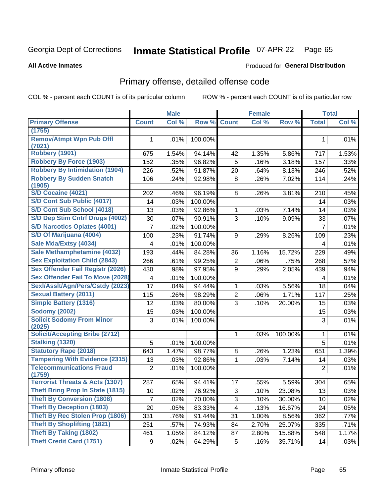#### **Inmate Statistical Profile 07-APR-22** Page 65

**Produced for General Distribution** 

### **All Active Inmates**

## Primary offense, detailed offense code

COL % - percent each COUNT is of its particular column

|                                            |              | <b>Male</b> |         |                | <b>Female</b> |         |                | <b>Total</b> |
|--------------------------------------------|--------------|-------------|---------|----------------|---------------|---------|----------------|--------------|
| <b>Primary Offense</b>                     | <b>Count</b> | Col %       | Row %   | <b>Count</b>   | Col %         | Row %   | <b>Total</b>   | Col %        |
| (1755)                                     |              |             |         |                |               |         |                |              |
| <b>Remov/Atmpt Wpn Pub Offl</b><br>(7021)  | 1            | .01%        | 100.00% |                |               |         | 1              | .01%         |
| Robbery (1901)                             | 675          | 1.54%       | 94.14%  | 42             | 1.35%         | 5.86%   | 717            | 1.53%        |
| <b>Robbery By Force (1903)</b>             | 152          | .35%        | 96.82%  | 5              | .16%          | 3.18%   | 157            | .33%         |
| <b>Robbery By Intimidation (1904)</b>      | 226          | .52%        | 91.87%  | 20             | .64%          | 8.13%   | 246            | .52%         |
| <b>Robbery By Sudden Snatch</b>            | 106          | .24%        | 92.98%  | 8              | .26%          | 7.02%   | 114            | .24%         |
| (1905)                                     |              |             |         |                |               |         |                |              |
| S/D Cocaine (4021)                         | 202          | .46%        | 96.19%  | 8              | .26%          | 3.81%   | 210            | .45%         |
| S/D Cont Sub Public (4017)                 | 14           | .03%        | 100.00% |                |               |         | 14             | .03%         |
| S/D Cont Sub School (4018)                 | 13           | .03%        | 92.86%  | 1              | .03%          | 7.14%   | 14             | .03%         |
| S/D Dep Stim Cntrf Drugs (4002)            | 30           | .07%        | 90.91%  | 3              | .10%          | 9.09%   | 33             | .07%         |
| <b>S/D Narcotics Opiates (4001)</b>        | 7            | .02%        | 100.00% |                |               |         | $\overline{7}$ | .01%         |
| S/D Of Marijuana (4004)                    | 100          | .23%        | 91.74%  | 9              | .29%          | 8.26%   | 109            | .23%         |
| Sale Mda/Extsy (4034)                      | 4            | .01%        | 100.00% |                |               |         | 4              | .01%         |
| Sale Methamphetamine (4032)                | 193          | .44%        | 84.28%  | 36             | 1.16%         | 15.72%  | 229            | .49%         |
| <b>Sex Exploitation Child (2843)</b>       | 266          | .61%        | 99.25%  | 2              | .06%          | .75%    | 268            | .57%         |
| Sex Offender Fail Registr (2026)           | 430          | .98%        | 97.95%  | 9              | .29%          | 2.05%   | 439            | .94%         |
| <b>Sex Offender Fail To Move (2028)</b>    | 4            | .01%        | 100.00% |                |               |         | 4              | .01%         |
| Sexl/Asslt/Agn/Pers/Cstdy (2023)           | 17           | .04%        | 94.44%  | 1              | .03%          | 5.56%   | 18             | .04%         |
| <b>Sexual Battery (2011)</b>               | 115          | .26%        | 98.29%  | $\overline{2}$ | .06%          | 1.71%   | 117            | .25%         |
| <b>Simple Battery (1316)</b>               | 12           | .03%        | 80.00%  | 3              | .10%          | 20.00%  | 15             | .03%         |
| <b>Sodomy (2002)</b>                       | 15           | .03%        | 100.00% |                |               |         | 15             | .03%         |
| <b>Solicit Sodomy From Minor</b>           | 3            | .01%        | 100.00% |                |               |         | 3              | .01%         |
| (2025)                                     |              |             |         |                |               |         |                |              |
| <b>Solicit/Accepting Bribe (2712)</b>      |              |             |         | 1              | .03%          | 100.00% | 1              | .01%         |
| <b>Stalking (1320)</b>                     | 5            | .01%        | 100.00% |                |               |         | 5              | .01%         |
| <b>Statutory Rape (2018)</b>               | 643          | 1.47%       | 98.77%  | 8              | .26%          | 1.23%   | 651            | 1.39%        |
| <b>Tampering With Evidence (2315)</b>      | 13           | .03%        | 92.86%  | 1              | .03%          | 7.14%   | 14             | .03%         |
| <b>Telecommunications Fraud</b>            | 2            | .01%        | 100.00% |                |               |         | $\overline{2}$ | .01%         |
| (1759)                                     |              |             |         |                |               |         |                |              |
| <b>Terrorist Threats &amp; Acts (1307)</b> | 287          | .65%        | 94.41%  | 17             | .55%          | 5.59%   | 304            | .65%         |
| <b>Theft Bring Prop In State (1815)</b>    | 10           | .02%        | 76.92%  | 3              | .10%          | 23.08%  | 13             | .03%         |
| <b>Theft By Conversion (1808)</b>          | 7            | .02%        | 70.00%  | 3              | .10%          | 30.00%  | 10             | .02%         |
| <b>Theft By Deception (1803)</b>           | 20           | .05%        | 83.33%  | 4              | .13%          | 16.67%  | 24             | .05%         |
| <b>Theft By Rec Stolen Prop (1806)</b>     | 331          | .76%        | 91.44%  | 31             | 1.00%         | 8.56%   | 362            | .77%         |
| <b>Theft By Shoplifting (1821)</b>         | 251          | .57%        | 74.93%  | 84             | 2.70%         | 25.07%  | 335            | .71%         |
| <b>Theft By Taking (1802)</b>              | 461          | 1.05%       | 84.12%  | 87             | 2.80%         | 15.88%  | 548            | 1.17%        |
| <b>Theft Credit Card (1751)</b>            | 9            | .02%        | 64.29%  | 5              | .16%          | 35.71%  | 14             | .03%         |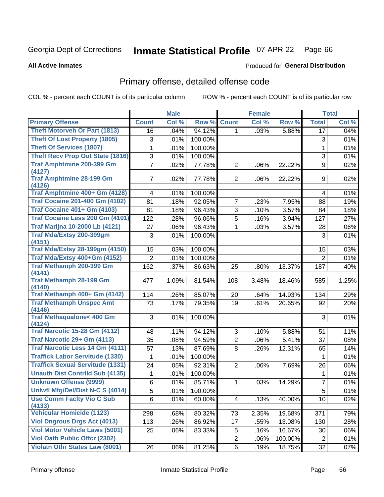#### **Inmate Statistical Profile 07-APR-22** Page 66

**All Active Inmates** 

### Produced for General Distribution

## Primary offense, detailed offense code

COL % - percent each COUNT is of its particular column

|                                                |                | <b>Male</b> |         |                | <b>Female</b> |         |                | <b>Total</b> |
|------------------------------------------------|----------------|-------------|---------|----------------|---------------|---------|----------------|--------------|
| <b>Primary Offense</b>                         | <b>Count</b>   | Col %       | Row %   | <b>Count</b>   | Col %         | Row %   | <b>Total</b>   | Col %        |
| <b>Theft Motorveh Or Part (1813)</b>           | 16             | .04%        | 94.12%  | $\mathbf{1}$   | .03%          | 5.88%   | 17             | .04%         |
| <b>Theft Of Lost Property (1805)</b>           | 3              | .01%        | 100.00% |                |               |         | 3              | .01%         |
| <b>Theft Of Services (1807)</b>                | 1              | .01%        | 100.00% |                |               |         | 1              | .01%         |
| <b>Theft Recv Prop Out State (1816)</b>        | 3              | .01%        | 100.00% |                |               |         | 3              | .01%         |
| <b>Traf Amphtmine 200-399 Gm</b>               | $\overline{7}$ | .02%        | 77.78%  | $\overline{2}$ | .06%          | 22.22%  | 9              | .02%         |
| (4127)                                         |                |             |         |                |               |         |                |              |
| <b>Traf Amphtmine 28-199 Gm</b><br>(4126)      | $\overline{7}$ | .02%        | 77.78%  | 2 <sup>1</sup> | .06%          | 22.22%  | 9              | .02%         |
| Traf Amphtmine 400+ Gm (4128)                  | 4              | .01%        | 100.00% |                |               |         | 4              | .01%         |
| <b>Traf Cocaine 201-400 Gm (4102)</b>          | 81             | .18%        | 92.05%  | $\overline{7}$ | .23%          | 7.95%   | 88             | .19%         |
| <b>Traf Cocaine 401+ Gm (4103)</b>             | 81             | .18%        | 96.43%  | 3              | .10%          | 3.57%   | 84             | .18%         |
| Traf Cocaine Less 200 Gm (4101)                | 122            | .28%        | 96.06%  | $\overline{5}$ | .16%          | 3.94%   | 127            | .27%         |
| <b>Traf Marijna 10-2000 Lb (4121)</b>          | 27             | .06%        | 96.43%  | 1              | .03%          | 3.57%   | 28             | .06%         |
| Traf Mda/Extsy 200-399gm                       | 3              | .01%        | 100.00% |                |               |         | 3              | .01%         |
| (4151)                                         |                |             |         |                |               |         |                |              |
| <b>Traf Mda/Extsy 28-199gm (4150)</b>          | 15             | .03%        | 100.00% |                |               |         | 15             | .03%         |
| Traf Mda/Extsy 400+Gm (4152)                   | $\overline{2}$ | .01%        | 100.00% |                |               |         | $\overline{2}$ | .01%         |
| Traf Methamph 200-399 Gm                       | 162            | .37%        | 86.63%  | 25             | .80%          | 13.37%  | 187            | .40%         |
| (4141)<br><b>Traf Methamph 28-199 Gm</b>       | 477            | 1.09%       | 81.54%  | 108            | 3.48%         | 18.46%  | 585            | 1.25%        |
| (4140)                                         |                |             |         |                |               |         |                |              |
| Traf Methamph 400+ Gm (4142)                   | 114            | .26%        | 85.07%  | 20             | .64%          | 14.93%  | 134            | .29%         |
| <b>Traf Methamph Unspec Amt</b>                | 73             | .17%        | 79.35%  | 19             | .61%          | 20.65%  | 92             | .20%         |
| (4146)                                         |                |             |         |                |               |         |                |              |
| <b>Traf Methaqualone&lt; 400 Gm</b>            | 3              | .01%        | 100.00% |                |               |         | 3              | .01%         |
| (4124)<br><b>Traf Narcotic 15-28 Gm (4112)</b> | 48             | .11%        | 94.12%  | 3              | .10%          | 5.88%   | 51             | .11%         |
| Traf Narcotic 29+ Gm (4113)                    | 35             | .08%        | 94.59%  | $\overline{2}$ | .06%          | 5.41%   | 37             | .08%         |
| <b>Traf Narcotic Less 14 Gm (4111)</b>         | 57             | .13%        | 87.69%  | 8              | .26%          | 12.31%  | 65             | .14%         |
| <b>Traffick Labor Servitude (1330)</b>         | 1              | .01%        | 100.00% |                |               |         | 1              | .01%         |
| <b>Traffick Sexual Servitude (1331)</b>        | 24             | .05%        | 92.31%  | $\overline{2}$ | .06%          | 7.69%   | 26             | .06%         |
| <b>Unauth Dist Contrild Sub (4135)</b>         | 1              | .01%        | 100.00% |                |               |         | 1              | .01%         |
| <b>Unknown Offense (9999)</b>                  | 6              | .01%        | 85.71%  | 1              | .03%          | 14.29%  | 7              | .01%         |
| Uniwfl Mfg/Del/Dist N-C S (4014)               | $\overline{5}$ | .01%        | 100.00% |                |               |         | $\overline{5}$ | .01%         |
| <b>Use Comm Facity Vio C Sub</b>               | 6              | .01%        | 60.00%  | $\overline{4}$ | .13%          | 40.00%  | 10             | .02%         |
| (4133)                                         |                |             |         |                |               |         |                |              |
| <b>Vehicular Homicide (1123)</b>               | 298            | .68%        | 80.32%  | 73             | 2.35%         | 19.68%  | 371            | .79%         |
| <b>Viol Dngrous Drgs Act (4013)</b>            | 113            | .26%        | 86.92%  | 17             | .55%          | 13.08%  | 130            | .28%         |
| <b>Viol Motor Vehicle Laws (5001)</b>          | 25             | .06%        | 83.33%  | 5              | .16%          | 16.67%  | 30             | .06%         |
| <b>Viol Oath Public Offer (2302)</b>           |                |             |         | $\overline{2}$ | .06%          | 100.00% | $\overline{2}$ | .01%         |
| <b>Violatn Othr States Law (8001)</b>          | 26             | .06%        | 81.25%  | 6              | .19%          | 18.75%  | 32             | .07%         |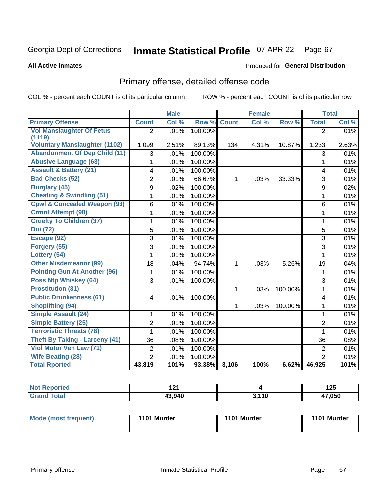#### **Inmate Statistical Profile 07-APR-22** Page 67

**All Active Inmates** 

### Produced for General Distribution

## Primary offense, detailed offense code

COL % - percent each COUNT is of its particular column

|                                         |                         | <b>Male</b> |         |              | <b>Female</b> |         |                | <b>Total</b> |
|-----------------------------------------|-------------------------|-------------|---------|--------------|---------------|---------|----------------|--------------|
| <b>Primary Offense</b>                  | <b>Count</b>            | Col %       | Row %   | <b>Count</b> | Col %         | Row %   | <b>Total</b>   | Col %        |
| <b>Vol Manslaughter Of Fetus</b>        | $\overline{2}$          | .01%        | 100.00% |              |               |         | $\overline{2}$ | .01%         |
| (1119)                                  |                         |             |         |              |               |         |                |              |
| <b>Voluntary Manslaughter (1102)</b>    | 1,099                   | 2.51%       | 89.13%  | 134          | 4.31%         | 10.87%  | 1,233          | 2.63%        |
| <b>Abandonment Of Dep Child (11)</b>    | 3                       | .01%        | 100.00% |              |               |         | 3              | .01%         |
| <b>Abusive Language (63)</b>            | 1                       | .01%        | 100.00% |              |               |         | 1              | .01%         |
| <b>Assault &amp; Battery (21)</b>       | 4                       | .01%        | 100.00% |              |               |         | 4              | .01%         |
| <b>Bad Checks (52)</b>                  | $\overline{2}$          | .01%        | 66.67%  | 1            | .03%          | 33.33%  | 3              | .01%         |
| <b>Burglary (45)</b>                    | $\overline{9}$          | .02%        | 100.00% |              |               |         | 9              | .02%         |
| <b>Cheating &amp; Swindling (51)</b>    | $\mathbf{1}$            | .01%        | 100.00% |              |               |         | $\mathbf{1}$   | .01%         |
| <b>Cpwl &amp; Concealed Weapon (93)</b> | 6                       | .01%        | 100.00% |              |               |         | 6              | .01%         |
| <b>Crmnl Attempt (98)</b>               | 1                       | .01%        | 100.00% |              |               |         | 1              | .01%         |
| <b>Cruelty To Children (37)</b>         | $\mathbf{1}$            | .01%        | 100.00% |              |               |         | 1              | .01%         |
| <b>Dui (72)</b>                         | $\overline{5}$          | .01%        | 100.00% |              |               |         | 5              | .01%         |
| Escape (92)                             | $\overline{3}$          | .01%        | 100.00% |              |               |         | 3              | .01%         |
| Forgery (55)                            | $\overline{3}$          | .01%        | 100.00% |              |               |         | 3              | .01%         |
| Lottery (54)                            | $\mathbf{1}$            | .01%        | 100.00% |              |               |         | $\mathbf{1}$   | .01%         |
| <b>Other Misdemeanor (99)</b>           | 18                      | .04%        | 94.74%  | 1            | .03%          | 5.26%   | 19             | .04%         |
| <b>Pointing Gun At Another (96)</b>     | 1                       | .01%        | 100.00% |              |               |         | 1              | .01%         |
| <b>Poss Ntp Whiskey (64)</b>            | $\overline{3}$          | .01%        | 100.00% |              |               |         | 3              | .01%         |
| <b>Prostitution (81)</b>                |                         |             |         | 1            | .03%          | 100.00% | 1              | .01%         |
| <b>Public Drunkenness (61)</b>          | $\overline{\mathbf{4}}$ | .01%        | 100.00% |              |               |         | $\overline{4}$ | .01%         |
| <b>Shoplifting (94)</b>                 |                         |             |         | 1            | .03%          | 100.00% | 1              | .01%         |
| <b>Simple Assault (24)</b>              | 1                       | .01%        | 100.00% |              |               |         | $\mathbf{1}$   | .01%         |
| <b>Simple Battery (25)</b>              | $\overline{2}$          | .01%        | 100.00% |              |               |         | $\overline{2}$ | .01%         |
| <b>Terroristic Threats (78)</b>         | 1                       | .01%        | 100.00% |              |               |         | 1              | .01%         |
| <b>Theft By Taking - Larceny (41)</b>   | 36                      | .08%        | 100.00% |              |               |         | 36             | .08%         |
| <b>Viol Motor Veh Law (71)</b>          | $\overline{2}$          | .01%        | 100.00% |              |               |         | $\overline{2}$ | .01%         |
| <b>Wife Beating (28)</b>                | $\overline{2}$          | .01%        | 100.00% |              |               |         | $\overline{2}$ | .01%         |
| <b>Total Rported</b>                    | 43,819                  | 101%        | 93.38%  | 3,106        | 100%          | 6.62%   | 46,925         | 101%         |

| <b>Not</b><br><b>Reported</b> | <u>ал.</u><br>. |      | 1 つに<br>14J |
|-------------------------------|-----------------|------|-------------|
| Γotal                         | 43.940          | .110 | 17.050      |

| <b>Mode (most frequent)</b> | 1101 Murder | 1101 Murder | 1101 Murder |
|-----------------------------|-------------|-------------|-------------|
|-----------------------------|-------------|-------------|-------------|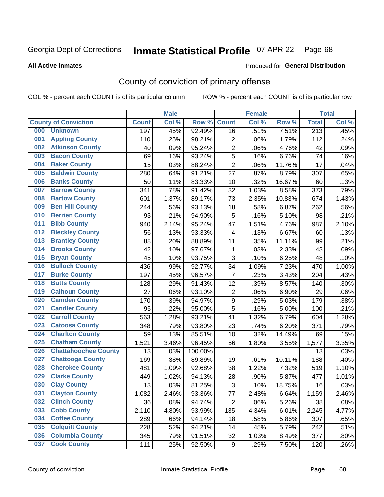## Inmate Statistical Profile 07-APR-22 Page 68

**All Active Inmates** 

### Produced for General Distribution

## County of conviction of primary offense

COL % - percent each COUNT is of its particular column

|                                    |              | <b>Male</b> |         |                         | <b>Female</b> |        |                  | <b>Total</b> |
|------------------------------------|--------------|-------------|---------|-------------------------|---------------|--------|------------------|--------------|
| <b>County of Conviction</b>        | <b>Count</b> | Col %       | Row %   | <b>Count</b>            | Col %         | Row %  | <b>Total</b>     | Col %        |
| <b>Unknown</b><br>000              | 197          | .45%        | 92.49%  | 16                      | .51%          | 7.51%  | $\overline{213}$ | .45%         |
| <b>Appling County</b><br>001       | 110          | .25%        | 98.21%  | $\overline{2}$          | .06%          | 1.79%  | 112              | .24%         |
| <b>Atkinson County</b><br>002      | 40           | .09%        | 95.24%  | $\overline{2}$          | .06%          | 4.76%  | 42               | .09%         |
| <b>Bacon County</b><br>003         | 69           | .16%        | 93.24%  | 5                       | .16%          | 6.76%  | 74               | .16%         |
| <b>Baker County</b><br>004         | 15           | .03%        | 88.24%  | $\overline{2}$          | .06%          | 11.76% | 17               | .04%         |
| <b>Baldwin County</b><br>005       | 280          | .64%        | 91.21%  | 27                      | .87%          | 8.79%  | 307              | .65%         |
| <b>Banks County</b><br>006         | 50           | .11%        | 83.33%  | 10                      | .32%          | 16.67% | 60               | .13%         |
| <b>Barrow County</b><br>007        | 341          | .78%        | 91.42%  | 32                      | 1.03%         | 8.58%  | 373              | .79%         |
| <b>Bartow County</b><br>008        | 601          | 1.37%       | 89.17%  | 73                      | 2.35%         | 10.83% | 674              | 1.43%        |
| <b>Ben Hill County</b><br>009      | 244          | .56%        | 93.13%  | 18                      | .58%          | 6.87%  | 262              | .56%         |
| <b>Berrien County</b><br>010       | 93           | .21%        | 94.90%  | 5                       | .16%          | 5.10%  | 98               | .21%         |
| <b>Bibb County</b><br>011          | 940          | 2.14%       | 95.24%  | 47                      | 1.51%         | 4.76%  | 987              | 2.10%        |
| <b>Bleckley County</b><br>012      | 56           | .13%        | 93.33%  | $\overline{\mathbf{4}}$ | .13%          | 6.67%  | 60               | .13%         |
| <b>Brantley County</b><br>013      | 88           | .20%        | 88.89%  | 11                      | .35%          | 11.11% | 99               | .21%         |
| <b>Brooks County</b><br>014        | 42           | .10%        | 97.67%  | 1                       | .03%          | 2.33%  | 43               | .09%         |
| 015<br><b>Bryan County</b>         | 45           | .10%        | 93.75%  | 3                       | .10%          | 6.25%  | 48               | .10%         |
| <b>Bulloch County</b><br>016       | 436          | .99%        | 92.77%  | 34                      | 1.09%         | 7.23%  | 470              | 1.00%        |
| <b>Burke County</b><br>017         | 197          | .45%        | 96.57%  | $\overline{7}$          | .23%          | 3.43%  | 204              | .43%         |
| <b>Butts County</b><br>018         | 128          | .29%        | 91.43%  | 12                      | .39%          | 8.57%  | 140              | .30%         |
| <b>Calhoun County</b><br>019       | 27           | .06%        | 93.10%  | $\overline{2}$          | .06%          | 6.90%  | 29               | .06%         |
| <b>Camden County</b><br>020        | 170          | .39%        | 94.97%  | $\mathsf g$             | .29%          | 5.03%  | 179              | .38%         |
| <b>Candler County</b><br>021       | 95           | .22%        | 95.00%  | 5                       | .16%          | 5.00%  | 100              | .21%         |
| <b>Carroll County</b><br>022       | 563          | 1.28%       | 93.21%  | 41                      | 1.32%         | 6.79%  | 604              | 1.28%        |
| <b>Catoosa County</b><br>023       | 348          | .79%        | 93.80%  | 23                      | .74%          | 6.20%  | 371              | .79%         |
| <b>Charlton County</b><br>024      | 59           | .13%        | 85.51%  | 10                      | .32%          | 14.49% | 69               | .15%         |
| 025<br><b>Chatham County</b>       | 1,521        | 3.46%       | 96.45%  | 56                      | 1.80%         | 3.55%  | 1,577            | 3.35%        |
| <b>Chattahoochee County</b><br>026 | 13           | .03%        | 100.00% |                         |               |        | 13               | .03%         |
| <b>Chattooga County</b><br>027     | 169          | .38%        | 89.89%  | 19                      | .61%          | 10.11% | 188              | .40%         |
| <b>Cherokee County</b><br>028      | 481          | 1.09%       | 92.68%  | 38                      | 1.22%         | 7.32%  | 519              | 1.10%        |
| <b>Clarke County</b><br>029        | 449          | 1.02%       | 94.13%  | 28                      | .90%          | 5.87%  | 477              | 1.01%        |
| <b>Clay County</b><br>030          | 13           | .03%        | 81.25%  | 3                       | .10%          | 18.75% | 16               | .03%         |
| 031<br><b>Clayton County</b>       | 1,082        | 2.46%       | 93.36%  | 77                      | 2.48%         | 6.64%  | 1,159            | 2.46%        |
| <b>Clinch County</b><br>032        | 36           | .08%        | 94.74%  | $\overline{2}$          | .06%          | 5.26%  | 38               | .08%         |
| <b>Cobb County</b><br>033          | 2,110        | 4.80%       | 93.99%  | 135                     | 4.34%         | 6.01%  | 2,245            | 4.77%        |
| <b>Coffee County</b><br>034        | 289          | .66%        | 94.14%  | 18                      | .58%          | 5.86%  | 307              | .65%         |
| <b>Colquitt County</b><br>035      | 228          | .52%        | 94.21%  | 14                      | .45%          | 5.79%  | 242              | .51%         |
| <b>Columbia County</b><br>036      | 345          | .79%        | 91.51%  | 32                      | 1.03%         | 8.49%  | 377              | .80%         |
| <b>Cook County</b><br>037          | 111          | .25%        | 92.50%  | 9                       | .29%          | 7.50%  | 120              | .26%         |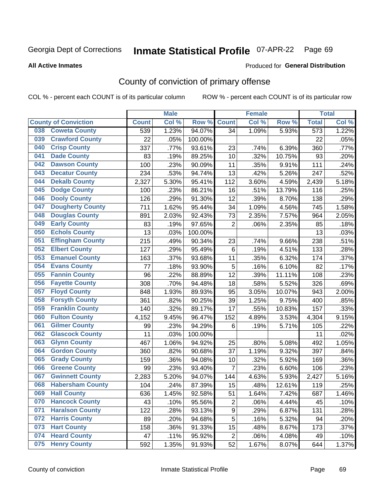## Inmate Statistical Profile 07-APR-22 Page 69

**All Active Inmates** 

### Produced for General Distribution

## County of conviction of primary offense

COL % - percent each COUNT is of its particular column

|                                |              | <b>Male</b> |         |                | <b>Female</b> |        |                  | <b>Total</b> |
|--------------------------------|--------------|-------------|---------|----------------|---------------|--------|------------------|--------------|
| <b>County of Conviction</b>    | <b>Count</b> | Col %       | Row %   | <b>Count</b>   | Col %         | Row %  | <b>Total</b>     | Col %        |
| <b>Coweta County</b><br>038    | 539          | 1.23%       | 94.07%  | 34             | 1.09%         | 5.93%  | $\overline{573}$ | 1.22%        |
| <b>Crawford County</b><br>039  | 22           | .05%        | 100.00% |                |               |        | 22               | .05%         |
| <b>Crisp County</b><br>040     | 337          | .77%        | 93.61%  | 23             | .74%          | 6.39%  | 360              | .77%         |
| <b>Dade County</b><br>041      | 83           | .19%        | 89.25%  | 10             | .32%          | 10.75% | 93               | .20%         |
| <b>Dawson County</b><br>042    | 100          | .23%        | 90.09%  | 11             | .35%          | 9.91%  | 111              | .24%         |
| 043<br><b>Decatur County</b>   | 234          | .53%        | 94.74%  | 13             | .42%          | 5.26%  | 247              | .52%         |
| <b>Dekalb County</b><br>044    | 2,327        | 5.30%       | 95.41%  | 112            | 3.60%         | 4.59%  | 2,439            | 5.18%        |
| <b>Dodge County</b><br>045     | 100          | .23%        | 86.21%  | 16             | .51%          | 13.79% | 116              | .25%         |
| <b>Dooly County</b><br>046     | 126          | .29%        | 91.30%  | 12             | .39%          | 8.70%  | 138              | .29%         |
| <b>Dougherty County</b><br>047 | 711          | 1.62%       | 95.44%  | 34             | 1.09%         | 4.56%  | 745              | 1.58%        |
| <b>Douglas County</b><br>048   | 891          | 2.03%       | 92.43%  | 73             | 2.35%         | 7.57%  | 964              | 2.05%        |
| <b>Early County</b><br>049     | 83           | .19%        | 97.65%  | $\overline{2}$ | .06%          | 2.35%  | 85               | .18%         |
| <b>Echols County</b><br>050    | 13           | .03%        | 100.00% |                |               |        | 13               | .03%         |
| <b>Effingham County</b><br>051 | 215          | .49%        | 90.34%  | 23             | .74%          | 9.66%  | 238              | .51%         |
| <b>Elbert County</b><br>052    | 127          | .29%        | 95.49%  | 6              | .19%          | 4.51%  | 133              | .28%         |
| <b>Emanuel County</b><br>053   | 163          | .37%        | 93.68%  | 11             | .35%          | 6.32%  | 174              | .37%         |
| <b>Evans County</b><br>054     | 77           | .18%        | 93.90%  | 5              | .16%          | 6.10%  | 82               | .17%         |
| <b>Fannin County</b><br>055    | 96           | .22%        | 88.89%  | 12             | .39%          | 11.11% | 108              | .23%         |
| <b>Fayette County</b><br>056   | 308          | .70%        | 94.48%  | 18             | .58%          | 5.52%  | 326              | .69%         |
| <b>Floyd County</b><br>057     | 848          | 1.93%       | 89.93%  | 95             | 3.05%         | 10.07% | 943              | 2.00%        |
| <b>Forsyth County</b><br>058   | 361          | .82%        | 90.25%  | 39             | 1.25%         | 9.75%  | 400              | .85%         |
| <b>Franklin County</b><br>059  | 140          | .32%        | 89.17%  | 17             | .55%          | 10.83% | 157              | .33%         |
| <b>Fulton County</b><br>060    | 4,152        | 9.45%       | 96.47%  | 152            | 4.89%         | 3.53%  | 4,304            | 9.15%        |
| <b>Gilmer County</b><br>061    | 99           | .23%        | 94.29%  | 6              | .19%          | 5.71%  | 105              | .22%         |
| <b>Glascock County</b><br>062  | 11           | .03%        | 100.00% |                |               |        | 11               | .02%         |
| 063<br><b>Glynn County</b>     | 467          | 1.06%       | 94.92%  | 25             | .80%          | 5.08%  | 492              | 1.05%        |
| <b>Gordon County</b><br>064    | 360          | .82%        | 90.68%  | 37             | 1.19%         | 9.32%  | 397              | .84%         |
| 065<br><b>Grady County</b>     | 159          | .36%        | 94.08%  | 10             | .32%          | 5.92%  | 169              | .36%         |
| <b>Greene County</b><br>066    | 99           | .23%        | 93.40%  | $\overline{7}$ | .23%          | 6.60%  | 106              | .23%         |
| <b>Gwinnett County</b><br>067  | 2,283        | 5.20%       | 94.07%  | 144            | 4.63%         | 5.93%  | 2,427            | 5.16%        |
| <b>Habersham County</b><br>068 | 104          | .24%        | 87.39%  | 15             | .48%          | 12.61% | 119              | .25%         |
| 069<br><b>Hall County</b>      | 636          | 1.45%       | 92.58%  | 51             | 1.64%         | 7.42%  | 687              | 1.46%        |
| <b>Hancock County</b><br>070   | 43           | .10%        | 95.56%  | $\overline{2}$ | .06%          | 4.44%  | 45               | .10%         |
| <b>Haralson County</b><br>071  | 122          | .28%        | 93.13%  | 9              | .29%          | 6.87%  | 131              | .28%         |
| <b>Harris County</b><br>072    | 89           | .20%        | 94.68%  | 5              | .16%          | 5.32%  | 94               | .20%         |
| <b>Hart County</b><br>073      | 158          | .36%        | 91.33%  | 15             | .48%          | 8.67%  | 173              | .37%         |
| <b>Heard County</b><br>074     | 47           | .11%        | 95.92%  | $\overline{2}$ | .06%          | 4.08%  | 49               | .10%         |
| <b>Henry County</b><br>075     | 592          | 1.35%       | 91.93%  | 52             | 1.67%         | 8.07%  | 644              | 1.37%        |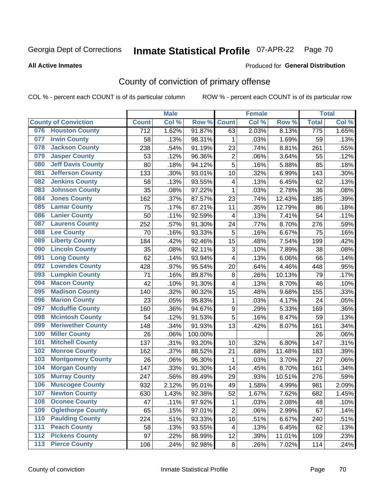## Inmate Statistical Profile 07-APR-22 Page 70

### **All Active Inmates**

## Produced for General Distribution

## County of conviction of primary offense

COL % - percent each COUNT is of its particular column

|                                 |                  | <b>Male</b> |         |                         | <b>Female</b> |        |                  | <b>Total</b> |
|---------------------------------|------------------|-------------|---------|-------------------------|---------------|--------|------------------|--------------|
| <b>County of Conviction</b>     | <b>Count</b>     | Col %       | Row %   | <b>Count</b>            | Col %         | Row %  | <b>Total</b>     | Col%         |
| <b>Houston County</b><br>076    | $\overline{712}$ | 1.62%       | 91.87%  | 63                      | 2.03%         | 8.13%  | $\overline{775}$ | 1.65%        |
| <b>Irwin County</b><br>077      | 58               | .13%        | 98.31%  | 1                       | .03%          | 1.69%  | 59               | .13%         |
| <b>Jackson County</b><br>078    | 238              | .54%        | 91.19%  | 23                      | .74%          | 8.81%  | 261              | .55%         |
| <b>Jasper County</b><br>079     | 53               | .12%        | 96.36%  | $\overline{2}$          | .06%          | 3.64%  | 55               | .12%         |
| <b>Jeff Davis County</b><br>080 | 80               | .18%        | 94.12%  | $\overline{5}$          | .16%          | 5.88%  | 85               | .18%         |
| 081<br><b>Jefferson County</b>  | 133              | .30%        | 93.01%  | 10                      | .32%          | 6.99%  | 143              | .30%         |
| <b>Jenkins County</b><br>082    | 58               | .13%        | 93.55%  | $\overline{\mathbf{4}}$ | .13%          | 6.45%  | 62               | .13%         |
| <b>Johnson County</b><br>083    | 35               | .08%        | 97.22%  | $\mathbf 1$             | .03%          | 2.78%  | 36               | .08%         |
| <b>Jones County</b><br>084      | 162              | .37%        | 87.57%  | 23                      | .74%          | 12.43% | 185              | .39%         |
| <b>Lamar County</b><br>085      | 75               | .17%        | 87.21%  | 11                      | .35%          | 12.79% | 86               | .18%         |
| <b>Lanier County</b><br>086     | 50               | .11%        | 92.59%  | $\overline{\mathbf{4}}$ | .13%          | 7.41%  | 54               | .11%         |
| <b>Laurens County</b><br>087    | 252              | .57%        | 91.30%  | 24                      | .77%          | 8.70%  | 276              | .59%         |
| <b>Lee County</b><br>088        | 70               | .16%        | 93.33%  | 5                       | .16%          | 6.67%  | 75               | .16%         |
| <b>Liberty County</b><br>089    | 184              | .42%        | 92.46%  | 15                      | .48%          | 7.54%  | 199              | .42%         |
| <b>Lincoln County</b><br>090    | 35               | .08%        | 92.11%  | 3                       | .10%          | 7.89%  | 38               | .08%         |
| <b>Long County</b><br>091       | 62               | .14%        | 93.94%  | 4                       | .13%          | 6.06%  | 66               | .14%         |
| <b>Lowndes County</b><br>092    | 428              | .97%        | 95.54%  | 20                      | .64%          | 4.46%  | 448              | .95%         |
| <b>Lumpkin County</b><br>093    | 71               | .16%        | 89.87%  | 8                       | .26%          | 10.13% | 79               | .17%         |
| <b>Macon County</b><br>094      | 42               | .10%        | 91.30%  | 4                       | .13%          | 8.70%  | 46               | .10%         |
| <b>Madison County</b><br>095    | 140              | .32%        | 90.32%  | 15                      | .48%          | 9.68%  | 155              | .33%         |
| <b>Marion County</b><br>096     | 23               | .05%        | 95.83%  | 1                       | .03%          | 4.17%  | 24               | .05%         |
| <b>Mcduffie County</b><br>097   | 160              | .36%        | 94.67%  | $\boldsymbol{9}$        | .29%          | 5.33%  | 169              | .36%         |
| <b>Mcintosh County</b><br>098   | 54               | .12%        | 91.53%  | $\overline{5}$          | .16%          | 8.47%  | 59               | .13%         |
| <b>Meriwether County</b><br>099 | 148              | .34%        | 91.93%  | 13                      | .42%          | 8.07%  | 161              | .34%         |
| <b>Miller County</b><br>100     | 26               | .06%        | 100.00% |                         |               |        | 26               | .06%         |
| <b>Mitchell County</b><br>101   | 137              | .31%        | 93.20%  | 10                      | .32%          | 6.80%  | 147              | .31%         |
| <b>Monroe County</b><br>102     | 162              | .37%        | 88.52%  | 21                      | .68%          | 11.48% | 183              | .39%         |
| <b>Montgomery County</b><br>103 | 26               | .06%        | 96.30%  | 1                       | .03%          | 3.70%  | 27               | .06%         |
| <b>Morgan County</b><br>104     | 147              | .33%        | 91.30%  | 14                      | .45%          | 8.70%  | 161              | .34%         |
| <b>Murray County</b><br>105     | 247              | .56%        | 89.49%  | 29                      | .93%          | 10.51% | 276              | .59%         |
| <b>Muscogee County</b><br>106   | 932              | 2.12%       | 95.01%  | 49                      | 1.58%         | 4.99%  | 981              | 2.09%        |
| 107<br><b>Newton County</b>     | 630              | 1.43%       | 92.38%  | 52                      | 1.67%         | 7.62%  | 682              | 1.45%        |
| <b>Oconee County</b><br>108     | 47               | .11%        | 97.92%  | 1                       | .03%          | 2.08%  | 48               | .10%         |
| <b>Oglethorpe County</b><br>109 | 65               | .15%        | 97.01%  | $\overline{2}$          | .06%          | 2.99%  | 67               | .14%         |
| <b>Paulding County</b><br>110   | 224              | .51%        | 93.33%  | 16                      | .51%          | 6.67%  | 240              | .51%         |
| <b>Peach County</b><br>111      | 58               | .13%        | 93.55%  | 4                       | .13%          | 6.45%  | 62               | .13%         |
| <b>Pickens County</b><br>$112$  | 97               | .22%        | 88.99%  | 12                      | .39%          | 11.01% | 109              | .23%         |
| <b>Pierce County</b><br>$113$   | 106              | .24%        | 92.98%  | 8                       | .26%          | 7.02%  | 114              | .24%         |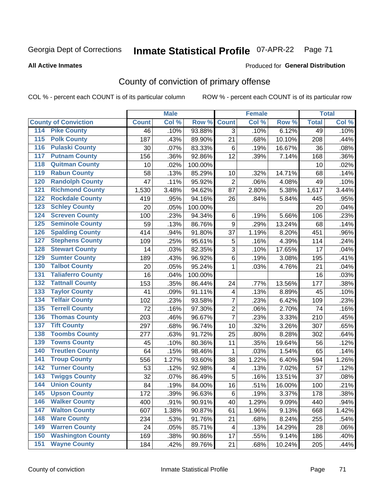## Inmate Statistical Profile 07-APR-22 Page 71

**All Active Inmates** 

### Produced for General Distribution

## County of conviction of primary offense

COL % - percent each COUNT is of its particular column

|                                          |              | <b>Male</b> |         |                | <b>Female</b> |        |              | <b>Total</b> |
|------------------------------------------|--------------|-------------|---------|----------------|---------------|--------|--------------|--------------|
| <b>County of Conviction</b>              | <b>Count</b> | Col%        | Row %   | <b>Count</b>   | Col %         | Row %  | <b>Total</b> | Col %        |
| <b>Pike County</b><br>114                | 46           | .10%        | 93.88%  | 3              | .10%          | 6.12%  | 49           | .10%         |
| <b>Polk County</b><br>$\overline{115}$   | 187          | .43%        | 89.90%  | 21             | .68%          | 10.10% | 208          | .44%         |
| <b>Pulaski County</b><br>116             | 30           | .07%        | 83.33%  | 6              | .19%          | 16.67% | 36           | .08%         |
| <b>Putnam County</b><br>117              | 156          | .36%        | 92.86%  | 12             | .39%          | 7.14%  | 168          | .36%         |
| <b>Quitman County</b><br>118             | 10           | .02%        | 100.00% |                |               |        | 10           | .02%         |
| <b>Rabun County</b><br>119               | 58           | .13%        | 85.29%  | 10             | .32%          | 14.71% | 68           | .14%         |
| <b>Randolph County</b><br>120            | 47           | .11%        | 95.92%  | $\overline{2}$ | .06%          | 4.08%  | 49           | .10%         |
| <b>Richmond County</b><br>121            | 1,530        | 3.48%       | 94.62%  | 87             | 2.80%         | 5.38%  | 1,617        | 3.44%        |
| <b>Rockdale County</b><br>122            | 419          | .95%        | 94.16%  | 26             | .84%          | 5.84%  | 445          | .95%         |
| <b>Schley County</b><br>123              | 20           | .05%        | 100.00% |                |               |        | 20           | .04%         |
| <b>Screven County</b><br>124             | 100          | .23%        | 94.34%  | 6              | .19%          | 5.66%  | 106          | .23%         |
| <b>Seminole County</b><br>125            | 59           | .13%        | 86.76%  | 9              | .29%          | 13.24% | 68           | .14%         |
| <b>Spalding County</b><br>126            | 414          | .94%        | 91.80%  | 37             | 1.19%         | 8.20%  | 451          | .96%         |
| <b>Stephens County</b><br>127            | 109          | .25%        | 95.61%  | 5              | .16%          | 4.39%  | 114          | .24%         |
| <b>Stewart County</b><br>128             | 14           | .03%        | 82.35%  | 3              | .10%          | 17.65% | 17           | .04%         |
| <b>Sumter County</b><br>129              | 189          | .43%        | 96.92%  | 6              | .19%          | 3.08%  | 195          | .41%         |
| <b>Talbot County</b><br>130              | 20           | .05%        | 95.24%  | 1              | .03%          | 4.76%  | 21           | .04%         |
| 131<br><b>Taliaferro County</b>          | 16           | .04%        | 100.00% |                |               |        | 16           | .03%         |
| <b>Tattnall County</b><br>132            | 153          | .35%        | 86.44%  | 24             | .77%          | 13.56% | 177          | .38%         |
| <b>Taylor County</b><br>133              | 41           | .09%        | 91.11%  | 4              | .13%          | 8.89%  | 45           | .10%         |
| <b>Telfair County</b><br>134             | 102          | .23%        | 93.58%  | $\overline{7}$ | .23%          | 6.42%  | 109          | .23%         |
| <b>Terrell County</b><br>135             | 72           | .16%        | 97.30%  | $\overline{2}$ | .06%          | 2.70%  | 74           | .16%         |
| <b>Thomas County</b><br>136              | 203          | .46%        | 96.67%  | $\overline{7}$ | .23%          | 3.33%  | 210          | .45%         |
| <b>Tift County</b><br>137                | 297          | .68%        | 96.74%  | 10             | .32%          | 3.26%  | 307          | .65%         |
| <b>Toombs County</b><br>138              | 277          | .63%        | 91.72%  | 25             | .80%          | 8.28%  | 302          | .64%         |
| <b>Towns County</b><br>139               | 45           | .10%        | 80.36%  | 11             | .35%          | 19.64% | 56           | .12%         |
| <b>Treutlen County</b><br>140            | 64           | .15%        | 98.46%  | 1              | .03%          | 1.54%  | 65           | .14%         |
| <b>Troup County</b><br>141               | 556          | 1.27%       | 93.60%  | 38             | 1.22%         | 6.40%  | 594          | 1.26%        |
| <b>Turner County</b><br>142              | 53           | .12%        | 92.98%  | 4              | .13%          | 7.02%  | 57           | .12%         |
| $\overline{143}$<br><b>Twiggs County</b> | 32           | .07%        | 86.49%  | 5              | .16%          | 13.51% | 37           | .08%         |
| <b>Union County</b><br>144               | 84           | .19%        | 84.00%  | 16             | .51%          | 16.00% | 100          | .21%         |
| 145<br><b>Upson County</b>               | 172          | .39%        | 96.63%  | 6              | .19%          | 3.37%  | 178          | .38%         |
| <b>Walker County</b><br>146              | 400          | .91%        | 90.91%  | 40             | 1.29%         | 9.09%  | 440          | .94%         |
| 147<br><b>Walton County</b>              | 607          | 1.38%       | 90.87%  | 61             | 1.96%         | 9.13%  | 668          | 1.42%        |
| <b>Ware County</b><br>148                | 234          | .53%        | 91.76%  | 21             | .68%          | 8.24%  | 255          | .54%         |
| <b>Warren County</b><br>149              | 24           | .05%        | 85.71%  | 4              | .13%          | 14.29% | 28           | .06%         |
| <b>Washington County</b><br>150          | 169          | .38%        | 90.86%  | 17             | .55%          | 9.14%  | 186          | .40%         |
| <b>Wayne County</b><br>151               | 184          | .42%        | 89.76%  | 21             | .68%          | 10.24% | 205          | .44%         |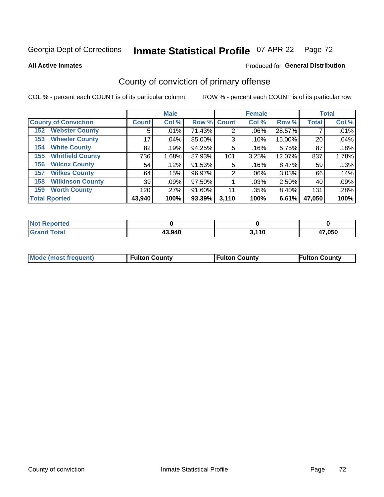## Inmate Statistical Profile 07-APR-22 Page 72

### **All Active Inmates**

## Produced for General Distribution

## County of conviction of primary offense

COL % - percent each COUNT is of its particular column

|                                |                 | <b>Male</b> |             |       | <b>Female</b> |          |              | <b>Total</b> |
|--------------------------------|-----------------|-------------|-------------|-------|---------------|----------|--------------|--------------|
| <b>County of Conviction</b>    | <b>Count</b>    | Col %       | Row % Count |       | Col %         | Row %    | <b>Total</b> | Col %        |
| <b>Webster County</b><br>152   | 5               | .01%        | 71.43%      | 2     | $.06\%$       | 28.57%   |              | .01%         |
| <b>Wheeler County</b><br>153   | 17              | $.04\%$     | 85.00%      | 3     | .10%          | 15.00%   | 20           | .04%         |
| <b>White County</b><br>154     | 82              | .19%        | 94.25%      | 5     | .16%          | 5.75%    | 87           | .18%         |
| <b>Whitfield County</b><br>155 | 736             | 1.68%       | 87.93%      | 101   | 3.25%         | 12.07%   | 837          | 1.78%        |
| <b>Wilcox County</b><br>156    | 54              | .12%        | 91.53%      | 5     | .16%          | 8.47%    | 59           | .13%         |
| <b>Wilkes County</b><br>157    | 64              | .15%        | 96.97%      | 2     | $.06\%$       | 3.03%    | 66           | .14%         |
| <b>Wilkinson County</b><br>158 | 39 <sub>1</sub> | .09%        | 97.50%      |       | .03%          | 2.50%    | 40           | .09%         |
| <b>Worth County</b><br>159     | 120             | .27%        | 91.60%      | 11    | .35%          | $8.40\%$ | 131          | .28%         |
| <b>Total Rported</b>           | 43,940          | 100%        | 93.39%      | 3,110 | 100%          | 6.61%    | 47,050       | 100%         |

| <b>Not Reported</b> |        |            |        |
|---------------------|--------|------------|--------|
| <b>Grand Total</b>  | 43,940 | 2 11N<br>. | 47,050 |

| Mode (most frequent) | <b>Fulton County</b> | <b>Fulton County</b> | <b>Fulton County</b> |
|----------------------|----------------------|----------------------|----------------------|
|                      |                      |                      |                      |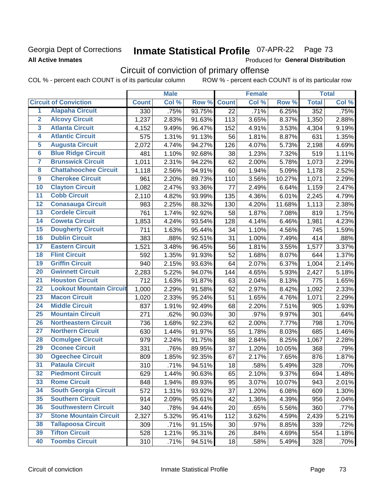## **Georgia Dept of Corrections All Active Inmates**

# Inmate Statistical Profile 07-APR-22 Page 73

Produced for General Distribution

## Circuit of conviction of primary offense

COL % - percent each COUNT is of its particular column ROW % - percent each COUNT is of its particular row

|                         |                                 | <b>Male</b>  |       |        | <b>Female</b> |       |          | <b>Total</b> |       |
|-------------------------|---------------------------------|--------------|-------|--------|---------------|-------|----------|--------------|-------|
|                         | <b>Circuit of Conviction</b>    | <b>Count</b> | Col % | Row %  | <b>Count</b>  | Col % | Row %    | <b>Total</b> | Col % |
| 1                       | <b>Alapaha Circuit</b>          | 330          | .75%  | 93.75% | 22            | .71%  | 6.25%    | 352          | .75%  |
| $\overline{2}$          | <b>Alcovy Circuit</b>           | 1,237        | 2.83% | 91.63% | 113           | 3.65% | 8.37%    | 1,350        | 2.88% |
| $\overline{\mathbf{3}}$ | <b>Atlanta Circuit</b>          | 4,152        | 9.49% | 96.47% | 152           | 4.91% | 3.53%    | 4,304        | 9.19% |
| 4                       | <b>Atlantic Circuit</b>         | 575          | 1.31% | 91.13% | 56            | 1.81% | 8.87%    | 631          | 1.35% |
| 5                       | <b>Augusta Circuit</b>          | 2,072        | 4.74% | 94.27% | 126           | 4.07% | 5.73%    | 2,198        | 4.69% |
| $\overline{6}$          | <b>Blue Ridge Circuit</b>       | 481          | 1.10% | 92.68% | 38            | 1.23% | 7.32%    | 519          | 1.11% |
| 7                       | <b>Brunswick Circuit</b>        | 1,011        | 2.31% | 94.22% | 62            | 2.00% | 5.78%    | 1,073        | 2.29% |
| 8                       | <b>Chattahoochee Circuit</b>    | 1,118        | 2.56% | 94.91% | 60            | 1.94% | 5.09%    | 1,178        | 2.52% |
| $\overline{9}$          | <b>Cherokee Circuit</b>         | 961          | 2.20% | 89.73% | 110           | 3.56% | 10.27%   | 1,071        | 2.29% |
| 10                      | <b>Clayton Circuit</b>          | 1,082        | 2.47% | 93.36% | 77            | 2.49% | 6.64%    | 1,159        | 2.47% |
| $\overline{11}$         | <b>Cobb Circuit</b>             | 2,110        | 4.82% | 93.99% | 135           | 4.36% | 6.01%    | 2,245        | 4.79% |
| 12                      | <b>Conasauga Circuit</b>        | 983          | 2.25% | 88.32% | 130           | 4.20% | 11.68%   | 1,113        | 2.38% |
| 13                      | <b>Cordele Circuit</b>          | 761          | 1.74% | 92.92% | 58            | 1.87% | 7.08%    | 819          | 1.75% |
| $\overline{14}$         | <b>Coweta Circuit</b>           | 1,853        | 4.24% | 93.54% | 128           | 4.14% | 6.46%    | 1,981        | 4.23% |
| 15                      | <b>Dougherty Circuit</b>        | 711          | 1.63% | 95.44% | 34            | 1.10% | 4.56%    | 745          | 1.59% |
| 16                      | <b>Dublin Circuit</b>           | 383          | .88%  | 92.51% | 31            | 1.00% | 7.49%    | 414          | .88%  |
| 17                      | <b>Eastern Circuit</b>          | 1,521        | 3.48% | 96.45% | 56            | 1.81% | 3.55%    | 1,577        | 3.37% |
| 18                      | <b>Flint Circuit</b>            | 592          | 1.35% | 91.93% | 52            | 1.68% | 8.07%    | 644          | 1.37% |
| 19                      | <b>Griffin Circuit</b>          | 940          | 2.15% | 93.63% | 64            | 2.07% | 6.37%    | 1,004        | 2.14% |
| 20                      | <b>Gwinnett Circuit</b>         | 2,283        | 5.22% | 94.07% | 144           | 4.65% | 5.93%    | 2,427        | 5.18% |
| $\overline{21}$         | <b>Houston Circuit</b>          | 712          | 1.63% | 91.87% | 63            | 2.04% | 8.13%    | 775          | 1.65% |
| $\overline{22}$         | <b>Lookout Mountain Circuit</b> | 1,000        | 2.29% | 91.58% | 92            | 2.97% | 8.42%    | 1,092        | 2.33% |
| 23                      | <b>Macon Circuit</b>            | 1,020        | 2.33% | 95.24% | 51            | 1.65% | 4.76%    | 1,071        | 2.29% |
| 24                      | <b>Middle Circuit</b>           | 837          | 1.91% | 92.49% | 68            | 2.20% | 7.51%    | 905          | 1.93% |
| $\overline{25}$         | <b>Mountain Circuit</b>         | 271          | .62%  | 90.03% | 30            | .97%  | 9.97%    | 301          | .64%  |
| 26                      | <b>Northeastern Circuit</b>     | 736          | 1.68% | 92.23% | 62            | 2.00% | 7.77%    | 798          | 1.70% |
| $\overline{27}$         | <b>Northern Circuit</b>         | 630          | 1.44% | 91.97% | 55            | 1.78% | 8.03%    | 685          | 1.46% |
| 28                      | <b>Ocmulgee Circuit</b>         | 979          | 2.24% | 91.75% | 88            | 2.84% | 8.25%    | 1,067        | 2.28% |
| 29                      | <b>Oconee Circuit</b>           | 331          | .76%  | 89.95% | 37            | 1.20% | 10.05%   | 368          | .79%  |
| 30                      | <b>Ogeechee Circuit</b>         | 809          | 1.85% | 92.35% | 67            | 2.17% | 7.65%    | 876          | 1.87% |
| $\overline{31}$         | <b>Pataula Circuit</b>          | 310          | .71%  | 94.51% | 18            | .58%  | 5.49%    | 328          | .70%  |
| 32                      | <b>Piedmont Circuit</b>         | 629          | 1.44% | 90.63% | 65            | 2.10% | $9.37\%$ | 694          | 1.48% |
| 33                      | <b>Rome Circuit</b>             | 848          | 1.94% | 89.93% | 95            | 3.07% | 10.07%   | 943          | 2.01% |
| 34                      | <b>South Georgia Circuit</b>    | 572          | 1.31% | 93.92% | 37            | 1.20% | 6.08%    | 609          | 1.30% |
| 35                      | <b>Southern Circuit</b>         | 914          | 2.09% | 95.61% | 42            | 1.36% | 4.39%    | 956          | 2.04% |
| 36                      | <b>Southwestern Circuit</b>     | 340          | .78%  | 94.44% | 20            | .65%  | 5.56%    | 360          | .77%  |
| 37                      | <b>Stone Mountain Circuit</b>   | 2,327        | 5.32% | 95.41% | 112           | 3.62% | 4.59%    | 2,439        | 5.21% |
| 38                      | <b>Tallapoosa Circuit</b>       | 309          | .71%  | 91.15% | 30            | .97%  | 8.85%    | 339          | .72%  |
| 39                      | <b>Tifton Circuit</b>           | 528          | 1.21% | 95.31% | 26            | .84%  | 4.69%    | 554          | 1.18% |
| 40                      | <b>Toombs Circuit</b>           | 310          | .71%  | 94.51% | 18            | .58%  | 5.49%    | 328          | .70%  |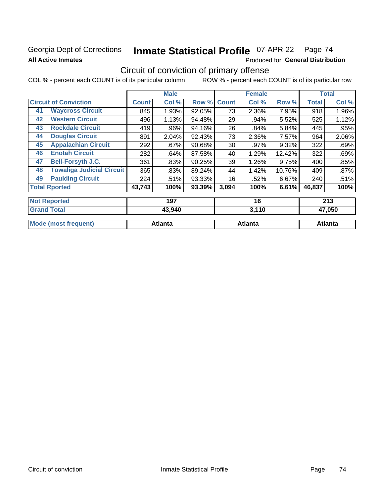### Georgia Dept of Corrections **All Active Inmates**

# Inmate Statistical Profile 07-APR-22 Page 74

Produced for General Distribution

# Circuit of conviction of primary offense

|                      |                                  |              | <b>Male</b> |        |              | <b>Female</b> |        |              | <b>Total</b> |
|----------------------|----------------------------------|--------------|-------------|--------|--------------|---------------|--------|--------------|--------------|
|                      | <b>Circuit of Conviction</b>     | <b>Count</b> | Col %       | Row %  | <b>Count</b> | Col %         | Row %  | <b>Total</b> | Col %        |
| 41                   | <b>Waycross Circuit</b>          | 845          | 1.93%       | 92.05% | 73           | 2.36%         | 7.95%  | 918          | 1.96%        |
| 42                   | <b>Western Circuit</b>           | 496          | 1.13%       | 94.48% | 29           | .94%          | 5.52%  | 525          | 1.12%        |
| 43                   | <b>Rockdale Circuit</b>          | 419          | .96%        | 94.16% | 26           | .84%          | 5.84%  | 445          | .95%         |
| 44                   | <b>Douglas Circuit</b>           | 891          | 2.04%       | 92.43% | 73           | 2.36%         | 7.57%  | 964          | 2.06%        |
| 45                   | <b>Appalachian Circuit</b>       | 292          | $.67\%$     | 90.68% | 30           | .97%          | 9.32%  | 322          | .69%         |
| 46                   | <b>Enotah Circuit</b>            | 282          | .64%        | 87.58% | 40           | 1.29%         | 12.42% | 322          | .69%         |
| 47                   | <b>Bell-Forsyth J.C.</b>         | 361          | .83%        | 90.25% | 39           | 1.26%         | 9.75%  | 400          | .85%         |
| 48                   | <b>Towaliga Judicial Circuit</b> | 365          | .83%        | 89.24% | 44           | 1.42%         | 10.76% | 409          | .87%         |
| 49                   | <b>Paulding Circuit</b>          | 224          | .51%        | 93.33% | 16           | .52%          | 6.67%  | 240          | .51%         |
| <b>Total Rported</b> |                                  | 43,743       | 100%        | 93.39% | 3,094        | 100%          | 6.61%  | 46,837       | 100%         |
| <b>Not Reported</b>  |                                  |              | 197         |        |              | 16            |        |              | 213          |
| <b>Grand Total</b>   |                                  | 43,940       |             | 3,110  |              |               | 47,050 |              |              |

| $\overline{\phantom{a}}$ oranu Total<br>49.940 |         | J, I IV | 97. JP  |
|------------------------------------------------|---------|---------|---------|
| Mode<br>/st frequent                           | Atlanta | Atlanta | Atlanta |
|                                                |         |         |         |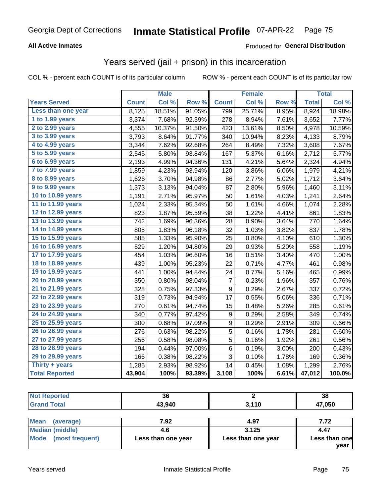#### **All Active Inmates**

#### Produced for **General Distribution**

## Years served (jail + prison) in this incarceration

|                       | <b>Male</b>  |        | <b>Female</b> |              |        | <b>Total</b> |              |        |
|-----------------------|--------------|--------|---------------|--------------|--------|--------------|--------------|--------|
| <b>Years Served</b>   | <b>Count</b> | Col %  | Row %         | <b>Count</b> | Col %  | Row %        | <b>Total</b> | Col %  |
| Less than one year    | 8,125        | 18.51% | 91.05%        | 799          | 25.71% | 8.95%        | 8,924        | 18.98% |
| 1 to 1.99 years       | 3,374        | 7.68%  | 92.39%        | 278          | 8.94%  | 7.61%        | 3,652        | 7.77%  |
| $2$ to 2.99 years     | 4,555        | 10.37% | 91.50%        | 423          | 13.61% | 8.50%        | 4,978        | 10.59% |
| $3$ to $3.99$ years   | 3,793        | 8.64%  | 91.77%        | 340          | 10.94% | 8.23%        | 4,133        | 8.79%  |
| 4 to 4.99 years       | 3,344        | 7.62%  | 92.68%        | 264          | 8.49%  | 7.32%        | 3,608        | 7.67%  |
| 5 to 5.99 years       | 2,545        | 5.80%  | 93.84%        | 167          | 5.37%  | 6.16%        | 2,712        | 5.77%  |
| 6 to 6.99 years       | 2,193        | 4.99%  | 94.36%        | 131          | 4.21%  | 5.64%        | 2,324        | 4.94%  |
| 7 to 7.99 years       | 1,859        | 4.23%  | 93.94%        | 120          | 3.86%  | 6.06%        | 1,979        | 4.21%  |
| 8 to 8.99 years       | 1,626        | 3.70%  | 94.98%        | 86           | 2.77%  | 5.02%        | 1,712        | 3.64%  |
| 9 to 9.99 years       | 1,373        | 3.13%  | 94.04%        | 87           | 2.80%  | 5.96%        | 1,460        | 3.11%  |
| 10 to 10.99 years     | 1,191        | 2.71%  | 95.97%        | 50           | 1.61%  | 4.03%        | 1,241        | 2.64%  |
| 11 to 11.99 years     | 1,024        | 2.33%  | 95.34%        | 50           | 1.61%  | 4.66%        | 1,074        | 2.28%  |
| 12 to 12.99 years     | 823          | 1.87%  | 95.59%        | 38           | 1.22%  | 4.41%        | 861          | 1.83%  |
| 13 to 13.99 years     | 742          | 1.69%  | 96.36%        | 28           | 0.90%  | 3.64%        | 770          | 1.64%  |
| 14 to 14.99 years     | 805          | 1.83%  | 96.18%        | 32           | 1.03%  | 3.82%        | 837          | 1.78%  |
| 15 to 15.99 years     | 585          | 1.33%  | 95.90%        | 25           | 0.80%  | 4.10%        | 610          | 1.30%  |
| 16 to 16.99 years     | 529          | 1.20%  | 94.80%        | 29           | 0.93%  | 5.20%        | 558          | 1.19%  |
| 17 to 17.99 years     | 454          | 1.03%  | 96.60%        | 16           | 0.51%  | 3.40%        | 470          | 1.00%  |
| 18 to 18.99 years     | 439          | 1.00%  | 95.23%        | 22           | 0.71%  | 4.77%        | 461          | 0.98%  |
| 19 to 19.99 years     | 441          | 1.00%  | 94.84%        | 24           | 0.77%  | 5.16%        | 465          | 0.99%  |
| 20 to 20.99 years     | 350          | 0.80%  | 98.04%        | 7            | 0.23%  | 1.96%        | 357          | 0.76%  |
| 21 to 21.99 years     | 328          | 0.75%  | 97.33%        | 9            | 0.29%  | 2.67%        | 337          | 0.72%  |
| 22 to 22.99 years     | 319          | 0.73%  | 94.94%        | 17           | 0.55%  | 5.06%        | 336          | 0.71%  |
| 23 to 23.99 years     | 270          | 0.61%  | 94.74%        | 15           | 0.48%  | 5.26%        | 285          | 0.61%  |
| 24 to 24.99 years     | 340          | 0.77%  | 97.42%        | 9            | 0.29%  | 2.58%        | 349          | 0.74%  |
| 25 to 25.99 years     | 300          | 0.68%  | 97.09%        | 9            | 0.29%  | 2.91%        | 309          | 0.66%  |
| 26 to 26.99 years     | 276          | 0.63%  | 98.22%        | 5            | 0.16%  | 1.78%        | 281          | 0.60%  |
| 27 to 27.99 years     | 256          | 0.58%  | 98.08%        | 5            | 0.16%  | 1.92%        | 261          | 0.56%  |
| 28 to 28.99 years     | 194          | 0.44%  | 97.00%        | 6            | 0.19%  | 3.00%        | 200          | 0.43%  |
| 29 to 29.99 years     | 166          | 0.38%  | 98.22%        | 3            | 0.10%  | 1.78%        | 169          | 0.36%  |
| Thirty + years        | 1,285        | 2.93%  | 98.92%        | 14           | 0.45%  | 1.08%        | 1,299        | 2.76%  |
| <b>Total Reported</b> | 43,904       | 100%   | 93.39%        | 3,108        | 100%   | 6.61%        | 47,012       | 100.0% |

| <b>roorted</b><br><b>Not</b> | ^^<br>งบ |           | 38     |
|------------------------------|----------|-----------|--------|
| $f$ of $g'$                  | 43,940   | 110<br>v. | 47,050 |

| Mean<br>(average)    | 7.92               | 4.97               | 7.72          |
|----------------------|--------------------|--------------------|---------------|
| Median (middle)      |                    | 3.125              | 4.47          |
| Mode (most frequent) | Less than one year | Less than one year | Less than one |
|                      |                    |                    | vear          |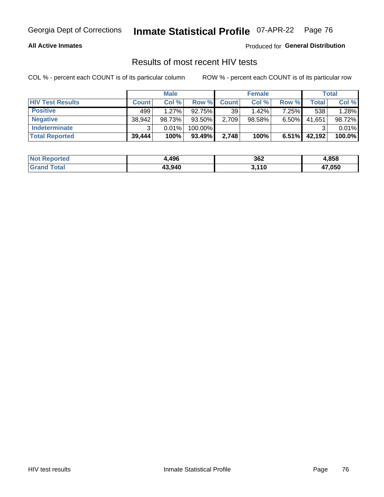#### **All Active Inmates**

Produced for **General Distribution**

### Results of most recent HIV tests

|                         | <b>Male</b>  |          | <b>Female</b> |                 |           | Total    |        |        |
|-------------------------|--------------|----------|---------------|-----------------|-----------|----------|--------|--------|
| <b>HIV Test Results</b> | <b>Count</b> | Col%     | Row %I        | <b>Count</b>    | Col %     | Row %    | Total  | Col %  |
| <b>Positive</b>         | 499          | $1.27\%$ | 92.75%        | 39 <sup>1</sup> | $1.42\%$  | 7.25%    | 538    | 1.28%  |
| <b>Negative</b>         | 38,942       | 98.73%   | 93.50%        | 2,709           | $98.58\%$ | $6.50\%$ | 41,651 | 98.72% |
| Indeterminate           | ີ            | 0.01%    | 100.00%       |                 |           |          |        | 0.01%  |
| <b>Total Reported</b>   | 39,444       | 100%     | 93.49%        | 2,748           | 100%      | $6.51\%$ | 42,192 | 100.0% |

| <b>Not Reported</b> | 496.ا  | 362   | 4,858  |
|---------------------|--------|-------|--------|
| <b>Grand Total</b>  | 43,940 | 3,110 | 47,050 |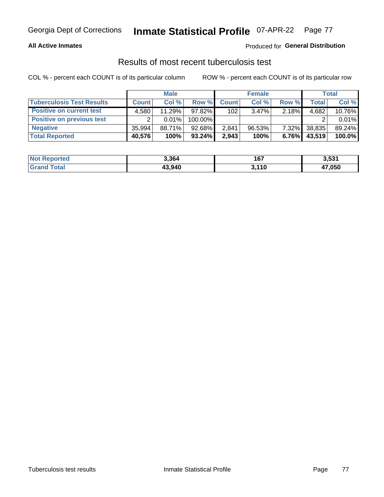#### **All Active Inmates**

#### Produced for **General Distribution**

### Results of most recent tuberculosis test

|                                  | <b>Male</b>  |          | <b>Female</b> |              |           | Total    |              |        |
|----------------------------------|--------------|----------|---------------|--------------|-----------|----------|--------------|--------|
| <b>Tuberculosis Test Results</b> | <b>Count</b> | Col%     | Row %         | <b>Count</b> | Col %     | Row %    | <b>Total</b> | Col %  |
| <b>Positive on current test</b>  | 4.580        | 11.29%   | 97.82%        | 102          | $3.47\%$  | $2.18\%$ | 4,682        | 10.76% |
| <b>Positive on previous test</b> | ົ            | $0.01\%$ | 100.00%       |              |           |          |              | 0.01%  |
| <b>Negative</b>                  | 35.994       | 88.71%   | 92.68%        | 2,841        | $96.53\%$ | $7.32\%$ | 38,835       | 89.24% |
| <b>Total Reported</b>            | 40,576       | 100%     | $93.24\%$     | 2,943        | 100%      | 6.76%    | 43,519       | 100.0% |

| <b>Not Reported</b> | 3,364  | 167   | 3,531  |
|---------------------|--------|-------|--------|
| <b>Grand Total</b>  | 43,940 | 3,110 | 47,050 |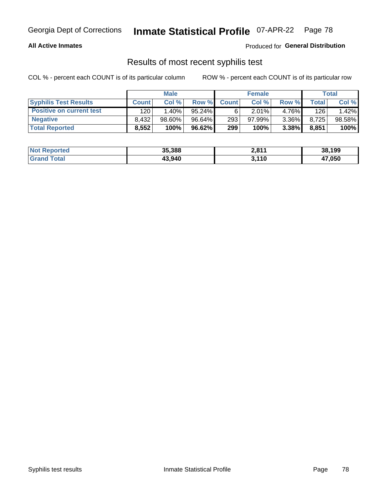#### **All Active Inmates**

Produced for **General Distribution**

### Results of most recent syphilis test

|                                 | <b>Male</b>  |           | <b>Female</b> |                  |           | Total    |       |        |
|---------------------------------|--------------|-----------|---------------|------------------|-----------|----------|-------|--------|
| <b>Syphilis Test Results</b>    | <b>Count</b> | Col%      | Row %         | <b>Count</b>     | Col %     | Row %    | Total | Col %  |
| <b>Positive on current test</b> | 120          | $1.40\%$  | $95.24\%$     |                  | 2.01%     | 4.76%    | 126   | 1.42%  |
| <b>Negative</b>                 | 8.432        | $98.60\%$ | 96.64%        | 293 <sub>1</sub> | $97.99\%$ | $3.36\%$ | 8,725 | 98.58% |
| <b>Total Reported</b>           | 8,552        | 100%      | $96.62\%$     | 299              | 100%      | 3.38%    | 8,851 | 100%   |

| <b>Not Reported</b> | 35,388 | 2,811 | 38,199 |
|---------------------|--------|-------|--------|
| <b>Grand Total</b>  | 43.940 | 3,110 | 47,050 |